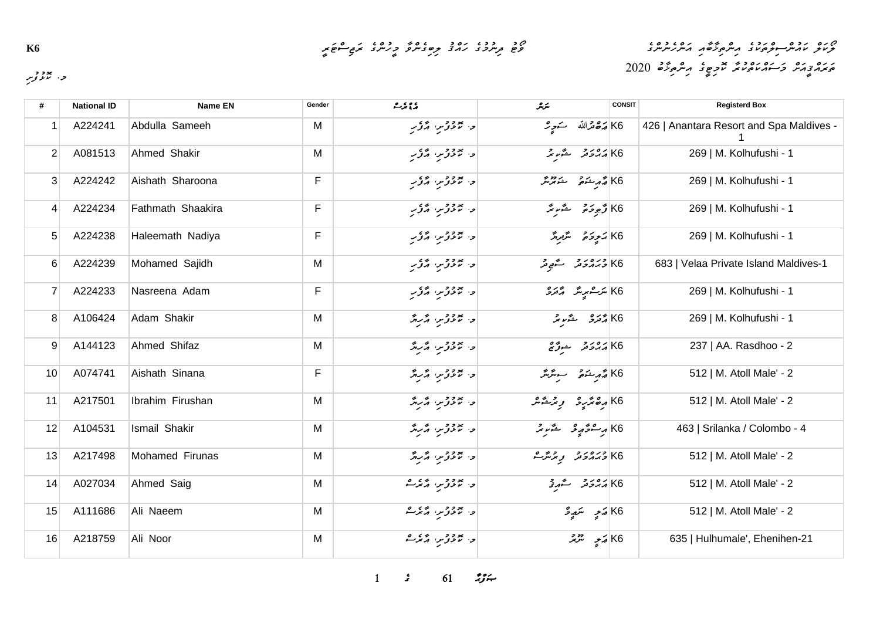*sCw7q7s5w7m< o<n9nOoAw7o< sCq;mAwBoEw7q<m; wBm;vB* م من المرة المرة المرة المرجع المرجع في المركبة 2020<br>مجم*د المريض المربوط المربع المرجع في المراجع المركبة* 

| #               | <b>National ID</b> | Name EN              | Gender       | بروبره                      | ىترىگر                                                     | <b>CONSIT</b> | <b>Registerd Box</b>                     |
|-----------------|--------------------|----------------------|--------------|-----------------------------|------------------------------------------------------------|---------------|------------------------------------------|
|                 | A224241            | Abdulla Sameeh       | M            | ا د اندولوس اگروپ           | K6 كەچەقراللە سەرە 2                                       |               | 426   Anantara Resort and Spa Maldives - |
| $\overline{2}$  | A081513            | Ahmed Shakir         | M            | ا د اندولوس و د کار با      | K6 كەبرى ئىر ئىقتىر <i>مى</i> ر                            |               | 269   M. Kolhufushi - 1                  |
| $\mathbf{3}$    | A224242            | Aishath Sharoona     | $\mathsf{F}$ | ا د اندولوس و د کار به ا    | K6 مەمرىشىمە ھەتترىتر                                      |               | 269   M. Kolhufushi - 1                  |
| $\overline{4}$  | A224234            | Fathmath Shaakira    | $\mathsf{F}$ | د مود و برو بر              | K6 زَّەپرىزە ھەمب <sup>ىر</sup>                            |               | 269   M. Kolhufushi - 1                  |
| $5\phantom{.0}$ | A224238            | Haleemath Nadiya     | $\mathsf F$  | د اندولور اندوب             |                                                            |               | 269   M. Kolhufushi - 1                  |
| 6               | A224239            | Mohamed Sajidh       | M            | ا در اندوژبر، اگروپ         | K6 <i>جُہُ جُہُ جُہُ – جُنمِ مُرُ</i>                      |               | 683   Velaa Private Island Maldives-1    |
| $\overline{7}$  | A224233            | Nasreena Adam        | $\mathsf{F}$ | ا د اندولوس و د کار به ا    | K6 ىترىشمېرى <i>تى م<sup>ە</sup>ترى</i>                    |               | 269   M. Kolhufushi - 1                  |
| 8               | A106424            | Adam Shakir          | M            | د. نوروور، م <i>زگر</i> مگر | K6 مەتىرقى مەھمىيەتتى                                      |               | 269   M. Kolhufushi - 1                  |
| 9               | A144123            | Ahmed Shifaz         | M            | د اندولوس المریک            | K6 كەبرى كىر ئىس <i>وگىنى</i>                              |               | 237   AA. Rasdhoo - 2                    |
| 10              | A074741            | Aishath Sinana       | F            | در علوقوس المربار           | K6 م <i>ۇم شەھ</i> ر سوم <i>ىرىنگ</i> ر                    |               | 512   M. Atoll Male' - 2                 |
| 11              | A217501            | Ibrahim Firushan     | M            | د. مودوم، م <i>رگ</i> ر     | K6 <sub>م</sub> ەمگرى <sub>ي</sub> ۇ ب <sub>و</sub> ىمىشەر |               | 512   M. Atoll Male' - 2                 |
| 12              | A104531            | <b>Ismail Shakir</b> | M            | د. مودو <sub>ع</sub> ممبر   | K6 مەشقەر ئىسىمىتىسى ئىسىم                                 |               | 463   Srilanka / Colombo - 4             |
| 13              | A217498            | Mohamed Firunas      | M            | د نوود رمه                  | K6 <i>ڈیز محمد ویزیڈے</i>                                  |               | 512   M. Atoll Male' - 2                 |
| 14              | A027034            | Ahmed Saig           | M            | د. برود به دمی ه            | K6 كەبۇ ئەقرىقى ئىش <i>رى</i> قى                           |               | 512   M. Atoll Male' - 2                 |
| 15              | A111686            | Ali Naeem            | M            | و. عودوب رحمت               | K6 كەير سەرگ                                               |               | 512   M. Atoll Male' - 2                 |
| 16              | A218759            | Ali Noor             | M            | ه به دور رسمی ه             | K6 کی میں شریحہ ا                                          |               | 635   Hulhumale', Ehenihen-21            |

*1 s* 61 *i*<sub>S</sub> $\approx$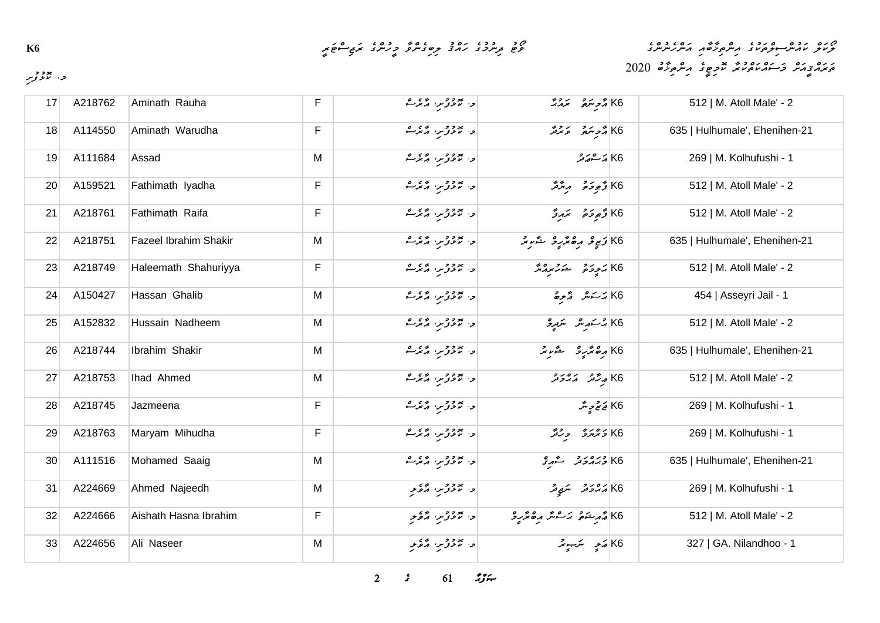*sCw7q7s5w7m< o<n9nOoAw7o< sCq;mAwBoEw7q<m; wBm;vB* م من المرة المرة المرة المرجع المرجع في المركبة 2020<br>مجم*د المريض المربوط المربع المرجع في المراجع المركبة* 

| 17              | A218762 | Aminath Rauha                | F            | د. ندود به گرمگرگ            | K6 مَّحِسَعَ بَرَمَّةَ                            | 512   M. Atoll Male' - 2      |
|-----------------|---------|------------------------------|--------------|------------------------------|---------------------------------------------------|-------------------------------|
| 18              | A114550 | Aminath Warudha              | F            | و مودور، محرث                | K6 مُجِسَعَةٍ عَمَّدَتَّر                         | 635   Hulhumale', Ehenihen-21 |
| 19              | A111684 | Assad                        | M            | د. بودوم، مجم <sup>و</sup> ع | K6 بَرْحِيْرَ مَرْ                                | 269   M. Kolhufushi - 1       |
| 20              | A159521 | Fathimath Iyadha             | $\mathsf F$  | د. ندود به چمک               | K6 رَّج <i>وحَمْ م</i> ِجَمَّدَ                   | 512   M. Atoll Male' - 2      |
| 21              | A218761 | Fathimath Raifa              | $\mathsf{F}$ | د. ندود به رسمی ه            | K6 رَّجِ حَمَّ سَمَّدٍ رََّ                       | 512   M. Atoll Male' - 2      |
| 22              | A218751 | <b>Fazeel Ibrahim Shakir</b> | M            | و مودور، محرث                | K6 كۆيۈ ئەھەتگەپى ھەمرىتى                         | 635   Hulhumale', Ehenihen-21 |
| 23              | A218749 | Haleemath Shahuriyya         | $\mathsf{F}$ | د. ندود به رمړ شو            | K6 يَجِرَى حَمَّ مِهْدَ مِنْ الْمَرْدِينَ         | 512   M. Atoll Male' - 2      |
| 24              | A150427 | Hassan Ghalib                | M            | د. بودوم، محمد علم           | K6 ئەسەئىر م <i>ۇجى</i>                           | 454   Asseyri Jail - 1        |
| 25              | A152832 | Hussain Nadheem              | M            | د. ندود به رسمی ه            | K6 يُرْسَمْ مِيْرِ مَرْسِرِ \$                    | 512   M. Atoll Male' - 2      |
| 26              | A218744 | Ibrahim Shakir               | M            | د. ندود به چمک               | K6 مەھمگىر ئىس ئىس ئىراتقىلىشى ئىس                | 635   Hulhumale', Ehenihen-21 |
| 27              | A218753 | Ihad Ahmed                   | M            | د. ندود به چمک               | K6 مەرىخى كەردى كىلى                              | 512   M. Atoll Male' - 2      |
| 28              | A218745 | Jazmeena                     | F            | د. بودوم، مجم <sup>و</sup> ع | K6 ئ <sub>ے ت</sub> حرچ پیٹر                      | 269   M. Kolhufushi - 1       |
| 29              | A218763 | Maryam Mihudha               | $\mathsf F$  | د. ندود به چمک               | K6 كەبەر ئەرگە بەر                                | 269   M. Kolhufushi - 1       |
| 30 <sup>°</sup> | A111516 | Mohamed Saaig                | M            | د. بودوم، محمد علم           | K6 <i>چېرو چې</i> مشهوري                          | 635   Hulhumale', Ehenihen-21 |
| 31              | A224669 | Ahmed Najeedh                | M            | و عود و د کار                | K6 كەنزى كىر ئىر ئىرى ئىر                         | 269   M. Kolhufushi - 1       |
| 32              | A224666 | Aishath Hasna Ibrahim        | F            | و: عمود فرس المحافير         | K6 مَّەرِ شَمَّعْ مَ سَمْسَّر مِرْھ مَّرْرِ حَرَّ | 512   M. Atoll Male' - 2      |
| 33              | A224656 | Ali Naseer                   | M            | د برود بره گروم              | K6 كەمچە سىرسىچە                                  | 327   GA. Nilandhoo - 1       |

 $2$  *s* 61  $23$   $\div$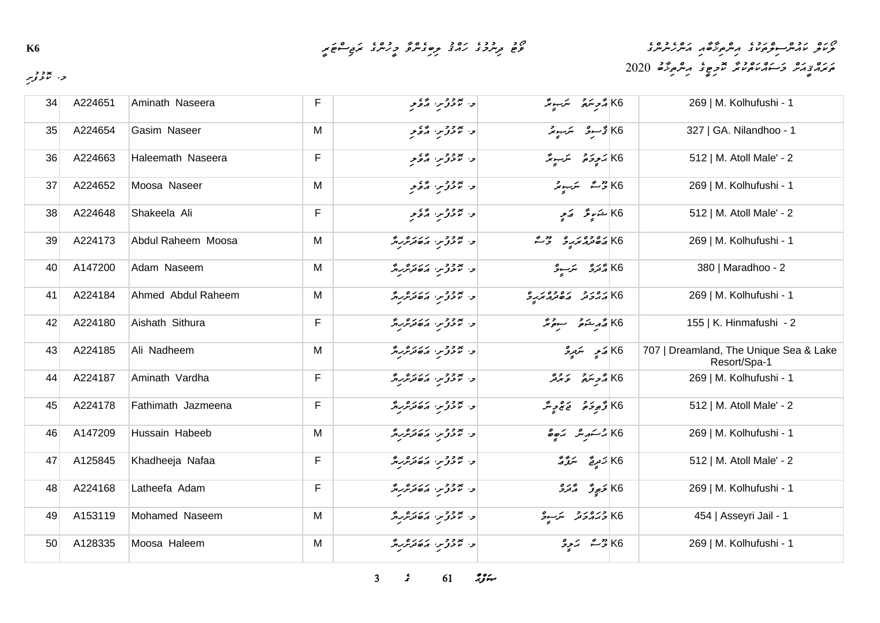*sCw7q7s5w7m< o<n9nOoAw7o< sCq;mAwBoEw7q<m; wBm;vB* م من المرة المرة المرة المرجع المرجع في المركبة 2020<br>مجم*د المريض المربوط المربع المرجع في المراجع المركبة* 

| 34 | A224651 | Aminath Naseera    | F           | د· نورو در محکم د                | K6 مُ <i>جِسَعْہ مَن</i> ہومُمُ             | 269   M. Kolhufushi - 1                                |
|----|---------|--------------------|-------------|----------------------------------|---------------------------------------------|--------------------------------------------------------|
| 35 | A224654 | Gasim Naseer       | M           | والعموقر والمحفو                 | K6 تَخْرِ سِيْرَ مَسْرِيْرَ                 | 327   GA. Nilandhoo - 1                                |
| 36 | A224663 | Haleemath Naseera  | F           | ه بهود در محمو                   | K6 كەمچە كىم ئىككى ئىستېرىگە                | 512   M. Atoll Male' - 2                               |
| 37 | A224652 | Moosa Naseer       | M           | والعمود من المحكم                | K6 پھر سمبویٹر                              | 269   M. Kolhufushi - 1                                |
| 38 | A224648 | Shakeela Ali       | F           | والعموقرس المحومي                | K6 خەرقە كەمچ                               | 512   M. Atoll Male' - 2                               |
| 39 | A224173 | Abdul Raheem Moosa | M           | و علووس مصر شرور                 | K6 كەھىرمەترىي ق <sup>ىم</sup> گە           | 269   M. Kolhufushi - 1                                |
| 40 | A147200 | Adam Naseem        | M           | و محووم روزوره                   | K6 مُرْمَرْد - سَرَسِرْدُ                   | 380   Maradhoo - 2                                     |
| 41 | A224184 | Ahmed Abdul Raheem | M           | و عود من مصر عربه                | K6 גُرُوَتَر مُصْرِمْ بَرَبِرْ              | 269   M. Kolhufushi - 1                                |
| 42 | A224180 | Aishath Sithura    | F           | و معموم رەمدىرىد                 | K6 مەم ئىسقىم ئىس ئىس ئىس                   | 155   K. Hinmafushi - 2                                |
| 43 | A224185 | Ali Nadheem        | M           | و للمؤتوب بركانور المحمد المراكز |                                             | 707   Dreamland, The Unique Sea & Lake<br>Resort/Spa-1 |
| 44 | A224187 | Aminath Vardha     | F           | و مودوس مصر شرد و                | K6 مَّ <i>جِ مَنْهُمْ - عَ مُ</i> رْمَّدُ   | 269   M. Kolhufushi - 1                                |
| 45 | A224178 | Fathimath Jazmeena | F           | و لاروپر مصر شرور                | K6 رَّج <i>وحَةَ</i> بَحَجَ <i>ج</i> ِسَّرَ | 512   M. Atoll Male' - 2                               |
| 46 | A147209 | Hussain Habeeb     | M           | و لاروپر مصر شرور                | K6 يُرْسَمب <sup>9</sup> يُرَصِّ صَ         | 269   M. Kolhufushi - 1                                |
| 47 | A125845 | Khadheeja Nafaa    | F           | و علوقر مصر مصر م                | K6 كَتَرِيعٌ مَتَمَدٌّمَّةُ                 | 512   M. Atoll Male' - 2                               |
| 48 | A224168 | Latheefa Adam      | $\mathsf F$ | و الافروس مەمەر مەر              | K6 كَرَبِوتْ مُرَّمَرْدُ                    | 269   M. Kolhufushi - 1                                |
| 49 | A153119 | Mohamed Naseem     | M           | و محووم روزوره                   | K6 <i>\$222 مگرسو</i> د                     | 454   Asseyri Jail - 1                                 |
| 50 | A128335 | Moosa Haleem       | M           | و للمؤثر مصر مرضه                | K6 چينځ ټر <i>ي</i> ونځ                     | 269   M. Kolhufushi - 1                                |

**3** *s* **61** *z***<sub>***s***</sub>**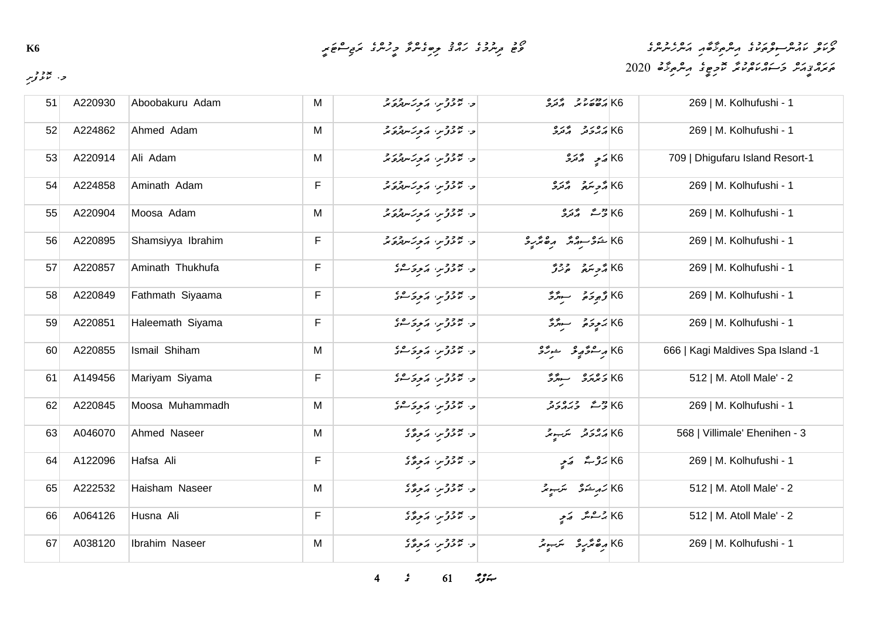*sCw7q7s5w7m< o<n9nOoAw7o< sCq;mAwBoEw7q<m; wBm;vB 2020*<br>*په پوهر وسوډيرونو لومو د موجو د مرمونه* 2020

| 51 | A220930 | Aboobakuru Adam   | M | والتوفرقس مكر متعدوكم    | 5.3333586                                | 269   M. Kolhufushi - 1           |
|----|---------|-------------------|---|--------------------------|------------------------------------------|-----------------------------------|
| 52 | A224862 | Ahmed Adam        | M | والعموقر مروتر المرور    | K6 كەبرى قىر ئەر <i>ە</i>                | 269   M. Kolhufushi - 1           |
| 53 | A220914 | Ali Adam          | M | والالمؤثر المع للمعدور   | K6 كەير م <i>ەترى</i>                    | 709   Dhigufaru Island Resort-1   |
| 54 | A224858 | Aminath Adam      | F | والمعتقوم الموتر معدولا  | K6 مُحصِبَعة مُحَمَّدة                   | 269   M. Kolhufushi - 1           |
| 55 | A220904 | Moosa Adam        | M | والتوفرقس وكرمز سرقرونكر | K6 پھر گھري                              | 269   M. Kolhufushi - 1           |
| 56 | A220895 | Shamsiyya Ibrahim | F | والمعتقوم الموتر معدولا  | K6 خۇسەمگە مەھگرى <sup>ي</sup>           | 269   M. Kolhufushi - 1           |
| 57 | A220857 | Aminath Thukhufa  | F | والمعموقوس أترموه كصفى   | K6 مُجِسَعَة حَمَ <sup>ر</sup> َدَّ      | 269   M. Kolhufushi - 1           |
| 58 | A220849 | Fathmath Siyaama  | F | والمعموقوس أترموه كصفى   | K6 رَّج <i>وحَة</i> سِي <i>دَة</i> ً     | 269   M. Kolhufushi - 1           |
| 59 | A220851 | Haleemath Siyama  | F | والمعموقوس أترموه كصفى   | K6 برَجِرَة مِسْتَرَدَّ                  | 269   M. Kolhufushi - 1           |
| 60 | A220855 | Ismail Shiham     | M | والمعموقوس مكروح كسلى    | K6 برےد <i>ۇر</i> و جو <i>رڈ</i> و       | 666   Kagi Maldives Spa Island -1 |
| 61 | A149456 | Mariyam Siyama    | F | و غروفر مروکرده          | K6 كا <i>كا بروگردان سورگر</i> گر        | 512   M. Atoll Male' - 2          |
| 62 | A220845 | Moosa Muhammadh   | M | والعمود والمروكات        | K6 تۆستە جەيز ئەرى                       | 269   M. Kolhufushi - 1           |
| 63 | A046070 | Ahmed Naseer      | M | و مودوم، مَعِرْدُ        | K6 كەبرى كىلى ئىسىمىتىكى ئىستىمىتىكى ئىس | 568   Villimale' Ehenihen - 3     |
| 64 | A122096 | Hafsa Ali         | F | و مودور، مُعِرْدُ        | K6 ټرو شه په په                          | 269   M. Kolhufushi - 1           |
| 65 | A222532 | Haisham Naseer    | M | والعروفين أتروهى         | K6 <i>كەبىشى ھىبوم</i> گ                 | 512   M. Atoll Male' - 2          |
| 66 | A064126 | Husna Ali         | F | و مودوم، مَعِرْدُ        | K6 پڑھ پڑ کہ ج                           | 512   M. Atoll Male' - 2          |
| 67 | A038120 | Ibrahim Naseer    | M | والعموقوس أتروهى         | K6 رەڭرىرى سىببىتى                       | 269   M. Kolhufushi - 1           |

*o6q?q:u; .>*

*4 sC 61 nNw?mS*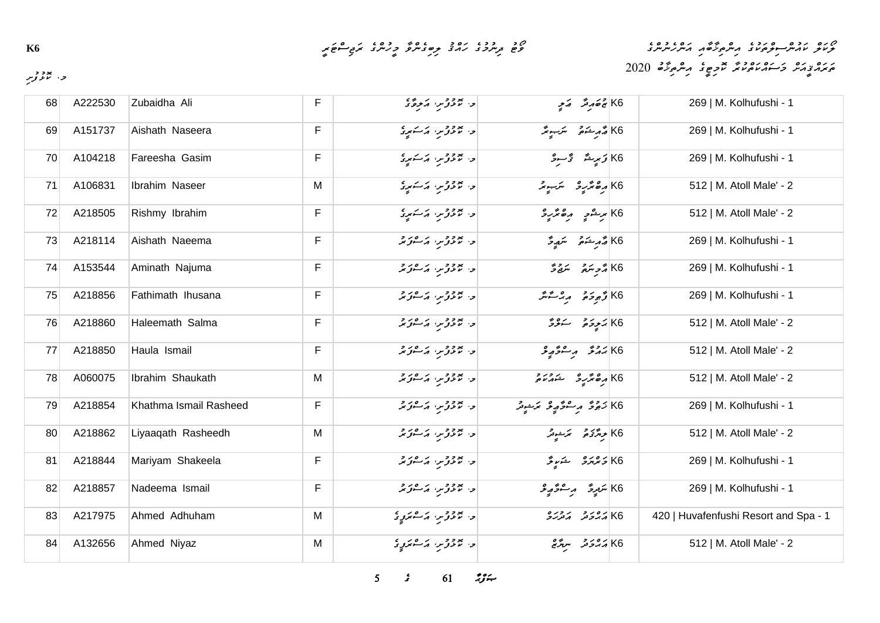*sCw7q7s5w7m< o<n9nOoAw7o< sCq;mAwBoEw7q<m; wBm;vB* م من المرة المرة المرة المرجع المرجع في المركبة 2020<br>مجم*د المريض المربوط المربع المرجع في المراجع المركبة* 

| 68 | A222530 | Zubaidha Ali           | F           | و مودور، مُعِرون                        | K6 نج <i>ے و</i> قہ ک <sup>ہ م</sup> چ | 269   M. Kolhufushi - 1               |
|----|---------|------------------------|-------------|-----------------------------------------|----------------------------------------|---------------------------------------|
| 69 | A151737 | Aishath Naseera        | F           | د بيودوس پرستېره                        | K6 مەمرىشمۇ سىرسو <i>م</i> ۇ           | 269   M. Kolhufushi - 1               |
| 70 | A104218 | Fareesha Gasim         | F           | و· مودوم، مەسكىرى                       | K6 كرىموڭ گ <sup>ە</sup> سىرى          | 269   M. Kolhufushi - 1               |
| 71 | A106831 | Ibrahim Naseer         | M           | و. مودوم، برستهوی                       | K6 مەھەر بۇ سىر ئىرىدىن                | 512   M. Atoll Male' - 2              |
| 72 | A218505 | Rishmy Ibrahim         | F           | والعموض مكانيون                         | K6 ىرىشمې مەھم <i>گرى</i> ۋ            | 512   M. Atoll Male' - 2              |
| 73 | A218114 | Aishath Naeema         | F           | د. مودو <sub>م</sub> ر، م <i>ر</i> حومر | K6 مَّەرْ مَنْعَمَّة مَّسَمَّةٍ مََّ   | 269   M. Kolhufushi - 1               |
| 74 | A153544 | Aminath Najuma         | F           | و مودوم، مگرورو                         | K6 مَّحِسَمَّةَ سَمَّةَ وَّ            | 269   M. Kolhufushi - 1               |
| 75 | A218856 | Fathimath Ihusana      | F           | د. نووور، م <i>ی</i> سورتر              | K6 <i>ۋېوخۇ مەش</i> ىئىگە              | 269   M. Kolhufushi - 1               |
| 76 | A218860 | Haleemath Salma        | F           | و معووم، ماسور و                        | K6 يَر <i>وِدَةْ</i> سَوْدً            | 512   M. Atoll Male' - 2              |
| 77 | A218850 | Haula Ismail           | F           | و معووم، ماسور و                        | K6 ئەترى بەسىر <i>ۇمب</i> ۇ            | 512   M. Atoll Male' - 2              |
| 78 | A060075 | Ibrahim Shaukath       | M           | ه به برود به کرد و                      | K6 مەھمەر ئەھمەم ئىستىدىن كىيەت ئىستات | 512   M. Atoll Male' - 2              |
| 79 | A218854 | Khathma Ismail Rasheed | $\mathsf F$ | ه به برود به کرده د                     | K6 دَجْ \$ مِسْؤَمِرِ \$ مَرْشِيْتَر   | 269   M. Kolhufushi - 1               |
| 80 | A218862 | Liyaaqath Rasheedh     | M           | د. نووور، م <i>ی</i> سورتر              | K6 م <i>جهزة هي مرسومر</i>             | 512   M. Atoll Male' - 2              |
| 81 | A218844 | Mariyam Shakeela       | F           | ه به برود به کرد و                      | K6 كەبىرى ئىقرىقى K6                   | 269   M. Kolhufushi - 1               |
| 82 | A218857 | Nadeema Ismail         | F           | د. نووور، م <i>ی</i> سورتر              | K6 سَمِرِدَّ مِ سُمَّ مِرْ و           | 269   M. Kolhufushi - 1               |
| 83 | A217975 | Ahmed Adhuham          | M           | د. مودوس مەسىرىي ئ                      | K6 كەبرى بىر كەندىرى                   | 420   Huvafenfushi Resort and Spa - 1 |
| 84 | A132656 | Ahmed Niyaz            | M           | ە ئوقۇم ئەسىم                           | K6 كەبرى ئىر سى <i>رگى</i> بىر         | 512   M. Atoll Male' - 2              |

 $5$   $5$   $61$   $25$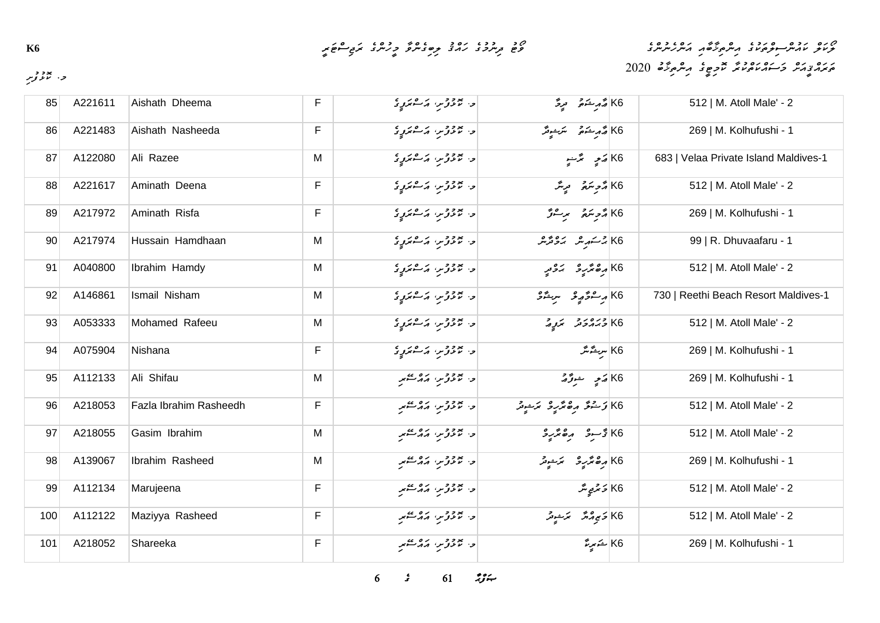*sCw7q7s5w7m< o<n9nOoAw7o< sCq;mAwBoEw7q<m; wBm;vB* م من المرة المرة المرة المرجع المرجع في المركبة 2020<br>مجم*د المريض المربوط المربع المرجع في المراجع المركبة* 

| 85  | A221611 | Aishath Dheema         | $\mathsf{F}$ | د به نور بر را مرکز دیگر      | K6 مَگْرِسْتَمْ مِرْدً                       | 512   M. Atoll Male' - 2              |
|-----|---------|------------------------|--------------|-------------------------------|----------------------------------------------|---------------------------------------|
| 86  | A221483 | Aishath Nasheeda       | F            | د بيمودس مەسكىرى              | K6 مَگْرِسْدَة مِنْ سَرْسِيْتَرْ             | 269   M. Kolhufushi - 1               |
| 87  | A122080 | Ali Razee              | M            | د. برووس پر <u>مرکز</u> ر می  | K6  كەمچە گەسپە                              | 683   Velaa Private Island Maldives-1 |
| 88  | A221617 | Aminath Deena          | $\mathsf F$  | د. مودوس مەسىم بولى           | K6 مَّ حِ سَمَّۃ مِ سِمَّر                   | 512   M. Atoll Male' - 2              |
| 89  | A217972 | Aminath Risfa          | $\mathsf{F}$ | و غلاوين م کم مرو کا          | K6 مَّ حِ سَمَعَ مَ سِسْرَتَرَ               | 269   M. Kolhufushi - 1               |
| 90  | A217974 | Hussain Hamdhaan       | M            | د برووس پر شر <sub>کو</sub> ر | K6 يُرْسَمب <sup>و</sup> يُروَثَّرْسُ        | 99   R. Dhuvaafaru - 1                |
| 91  | A040800 | Ibrahim Hamdy          | M            | و غووم، مەھمۇرى               | K6 <sub>مو</sub> ڻ <i>نگرو ج</i> ڏمي         | 512   M. Atoll Male' - 2              |
| 92  | A146861 | Ismail Nisham          | M            | د. مودوس كەسىم بولى           | K6 مِـــْمَوَّمِهِ عَــْ سِــَمَّوْ          | 730   Reethi Beach Resort Maldives-1  |
| 93  | A053333 | Mohamed Rafeeu         | M            | د. مودوس كەسىم بولى           | K6 <i>\$22.25 بَرَوِي</i> ر                  | 512   M. Atoll Male' - 2              |
| 94  | A075904 | Nishana                | $\mathsf{F}$ | د. توروس، تەس <i>ەپرى</i>     | K6 سرڪ <b>ئ</b> ر                            | 269   M. Kolhufushi - 1               |
| 95  | A112133 | Ali Shifau             | M            | د. نووور، مەھمىتىر            | K6 كەمچە ھەر <i>گە</i>                       | 269   M. Kolhufushi - 1               |
| 96  | A218053 | Fazla Ibrahim Rasheedh | F            | د. نووور، مەھتىر              | K6 كَرَّ-تَمَرَّ مِرْكَة بِرَبَّ مَرْشِيْتَر | 512   M. Atoll Male' - 2              |
| 97  | A218055 | Gasim Ibrahim          | M            | د. نووور، مەھمىتىر            | K6 تۇسىر مەھم <i>گى</i> رو                   | 512   M. Atoll Male' - 2              |
| 98  | A139067 | Ibrahim Rasheed        | M            | و مودوس مەھمىسى               | K6 مەھەر بۇ سىم ئىسىمىسى K6                  | 269   M. Kolhufushi - 1               |
| 99  | A112134 | Marujeena              | $\mathsf F$  | و مودور، مەھمىتىر             | K6 كەتمەيەتىگە                               | 512   M. Atoll Male' - 2              |
| 100 | A112122 | Maziyya Rasheed        | F            | د· لاندوجن الماه مصنوبه       | K6 كۆپەرگە كەش <sub>ت</sub> وتر              | 512   M. Atoll Male' - 2              |
| 101 | A218052 | Shareeka               | F            | و مودوس مەھمىسى               | K6 ڪمبر <i>ما</i> ً                          | 269   M. Kolhufushi - 1               |

 $6$   $\sharp$   $61$   $\sharp$ <sup>2</sup>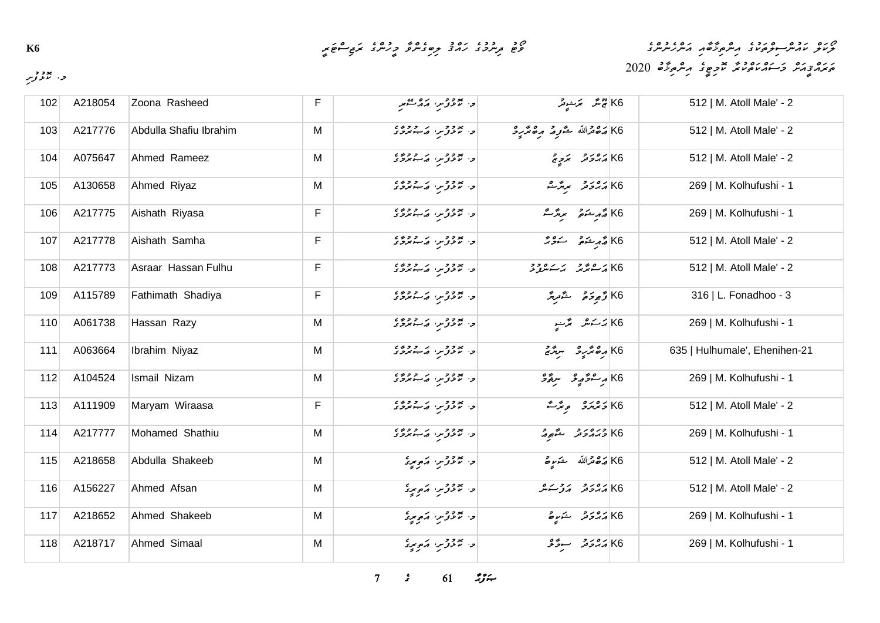*sCw7q7s5w7m< o<n9nOoAw7o< sCq;mAwBoEw7q<m; wBm;vB* م من المرة المرة المرة المرجع المرجع في المركبة 2020<br>مجم*د المريض المربوط المربع المرجع في المراجع المركبة* 

| 102 | A218054 | Zoona Rasheed          | F | د· نوروین مەممىسى                                                                                    | K6 تي مگر سمرڪونگر                     | 512   M. Atoll Male' - 2      |
|-----|---------|------------------------|---|------------------------------------------------------------------------------------------------------|----------------------------------------|-------------------------------|
| 103 | A217776 | Abdulla Shafiu Ibrahim | M | و المعجز والمراكب والمحدود و المحمد و المحمد و المحمد و المحمد و المحمد و المحمد المحمد و المحمد الم | K6 كەھەراللە ھەرپە مەھەردى             | 512   M. Atoll Male' - 2      |
| 104 | A075647 | Ahmed Rameez           | M | والعموض كالمرووي                                                                                     | K6 كەش <b>كەتتىلى</b> ئىر <i>جى</i> تى | 512   M. Atoll Male' - 2      |
| 105 | A130658 | Ahmed Riyaz            | M | والمعجوجين كالمنفروي                                                                                 | K6 كەبرى كىمى ئىستىر بىر               | 269   M. Kolhufushi - 1       |
| 106 | A217775 | Aishath Riyasa         | F | والمعموقوس كالمستعرف                                                                                 | K6 گەرىشكە ئىر ئىرىگە                  | 269   M. Kolhufushi - 1       |
| 107 | A217778 | Aishath Samha          | F | والمعروس كالمرووي                                                                                    | K6 مەم ئىشقى سىۋ <i>رى</i>             | 512   M. Atoll Male' - 2      |
| 108 | A217773 | Asraar Hassan Fulhu    | F | والمعروس كالمرووي                                                                                    | K6 كەشكە ئەسكەندى ئە                   | 512   M. Atoll Male' - 2      |
| 109 | A115789 | Fathimath Shadiya      | F | والمعجوجين كالمنفروي                                                                                 | K6 زَّەپرىق شَّەرِمَّ                  | 316   L. Fonadhoo - 3         |
| 110 | A061738 | Hassan Razy            | M | والمعجوجين كالمنفروي                                                                                 | K6   پرسترچھ گھرسیو<br>                | 269   M. Kolhufushi - 1       |
| 111 | A063664 | Ibrahim Niyaz          | M | والمعجوجين كالمنفروي                                                                                 | K6 مەھەرىپى سى <i>رگى</i> ج            | 635   Hulhumale', Ehenihen-21 |
| 112 | A104524 | Ismail Nizam           | M | و اندووس كه مرووده                                                                                   | K6 برےد <sub>گی</sub> و س <i>پو</i> ڈ  | 269   M. Kolhufushi - 1       |
| 113 | A111909 | Maryam Wiraasa         | F | والمعموقوس كالمستعرف                                                                                 | K6 كەبرىز ئەرىگە ئىستە                 | 512   M. Atoll Male' - 2      |
| 114 | A217777 | Mohamed Shathiu        | M | والمعموقوس كالمستعرف                                                                                 | K6 <i>جەممى ھەم</i> قىدىنى ئىشتى       | 269   M. Kolhufushi - 1       |
| 115 | A218658 | Abdulla Shakeeb        | M | د عودوس مع مره                                                                                       | K6 كەھەراللە خىرى <i>مى</i>            | 512   M. Atoll Male' - 2      |
| 116 | A156227 | Ahmed Afsan            | M | و مودور، مکرمری                                                                                      | K6 كەيرى كىر كەرگە ئىكەنلىر            | 512   M. Atoll Male' - 2      |
| 117 | A218652 | Ahmed Shakeeb          | M | و مودور، مکرمری                                                                                      | K6 كەبرى قىر ئىكەن ئىچە ئىچە ئ         | 269   M. Kolhufushi - 1       |
| 118 | A218717 | Ahmed Simaal           | M | و عودوس مصری                                                                                         | K6 <i>جەنجى سوڭ</i> ۇ                  | 269   M. Kolhufushi - 1       |

*7 sC 61 nNw?mS*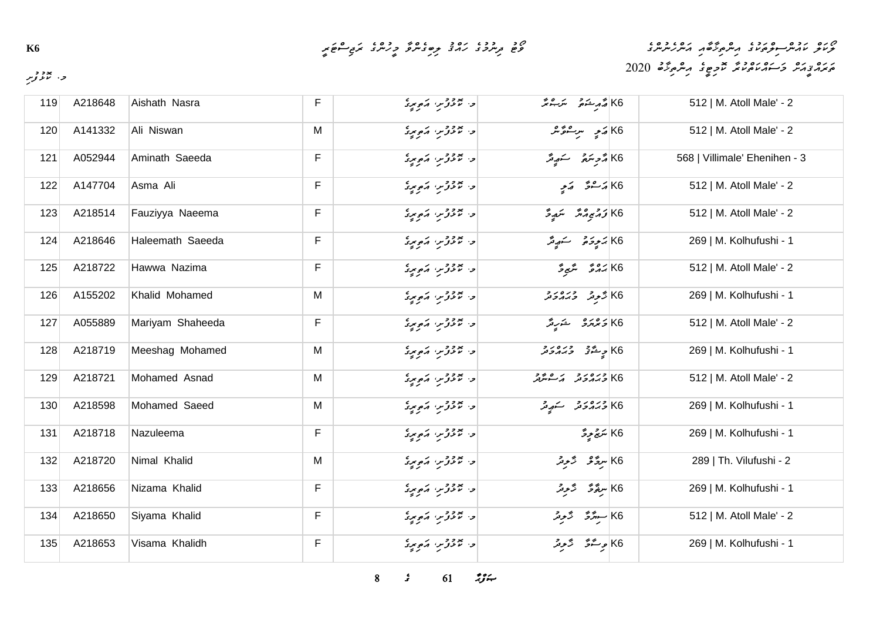*sCw7q7s5w7m< o<n9nOoAw7o< sCq;mAwBoEw7q<m; wBm;vB* م من المرة المرة المرة المرجع المرجع في المركبة 2020<br>مجم*د المريض المربوط المربع المرجع في المراجع المركبة* 

| 119 | A218648 | Aishath Nasra    | $\mathsf F$ | د. ندود به رکم بردگی | K6 م <i>ەمبەشقى مىتىبەتت</i>               | 512   M. Atoll Male' - 2      |
|-----|---------|------------------|-------------|----------------------|--------------------------------------------|-------------------------------|
| 120 | A141332 | Ali Niswan       | M           | و مودور، مکریزی      | K6 كەمچە سرىشقەتلەر                        | 512   M. Atoll Male' - 2      |
| 121 | A052944 | Aminath Saeeda   | F           | و مودوم، مصري        | K6 مَّ حِسَمَةٌ سَمَّ يَرْتَمُ             | 568   Villimale' Ehenihen - 3 |
| 122 | A147704 | Asma Ali         | F           | و مودور، مصری        | K6 تەشىرق قەيچە                            | 512   M. Atoll Male' - 2      |
| 123 | A218514 | Fauziyya Naeema  | F           | و مودور، مصری        | K6 زَمَّ مِمَّ مَّ سَمِي <sup>و</sup> َّ   | 512   M. Atoll Male' - 2      |
| 124 | A218646 | Haleemath Saeeda | $\mathsf F$ | و مودوم، مکرمری      | K6 بَرْجِرَة مُنْ سَهِيمٌ                  | 269   M. Kolhufushi - 1       |
| 125 | A218722 | Hawwa Nazima     | $\mathsf F$ | و برووم، مکریزی      | K6 كەش <sup>ۇ</sup> شىرۇ                   | 512   M. Atoll Male' - 2      |
| 126 | A155202 | Khalid Mohamed   | M           | و مودور، مصری        | K6 تَرْمِتْر   وَيَرْدُونْرُ               | 269   M. Kolhufushi - 1       |
| 127 | A055889 | Mariyam Shaheeda | F           | و مودور، مصری        | K6 كا <i>كار جهر بلا</i> كار بير كليكر     | 512   M. Atoll Male' - 2      |
| 128 | A218719 | Meeshag Mohamed  | M           | و مودور، مصری        | K6 <sub>ج</sub> ِ شَرَّ <i>جَهُ دُور و</i> | 269   M. Kolhufushi - 1       |
| 129 | A218721 | Mohamed Asnad    | M           | و مودوم، مکرمری      | K6 دېرونه که شرکته                         | 512   M. Atoll Male' - 2      |
| 130 | A218598 | Mohamed Saeed    | M           | و مودور، مصری        | K6 <i>ۇنەۋەقى سەرەتى</i>                   | 269   M. Kolhufushi - 1       |
| 131 | A218718 | Nazuleema        | F           | و مودوم، مکرمری      | K6 ىتر <i>ىج م</i> وتۇ                     | 269   M. Kolhufushi - 1       |
| 132 | A218720 | Nimal Khalid     | M           | و معموم مورد         | K6 سردً و گروگر                            | 289   Th. Vilufushi - 2       |
| 133 | A218656 | Nizama Khalid    | F           | و مودوم، مکرمری      | K6 سِهَّرَّ گَرْمِتْر                      | 269   M. Kolhufushi - 1       |
| 134 | A218650 | Siyama Khalid    | F           | و مودوم، مکرمری      | K6 س <i>يردَّة</i> شَعِيفَر                | 512   M. Atoll Male' - 2      |
| 135 | A218653 | Visama Khalidh   | F           | د بدووس موسره        | K6 مِرْمَدَّ زَّمِيْر                      | 269   M. Kolhufushi - 1       |

**8** *s* **61** *z s*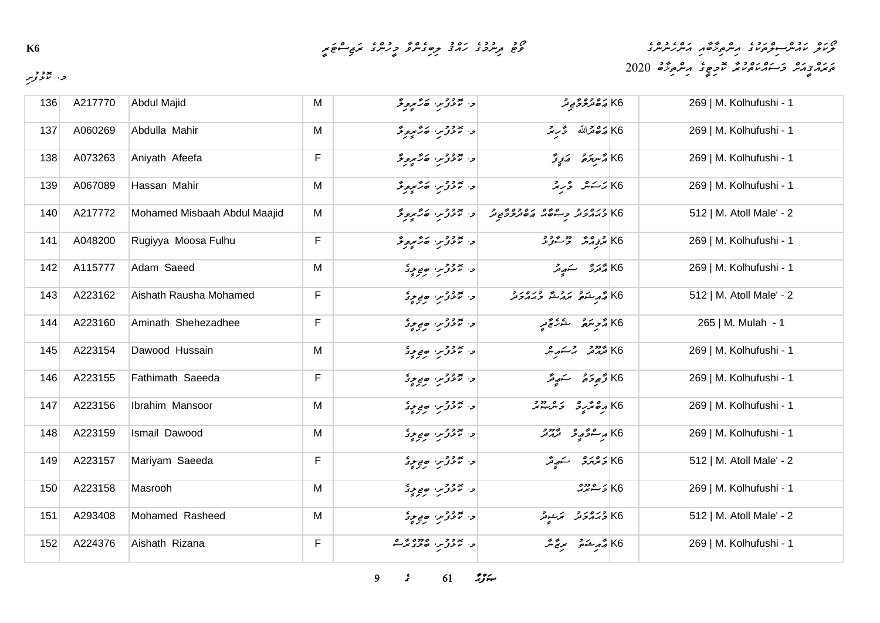*sCw7q7s5w7m< o<n9nOoAw7o< sCq;mAwBoEw7q<m; wBm;vB* م من المرة المرة المرة المرجع المرجع في المركبة 2020<br>مجم*د المريض المربوط المربع المرجع في المراجع المركبة* 

| 136 | A217770 | Abdul Majid                  | M           | و· ئۇنزۇس قا <i>رتىرو</i> ئ             | K6 كەھ ترىۋ گە يىر                                                                                   | 269   M. Kolhufushi - 1  |
|-----|---------|------------------------------|-------------|-----------------------------------------|------------------------------------------------------------------------------------------------------|--------------------------|
| 137 | A060269 | Abdulla Mahir                | M           | د. مودو <sub>م</sub> ، <i>ماڻ</i> بروگر | K6 كەھەراللە   ئەرىمە                                                                                | 269   M. Kolhufushi - 1  |
| 138 | A073263 | Aniyath Afeefa               | F           | د. مودو <sub>م</sub> ، ئەزىرە ئە        | K6 مَّ سِ <i>رَةً مَدِوَّ</i>                                                                        | 269   M. Kolhufushi - 1  |
| 139 | A067089 | Hassan Mahir                 | M           | د. مودور، <i>ځان</i> ېږونځ              | K6 يَرْسَدُ وَرِيْرُ                                                                                 | 269   M. Kolhufushi - 1  |
| 140 | A217772 | Mohamed Misbaah Abdul Maajid | M           |                                         | K6 درورد و مده رودود د و برور بورد از نورد از در د                                                   | 512   M. Atoll Male' - 2 |
| 141 | A048200 | Rugiyya Moosa Fulhu          | F           | د. مودور، <i>کارم</i> ورگ               | K6 تر <i>بو هر جي شو</i> ر د                                                                         | 269   M. Kolhufushi - 1  |
| 142 | A115777 | Adam Saeed                   | M           | د. بدووس ھوج دي                         | K6 مَرْتَرَدُ سَمَ <i>دٍيْرُ</i>                                                                     | 269   M. Kolhufushi - 1  |
| 143 | A223162 | Aishath Rausha Mohamed       | F           |                                         | K6 محمد شوم برود ورورو به المحدود مع ديد و برود المحدود المحدود المحدود المحدود المحدود المحدود المح | 512   M. Atoll Male' - 2 |
| 144 | A223160 | Aminath Shehezadhee          | $\mathsf F$ | ا د. برود د.<br>او نانگوش گاه دیگری     | K6 مَّ حِ سَمَّ مِسْ مَعَ مَ مِّ مِرِ                                                                | 265   M. Mulah - 1       |
| 145 | A223154 | Dawood Hussain               | M           | و مودور، ھوجوت                          | K6 مُرْمَّتْرِ بِرْسَهِ بِرْ                                                                         | 269   M. Kolhufushi - 1  |
| 146 | A223155 | Fathimath Saeeda             | F           | د. بودوس ھوچي                           | K6 زَّجِرَة مُ سَهِيمٌ                                                                               | 269   M. Kolhufushi - 1  |
| 147 | A223156 | Ibrahim Mansoor              | M           | و. مودور، ھوجوت                         | K6 مەھەر ئەرەپتى ئىسىمىسى K6                                                                         | 269   M. Kolhufushi - 1  |
| 148 | A223159 | Ismail Dawood                | M           | و بروور، ھي وي                          | K6 <sub>م</sub> رےدمچھ پڑھ میں س                                                                     | 269   M. Kolhufushi - 1  |
| 149 | A223157 | Mariyam Saeeda               | F           | و بروور، ھوجو                           | K6 دَيْرْيَرْ مَنْ سَنَ بِرْ مَدَّ                                                                   | 512   M. Atoll Male' - 2 |
| 150 | A223158 | Masrooh                      | M           | د. نورومر، ھي پري                       | K6 كەشقە <i>تە</i>                                                                                   | 269   M. Kolhufushi - 1  |
| 151 | A293408 | Mohamed Rasheed              | M           | و. مودور، ھوجوت                         | K6 <i>وُبَرُوْدَ وَ</i> بَرَ <sub>ْسُو</sub> ِتْرَ                                                   | 512   M. Atoll Male' - 2 |
| 152 | A224376 | Aishath Rizana               | F           | ه بروو و ووه ده و.<br>د تانووس گانورنگر | K6 مەرىشىمۇ مېرىتى ئىگە                                                                              | 269   M. Kolhufushi - 1  |

*9 s* 61 *i*<sub>S</sub> $\approx$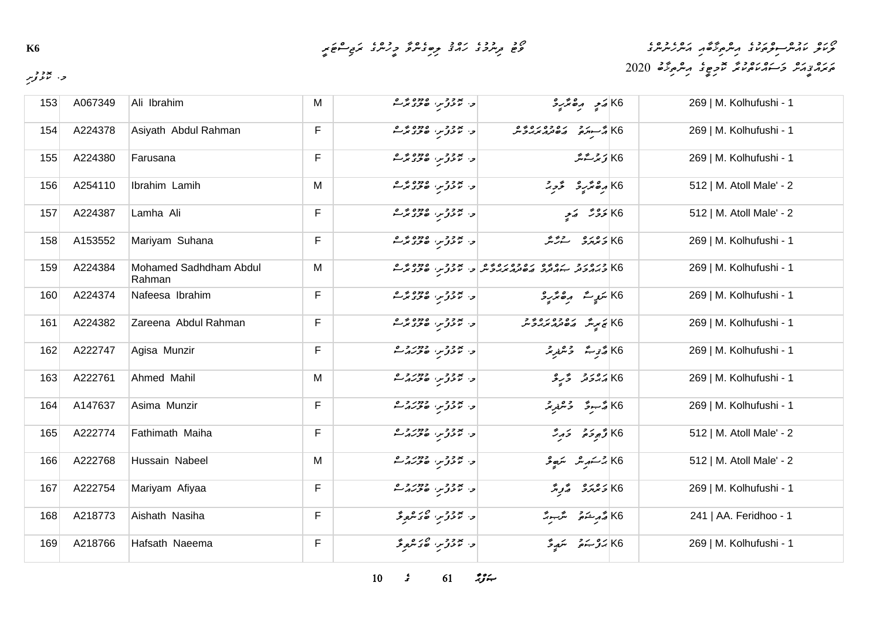*sCw7q7s5w7m< o<n9nOoAw7o< sCq;mAwBoEw7q<m; wBm;vB* م من المرة المرة المرة المرجع المرجع في المركبة 2020<br>مجم*د المريض المربوط المربع المرجع في المراجع المركبة* 

| ,,,<br>ر مو توسر<br>و۰ |
|------------------------|
|------------------------|

| 153 | A067349 | Ali Ibrahim                      | M            | د. نوروین ۱۵۶۶ ترم                      | K6 كەمچە بەھەتگەپەدى<br>                                      | 269   M. Kolhufushi - 1  |
|-----|---------|----------------------------------|--------------|-----------------------------------------|---------------------------------------------------------------|--------------------------|
| 154 | A224378 | Asiyath Abdul Rahman             | F            | د. موروبر، موروبر م                     | K6 ژــوره ده ده ده ده و                                       | 269   M. Kolhufushi - 1  |
| 155 | A224380 | Farusana                         | $\mathsf F$  | ه برود و ووه بره<br>د ناندوس هودبرگ     | K6 زیژشتر                                                     | 269   M. Kolhufushi - 1  |
| 156 | A254110 | Ibrahim Lamih                    | M            | د. بدود ۱۵۶۵ وروپه<br>د تاندوس گانورنگ  | K6 مەھم <i>گىي</i> ۇ گ <sub>ە</sub> رچ                        | 512   M. Atoll Male' - 2 |
| 157 | A224387 | Lamha Ali                        | $\mathsf F$  | و مودور، ۱۶۶۵ و.                        | K6 تری تھ تھ                                                  | 512   M. Atoll Male' - 2 |
| 158 | A153552 | Mariyam Suhana                   | $\mathsf{F}$ | د. بدوور، ۱۵۶۵ و.<br>د. بلاوس، ۱۳۶۵ برگ | K6 ئەيزىرى سەئەتىر                                            | 269   M. Kolhufushi - 1  |
| 159 | A224384 | Mohamed Sadhdham Abdul<br>Rahman | M            |                                         | K6 وره رو بره ده بره وه ره ده و به برو و به ده ه ده ده ده و ه | 269   M. Kolhufushi - 1  |
| 160 | A224374 | Nafeesa Ibrahim                  | F            | ه برود ۱۶۶۵ وروپه<br>د تانووس هوربر پ   | K6 سَمِيٍّ مَصَمَّرٍ وَحَمَّدٍ وَحَمَّدٍ وَ                   | 269   M. Kolhufushi - 1  |
| 161 | A224382 | Zareena Abdul Rahman             | $\mathsf F$  | د. بدو و موده مورد م                    | K6 ئوپېرىگە ئەھەرمەمەدە بور                                   | 269   M. Kolhufushi - 1  |
| 162 | A222747 | Agisa Munzir                     | F            | و الاعروب العلم العام الم               | K6 مَّ تِي جَمَّ وَسَّنْدِيْرَ                                | 269   M. Kolhufushi - 1  |
| 163 | A222761 | Ahmed Mahil                      | M            | و کارون ھورد و                          | K6 كەنزى ئەربى                                                | 269   M. Kolhufushi - 1  |
| 164 | A147637 | Asima Munzir                     | $\mathsf F$  | و الاعروب العلم العام الم               | K6 گەسىرى ئى ھىغىرىمى                                         | 269   M. Kolhufushi - 1  |
| 165 | A222774 | Fathimath Maiha                  | $\mathsf{F}$ | و الانور به دور د ه                     | K6 وَّجِوَدَةٌ وَرِدَّ                                        | 512   M. Atoll Male' - 2 |
| 166 | A222768 | Hussain Nabeel                   | M            | و الاعروب العلم العام الم               | K6 يُرْسَمْ مِيْرَ مَتَّتَّبِهِ فَرْ                          | 512   M. Atoll Male' - 2 |
| 167 | A222754 | Mariyam Afiyaa                   | $\mathsf F$  | و متورين ھورد و                         | K6 كاكترى <i>زى مەب</i> ر                                     | 269   M. Kolhufushi - 1  |
| 168 | A218773 | Aishath Nasiha                   | $\mathsf{F}$ | د. برود مره در مرض                      | K6 م <i>ەممىقى مەسىرى</i> گە                                  | 241   AA. Feridhoo - 1   |
| 169 | A218766 | Hafsath Naeema                   | $\mathsf F$  | و عووض ھي شھونگھ                        | K6 بَرُوْجَعْ مَهْدٍ وَّ                                      | 269   M. Kolhufushi - 1  |

 $10$  *s* 61  $\frac{2}{3}$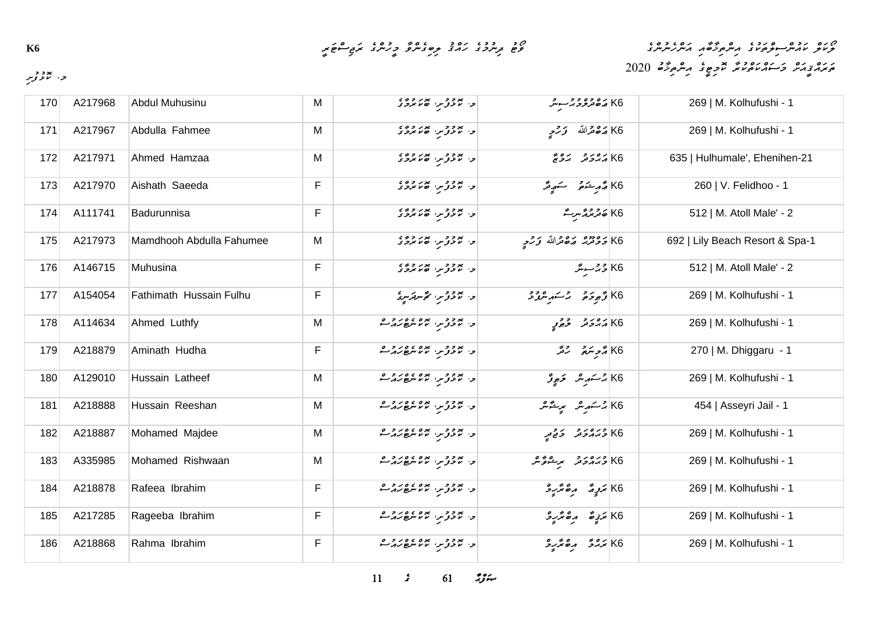*sCw7q7s5w7m< o<n9nOoAw7o< sCq;mAwBoEw7q<m; wBm;vB* م من المرة المرة المرة المرجع المرجع في المركبة 2020<br>مجم*د المريض المربوط المربع المرجع في المراجع المركبة* 

| 170 | A217968 | <b>Abdul Muhusinu</b>    | M           | د. مود د به مورد د د                          | K6 ئەھەر بۇ بەر يەسىر                                        | 269   M. Kolhufushi - 1         |
|-----|---------|--------------------------|-------------|-----------------------------------------------|--------------------------------------------------------------|---------------------------------|
| 171 | A217967 | Abdulla Fahmee           | M           | و مودوس مدروده                                | K6 كەھەراللە ئ <i>ۇرق</i>                                    | 269   M. Kolhufushi - 1         |
| 172 | A217971 | Ahmed Hamzaa             | M           | و مودور، مدروده و                             | K6 كەبرى قىر ئىرىم ئى                                        | 635   Hulhumale', Ehenihen-21   |
| 173 | A217970 | Aishath Saeeda           | F           | د. بدوو د بدر وده با<br>و: نانگوش، ځانگروی    | K6 مُەمشەق <sub>ق</sub> سەم <i>بەن</i> گە                    | 260   V. Felidhoo - 1           |
| 174 | A111741 | Badurunnisa              | F           | د. بدوو د بدر وده با<br>و: تانگوش، ځانگروی    | K6 ئ <i>ەنزىردى</i> بىرگ                                     | 512   M. Atoll Male' - 2        |
| 175 | A217973 | Mamdhooh Abdulla Fahumee | M           | و مود د به در ده و<br>د تانگرس ځامگردي        | K6 دَوْتَرْبُرْ مَهْ قَرْاللّهِ   تَرْحِرِ                   | 692   Lily Beach Resort & Spa-1 |
| 176 | A146715 | Muhusina                 | F           | و مودو مددود .<br>و مرکزیر، <i>ه</i> مبردی    | K6 د چرىسىدىگە                                               | 512   M. Atoll Male' - 2        |
| 177 | A154054 | Fathimath Hussain Fulhu  | F           | والمعموقوس كالملاكر سريمه                     | K6 رَّجِ <i>ج</i> َ حَمَّ بِرَ سَمَّ <i>مِر مَرْدُ</i> حَرَّ | 269   M. Kolhufushi - 1         |
| 178 | A114634 | Ahmed Luthfy             | M           | و الاوور الام بره ده و ه                      | K6 كەندى قىرىمى ئىچە ئىچە ئىچە ئ                             | 269   M. Kolhufushi - 1         |
| 179 | A218879 | Aminath Hudha            | F           | و مورو بره ده در ده                           | K6 مَّ مِ سَعَّةٍ حَسَّ                                      | 270   M. Dhiggaru - 1           |
| 180 | A129010 | Hussain Latheef          | M           | د سروم سره ۱۵۶۵م و.<br>د ناندوس نانانتری در م | K6 يُرَسَمبِ شَرَ وَجِوتَرَ ا                                | 269   M. Kolhufushi - 1         |
| 181 | A218888 | Hussain Reeshan          | M           | د سروم سره ۱۵۶۵م و.<br>د ناندوس نانانتری در م | K6 يُرَسَمُ مِن مَدِينَة مِنْ                                | 454   Asseyri Jail - 1          |
| 182 | A218887 | Mohamed Majdee           | M           | د سروم سره ۱۵۶۵ و.<br>د سروم سرمین            | K6 دُبَرْدْدَتْرْ كَمَعْ مِرِ                                | 269   M. Kolhufushi - 1         |
| 183 | A335985 | Mohamed Rishwaan         | M           | و مورو بده ده دوره                            | K6 <i>32825 برخومٌ</i> س                                     | 269   M. Kolhufushi - 1         |
| 184 | A218878 | Rafeea Ibrahim           | $\mathsf F$ | و الاوور بده عام دوره                         | K6 بَرَوٍ مَدَّ مِنْ مَرْكَبِ وَ                             | 269   M. Kolhufushi - 1         |
| 185 | A217285 | Rageeba Ibrahim          | F           | و الادوس بده عام دوره                         | K6 بَرَبِّي مَ مِرْهُ مَّرْرِدْ                              | 269   M. Kolhufushi - 1         |
| 186 | A218868 | Rahma Ibrahim            | F           | و مورو بره ده در ده                           | K6 بَرْبُرْدَ مِنْ بِرْدِ وَ                                 | 269   M. Kolhufushi - 1         |

 $11$  *s* 61 *i*<sub>3</sub> *i*<sub>4</sub>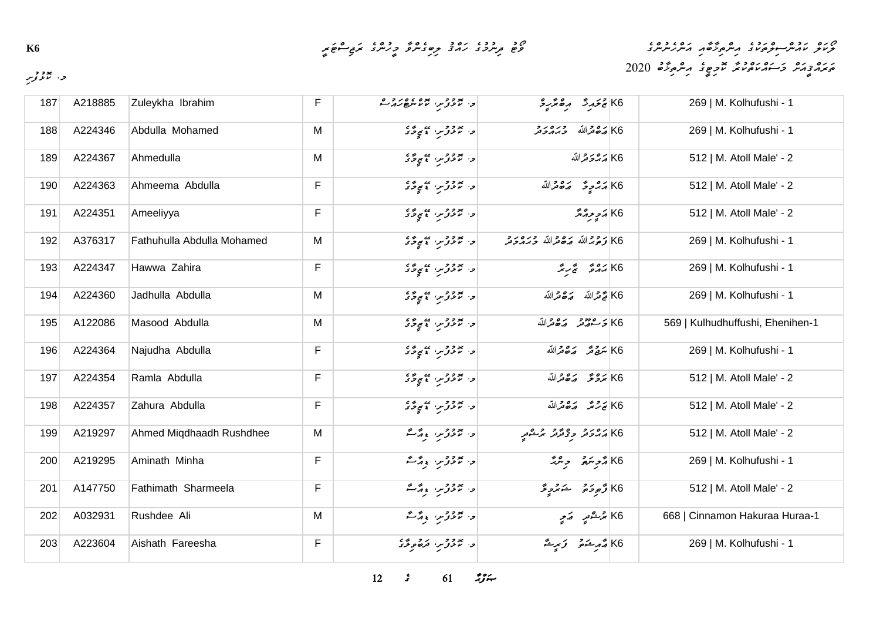*sCw7q7s5w7m< o<n9nOoAw7o< sCq;mAwBoEw7q<m; wBm;vB* م من المرة المرة المرة المرجع المرجع في المركبة 2020<br>مجم*د المريض المربوط المربع المرجع في المراجع المركبة* 

| 187 | A218885 | Zuleykha Ibrahim           | F | و الاوور الده عام دوره        | K6 ىخ <i>قرى<sup>5</sup> مۇھ مۇرى</i> 3                                | 269   M. Kolhufushi - 1          |
|-----|---------|----------------------------|---|-------------------------------|------------------------------------------------------------------------|----------------------------------|
| 188 | A224346 | Abdulla Mohamed            | M | د. بروو په په ده و            | K6 كەھەراللە <i>مەم</i> رىر                                            | 269   M. Kolhufushi - 1          |
| 189 | A224367 | Ahmedulla                  | M | ل پروژمر، "پارچي              | K6 كەبۇ ئەتىراللە                                                      | 512   M. Atoll Male' - 2         |
| 190 | A224363 | Ahmeema Abdulla            | F | ل پرووړ، » پوځو               | K6 كەبۇ ھەمىراللە                                                      | 512   M. Atoll Male' - 2         |
| 191 | A224351 | Ameeliyya                  | F | و. مودوم، عمومی               | K6 كەچەمەتە                                                            | 512   M. Atoll Male' - 2         |
| 192 | A376317 | Fathuhulla Abdulla Mohamed | M | د برووس» په ده په             | K6 وَحَدَّجَ اللَّهُ صَدَّقَ قِرْاللَّهُ حَ بَرَهُ حَ <sup>دِ</sup> دِ | 269   M. Kolhufushi - 1          |
| 193 | A224347 | Hawwa Zahira               | F | د. بروو به علم ده به د        | K6 ئەيمۇ ئىچ رىتىگە                                                    | 269   M. Kolhufushi - 1          |
| 194 | A224360 | Jadhulla Abdulla           | M | د. برووس په پوځ               | K6 تَحْمَدُاللّه صَ <b>صْحَ</b> رْاللّه                                | 269   M. Kolhufushi - 1          |
| 195 | A122086 | Masood Abdulla             | M | د. برود <sub>ب</sub> ه په پوځ | K6 كەمەمىر مەھەرللە                                                    | 569   Kulhudhuffushi, Ehenihen-1 |
| 196 | A224364 | Najudha Abdulla            | F | د. بروو به علم ده به د        | K6 تربيءَ <i>۾ گ</i> ھ قرالله                                          | 269   M. Kolhufushi - 1          |
| 197 | A224354 | Ramla Abdulla              | F | د. بود دور، ۴ پوځ د           | K6 يَرْدَّقَ بَرَهْ قَرْاللَّه                                         | 512   M. Atoll Male' - 2         |
| 198 | A224357 | Zahura Abdulla             | F | و. موږوس په پوځو              | K6 يَحْرَ مَرَّ مَرْكَ مِرْاللَّه                                      | 512   M. Atoll Male' - 2         |
| 199 | A219297 | Ahmed Miqdhaadh Rushdhee   | M | د. بودوس وړمنځ                | K6 كەبۇبۇقر ب <sub>و</sub> تۇتر ئرش <sup>و</sup> نرٍ                   | 512   M. Atoll Male' - 2         |
| 200 | A219295 | Aminath Minha              | F | د. ندود به درگ                | K6 مَّحِسَمَّةٌ حِسَّدَّ                                               | 269   M. Kolhufushi - 1          |
| 201 | A147750 | Fathimath Sharmeela        | F | د. ندود به درگ                | K6 <i>وَّجوحَمْ   ڪمرُجِ گُر</i>                                       | 512   M. Atoll Male' - 2         |
| 202 | A032931 | Rushdee Ali                | M | د. ندود به درگ                | K6 ټرش <sup>و</sup> پر ک <i>ړې</i>                                     | 668   Cinnamon Hakuraa Huraa-1   |
| 203 | A223604 | Aishath Fareesha           | F | د به دوم، مَرْهُ وِعْهُ       | K6 مَّەرِ شَمَّة كَسِرْ شَمَّ                                          | 269   M. Kolhufushi - 1          |

 $12$  *s* 61  $23$   $\div$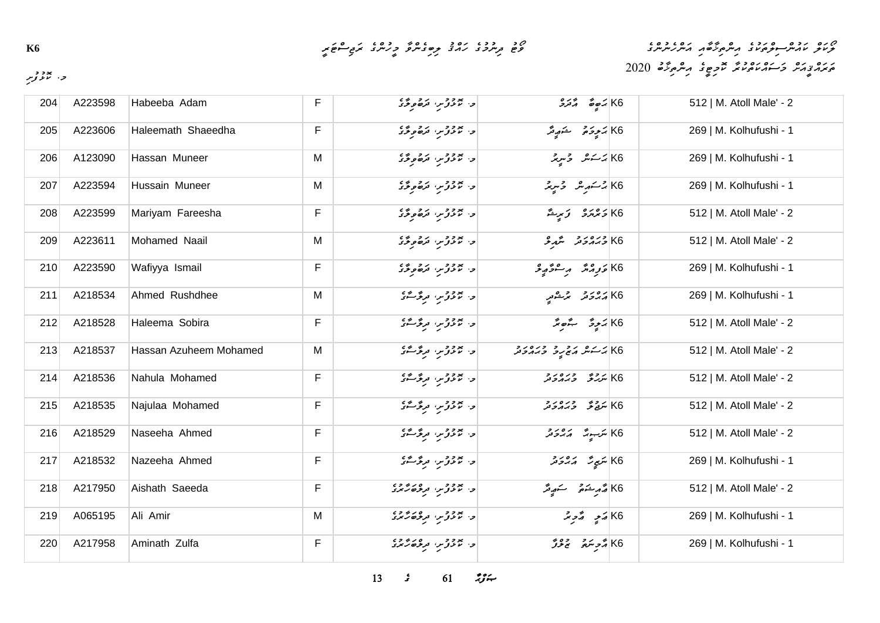*sCw7q7s5w7m< o<n9nOoAw7o< sCq;mAwBoEw7q<m; wBm;vB* م من المرة المرة المرة المرجع المرجع في المركبة 2020<br>مجم*د المريض المربوط المربع المرجع في المراجع المركبة* 

| 204 | A223598 | Habeeba Adam           | F            | د ندود روووژ                            |                                          | 512   M. Atoll Male' - 2 |
|-----|---------|------------------------|--------------|-----------------------------------------|------------------------------------------|--------------------------|
| 205 | A223606 | Haleemath Shaeedha     | F            | و مودور، ترەم ۋى                        | K6 بَرْمٍ وَتَمْ صَنَّمٍ مَّرَ           | 269   M. Kolhufushi - 1  |
| 206 | A123090 | Hassan Muneer          | M            | ه برووس مرضوعه                          | K6   يَرْسَمْ _ وَسِرِيْرُ               | 269   M. Kolhufushi - 1  |
| 207 | A223594 | Hussain Muneer         | M            | ن پروژبر، م <i>رکا</i> و گری            | K6 يُرْسَمْ بِيْرِ وَسِيْرَ              | 269   M. Kolhufushi - 1  |
| 208 | A223599 | Mariyam Fareesha       | F            | د. مودوس ترەم ئى                        | K6 <i>وَجُهْرُوْ وَمِ</i> رِيْدُ         | 512   M. Atoll Male' - 2 |
| 209 | A223611 | Mohamed Naail          | M            | د برووس ترەم دى                         | K6 دېم <i>ډېره پې</i> مبر                | 512   M. Atoll Male' - 2 |
| 210 | A223590 | Wafiyya Ismail         | F            | د بروور، مَرْهُ وِعْرَ                  | K6 <i>قرەمگە م</i> ېشىمۇمېتى             | 269   M. Kolhufushi - 1  |
| 211 | A218534 | Ahmed Rushdhee         | M            | ە بىرودىن مەۋشى                         | K6 <i>كەنگە كىل م</i> رىش <sub>ى</sub> ر | 269   M. Kolhufushi - 1  |
| 212 | A218528 | Haleema Sobira         | $\mathsf F$  | و. <i>۱۶۶۶م، مرگ</i> رگرگا              | K6 كەمچە ئەسىمە ئىقدىن ئى                | 512   M. Atoll Male' - 2 |
| 213 | A218537 | Hassan Azuheem Mohamed | M            | و. <i>مودوس م</i> رگرگری                | K6 يَرْسَسْ مَعْ رِحْ وَبَرْمُ وَلَا     | 512   M. Atoll Male' - 2 |
| 214 | A218536 | Nahula Mohamed         | $\mathsf F$  | ە بودۇس مەۋسۇي                          | K6 يَرْرُقُ فَرَيْرُونَزْ                | 512   M. Atoll Male' - 2 |
| 215 | A218535 | Najulaa Mohamed        | $\mathsf{F}$ | ە بودۇر، مەۋشى                          | K6 يَرْدِيْرَ وَبَرُدُونَرْ              | 512   M. Atoll Male' - 2 |
| 216 | A218529 | Naseeha Ahmed          | $\mathsf F$  | ە بىرودىن مەۋشى                         | K6 ىترىبو <i>ندۇ مەندى ق</i> ر           | 512   M. Atoll Male' - 2 |
| 217 | A218532 | Nazeeha Ahmed          | F            | ە بودۇر، مەۋشى                          |                                          | 269   M. Kolhufushi - 1  |
| 218 | A217950 | Aishath Saeeda         | $\mathsf F$  | د. ندووس مرده شود،<br>د. ندووس مرده شدد | K6 مَّەرِ شَمَّة سَمَّةٍ مَّ             | 512   M. Atoll Male' - 2 |
| 219 | A065195 | Ali Amir               | M            | د. ندووس مرده شود،<br>د. ندووس مرده شدد | K6 كەمچە گەجەمگە                         | 269   M. Kolhufushi - 1  |
| 220 | A217958 | Aminath Zulfa          | F            | د. مودوس مرو <i>مود</i> ه               | K6 مُجِسَعَة حَمَوْزٌ                    | 269   M. Kolhufushi - 1  |

 $13$  *s* 61  $23$   $\div$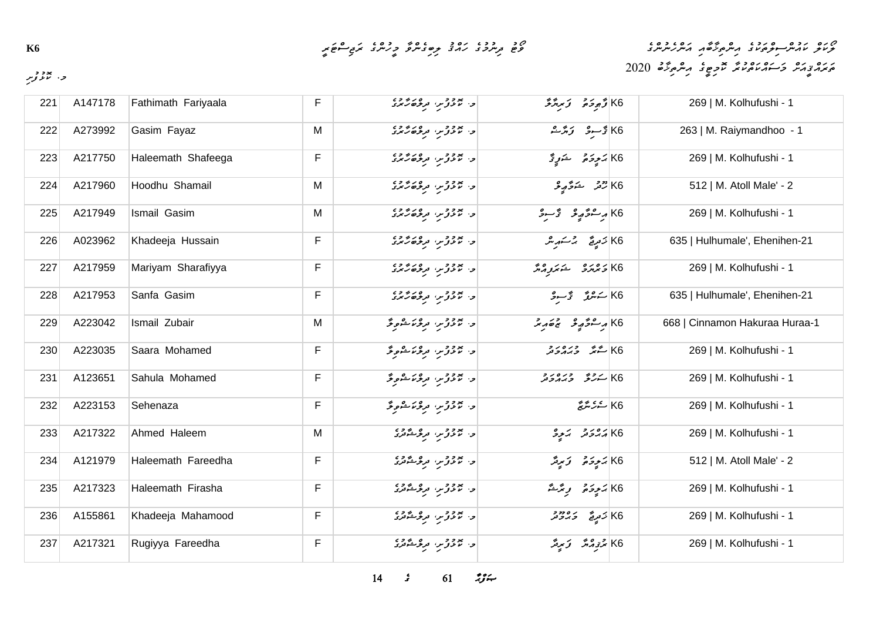*sCw7q7s5w7m< o<n9nOoAw7o< sCq;mAwBoEw7q<m; wBm;vB* م من المرة المرة المرة المرجع المرجع في المركبة 2020<br>مجم*د المريض المربوط المربع المرجع في المراجع المركبة* 

| 221 | A147178 | Fathimath Fariyaala | F | و مودوس مرو <i>کار</i> وه              | K6 ۇ <sub>ج</sub> ورۇ تەر ئەرلا              | 269   M. Kolhufushi - 1        |
|-----|---------|---------------------|---|----------------------------------------|----------------------------------------------|--------------------------------|
| 222 | A273992 | Gasim Fayaz         | M | و الانووس فرخص بروه                    | K6 تۇسىۋە <b>ئ</b> ەتئەشە                    | 263   M. Raiymandhoo - 1       |
| 223 | A217750 | Haleemath Shafeega  | F | و الانووس فرخص بروه                    | K6 كەمچەكتە ھەرپ <sup>ى</sup> گە             | 269   M. Kolhufushi - 1        |
| 224 | A217960 | Hoodhu Shamail      | M | و نووومبر، مرده دوه                    | K6 يىتر مە <i>ۋرى</i> تى                     | 512   M. Atoll Male' - 2       |
| 225 | A217949 | Ismail Gasim        | M | و اندووس مروه دوه                      | K6 مِـــْمَوَّمِهِ عَــَ وَّــَــِ وَ        | 269   M. Kolhufushi - 1        |
| 226 | A023962 | Khadeeja Hussain    | F | و الانووس فرخص بروه                    | K6 كَتَعِيقٌ مَحْسَبِ مِسْرٍ مِسْرٍ          | 635   Hulhumale', Ehenihen-21  |
| 227 | A217959 | Mariyam Sharafiyya  | F | د. بدوو<br>د. ناندوس تروگاربرد         | K6 <i>كَمُرْمَرْدْ َ حُمَّتْرِوْ مُ</i> مََّ | 269   M. Kolhufushi - 1        |
| 228 | A217953 | Sanfa Gasim         | F | و نووومبر مردوره ولا                   | K6 سَمَتَدَّ تَوَ- تَرَ                      | 635   Hulhumale', Ehenihen-21  |
| 229 | A223042 | Ismail Zubair       | M | و لاروپر، مروكاڪورگر                   | K6 مەشقۇمچە ئەھە <i>م</i> گە                 | 668   Cinnamon Hakuraa Huraa-1 |
| 230 | A223035 | Saara Mohamed       | F | و لارومن مروكالشورمح                   | K6 جو پيرونو                                 | 269   M. Kolhufushi - 1        |
| 231 | A123651 | Sahula Mohamed      | F | و لارومن مروكالشورمح                   | K6 جايز تو برورو د                           | 269   M. Kolhufushi - 1        |
| 232 | A223153 | Sehenaza            | F | و غۇرى بېرىكىشوگ                       | K6 كەر ئەتەتىج                               | 269   M. Kolhufushi - 1        |
| 233 | A217322 | Ahmed Haleem        | M | د. مودوس مروشوری                       | K6 كەندى كە بەر بىر كەندىيە ئال              | 269   M. Kolhufushi - 1        |
| 234 | A121979 | Haleemath Fareedha  | F | و نوووس مروشهره                        | K6 كەچەقە قىمىقە                             | 512   M. Atoll Male' - 2       |
| 235 | A217323 | Haleemath Firasha   | F | و نوووس مروشوری                        |                                              | 269   M. Kolhufushi - 1        |
| 236 | A155861 | Khadeeja Mahamood   | F | د. برووس ترويدون<br>د. نانووس ترويشهري | K6 كَتْرِيعٌ - كَ <sup>29</sup> وتْر         | 269   M. Kolhufushi - 1        |
| 237 | A217321 | Rugiyya Fareedha    | F | و مودوس مروشوری<br>و مورکس مروشوری     | K6 تُمْتِرِمُ مَمَّ كَسِرْمَ لَ              | 269   M. Kolhufushi - 1        |

*o6q?q:u; .>*

 $14$  *s* 61  $23$   $\div$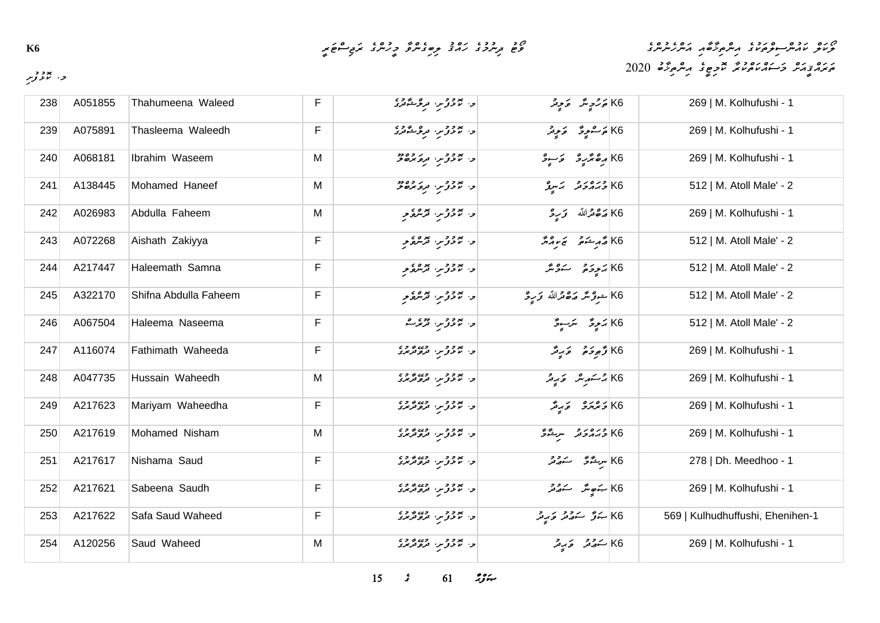*sCw7q7s5w7m< o<n9nOoAw7o< sCq;mAwBoEw7q<m; wBm;vB* م من المسجد المسجد المسجد المسجد المسجد العام 2020<br>مسجد المسجد المسجد المسجد المسجد المسجد المسجد المسجد المسجد ال

| 238 | A051855 | Thahumeena Waleed     | F           | د به دور مروث ده                                   | K6 كۆر <i>مۇ</i> ھەمچەتر                         | 269   M. Kolhufushi - 1          |
|-----|---------|-----------------------|-------------|----------------------------------------------------|--------------------------------------------------|----------------------------------|
| 239 | A075891 | Thasleema Waleedh     | F           | و. مودوس مروشورو                                   | K6 كۆرىشىچە قەمچەتر                              | 269   M. Kolhufushi - 1          |
| 240 | A068181 | Ibrahim Waseem        | M           | و مودور مره ده ده.<br>د ملورس مره بره د            | K6 مەھم <i>گىرى ق</i> ېسىۋ                       | 269   M. Kolhufushi - 1          |
| 241 | A138445 | Mohamed Haneef        | M           | و مووو .<br>د ملووس مر <i>وموه</i> و               | K6 دېم <i>ډېر ت</i> ر تر                         | 512   M. Atoll Male' - 2         |
| 242 | A026983 | Abdulla Faheem        | M           | و· نوروس مورونا                                    | K6 كەھەراللە   ترىرى                             | 269   M. Kolhufushi - 1          |
| 243 | A072268 | Aishath Zakiyya       | F           | و: نونونور، محروره مح                              | K6 مەم ئىقسىم ئىم ئىرىدىگە                       | 512   M. Atoll Male' - 2         |
| 244 | A217447 | Haleemath Samna       | F           | و· نورووس محرم <i>وغ</i>                           | K6 كېچىق سىۋىگە                                  | 512   M. Atoll Male' - 2         |
| 245 | A322170 | Shifna Abdulla Faheem | $\mathsf F$ | و· نوروس محروري                                    | K6 خوتر كەڭ قراللە  ترىرى                        | 512   M. Atoll Male' - 2         |
| 246 | A067504 | Haleema Naseema       | F           | د. بدود به دور م                                   | K6 كيميون - مترسي <del>ر</del>                   | 512   M. Atoll Male' - 2         |
| 247 | A116074 | Fathimath Waheeda     | F           | و بروور ون وه و .<br>د نوگوس تروتربری              | K6 <i>وَّجِوحَمْ وَب</i> ِعَّ <i>ر</i>           | 269   M. Kolhufushi - 1          |
| 248 | A047735 | Hussain Waheedh       | M           | و. مووور، ون وو.<br>د. مانگوس، فروترمزی            | K6 يُرْسَمب <sup>9</sup> مَ <sub>مَ</sub> رِيْرُ | 269   M. Kolhufushi - 1          |
| 249 | A217623 | Mariyam Waheedha      | F           | و مووو ده وه.<br>و ملوومن تروتربری                 | K6 كەنگە <i>نگەڭ قەب</i> ونگە                    | 269   M. Kolhufushi - 1          |
| 250 | A217619 | Mohamed Nisham        | M           | و. مووو د وړه و ،<br>د کانگوس تروترمرد             | K6 <i>\$222 مرتدمي.</i>                          | 269   M. Kolhufushi - 1          |
| 251 | A217617 | Nishama Saud          | F           | و. موووم، ون ووي.<br> و. ما نوفرمن، فروفرمزی       | K6 سريشگر ڪر <i>و</i> ئر                         | 278   Dh. Meedhoo - 1            |
| 252 | A217621 | Sabeena Saudh         | F           | و. موووم، و <i>ده و و ه</i><br>د کالاتوم، فروفرمرد | K6 بەھ شەھەتمە                                   | 269   M. Kolhufushi - 1          |
| 253 | A217622 | Safa Saud Waheed      | F           | و. مووود اوه وه.<br>د ملموتوس فروفرمرد             | K6 جۇ سە <i>ھەتى ق</i> ەيدى <i>تى</i>            | 569   Kulhudhuffushi, Ehenihen-1 |
| 254 | A120256 | Saud Waheed           | M           | ه بروو .<br> و· نانگوس؛ تروتربری                   | K6 ڪر <i>و</i> گر ڪربي گر                        | 269   M. Kolhufushi - 1          |

 $15$  *s* 61  $23$   $\div$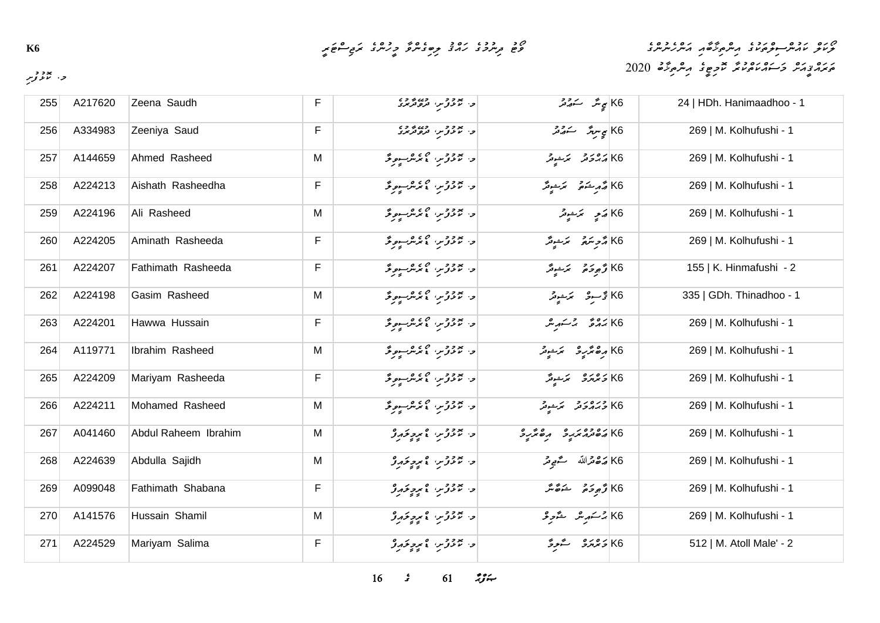*sCw7q7s5w7m< o<n9nOoAw7o< sCq;mAwBoEw7q<m; wBm;vB* م من المرة المرة المرة المرجع المرجع في المركبة 2020<br>مجم*د المريض المربوط المربع المرجع في المراجع المركبة* 

| 255 | A217620 | Zeena Saudh          | F           | د. برووس وروده.<br>د. نانگوش، مرومگر مرد | K6 بویٹر کے قرقر                            | 24   HDh. Hanimaadhoo - 1 |
|-----|---------|----------------------|-------------|------------------------------------------|---------------------------------------------|---------------------------|
| 256 | A334983 | Zeeniya Saud         | F           | و. بووو<br> و. ماندوس، فروتربری          | K6 <sub>مج</sub> سرتمر سنقرقر               | 269   M. Kolhufushi - 1   |
| 257 | A144659 | Ahmed Rasheed        | M           | د. توروس کا تر مار بروگر                 | K6 كەبرى كىل كەر بىر ئىرىدى كىل             | 269   M. Kolhufushi - 1   |
| 258 | A224213 | Aishath Rasheedha    | $\mathsf F$ | د. توروس کا تر مار موثر محمد الله من     | K6 مُرْمِسْتَمْ مَرْسِمْتُرْ                | 269   M. Kolhufushi - 1   |
| 259 | A224196 | Ali Rasheed          | M           | د. توروس كالرماسوم كل                    | K6 كەمچە كەشى <sub>ي</sub> ىتەر             | 269   M. Kolhufushi - 1   |
| 260 | A224205 | Aminath Rasheeda     | F           | د. توروس کا تر مار بروگر                 | K6 مَّ حِ سَمَّةٍ مَ سَنِّبِةً مِّ          | 269   M. Kolhufushi - 1   |
| 261 | A224207 | Fathimath Rasheeda   | F           | د. توروس کا تر مار بروگر                 | K6 رَّجِ دَمَرَ مَرَسُوِمَّرَ               | 155   K. Hinmafushi - 2   |
| 262 | A224198 | Gasim Rasheed        | M           | د. توروس کا تر مار موثر محمد الله من     | K6 تَخْرِجْ مَحْسَبِيْتِيْتَرَ              | 335   GDh. Thinadhoo - 1  |
| 263 | A224201 | Hawwa Hussain        | $\mathsf F$ | د. توروس کا تر مار بروگر                 | K6 ئەيرق ئەسىر ش                            | 269   M. Kolhufushi - 1   |
| 264 | A119771 | Ibrahim Rasheed      | M           | د. توروس کا تر مار موثر محمد الله من     | K6 مەھەر ئىچە ئىم ئىسىمىسى ئىس              | 269   M. Kolhufushi - 1   |
| 265 | A224209 | Mariyam Rasheeda     | F           | د. توروس کا تر مار بروگر                 | K6 كەنگەنگە كەنسىرىگە                       | 269   M. Kolhufushi - 1   |
| 266 | A224211 | Mohamed Rasheed      | M           | د. توروس کا تر مار موثر محمد الله من     | K6 <i>ۇنەمگە قىر مەش<sub>ى</sub>ق</i> ر     | 269   M. Kolhufushi - 1   |
| 267 | A041460 | Abdul Raheem Ibrahim | M           | و غورس ، برد د و ک                       | K6 <i>בەقىھ ترىرى مەھترى</i> رى             | 269   M. Kolhufushi - 1   |
| 268 | A224639 | Abdulla Sajidh       | M           | ه برووس ؟ برو دَروْ                      | K6 كەھەراللە گەھ ئىر                        | 269   M. Kolhufushi - 1   |
| 269 | A099048 | Fathimath Shabana    | $\mathsf F$ | و غرومن إيرو وكرو                        | K6 <i>وَّجِوَدَة</i> شَ <sub>َ</sub> صَّرَّ | 269   M. Kolhufushi - 1   |
| 270 | A141576 | Hussain Shamil       | M           | و توفروس لم يرد و در و                   | K6 يُرْسَمبِ مَّرْ مِيَّة وَ عَلَى الله     | 269   M. Kolhufushi - 1   |
| 271 | A224529 | Mariyam Salima       | F           | د ميموفرس ؟ مرد و كرو                    | K6 كا <i>بروگري سگو</i> گر                  | 512   M. Atoll Male' - 2  |

 $16$  *s* 61  $23$   $\div$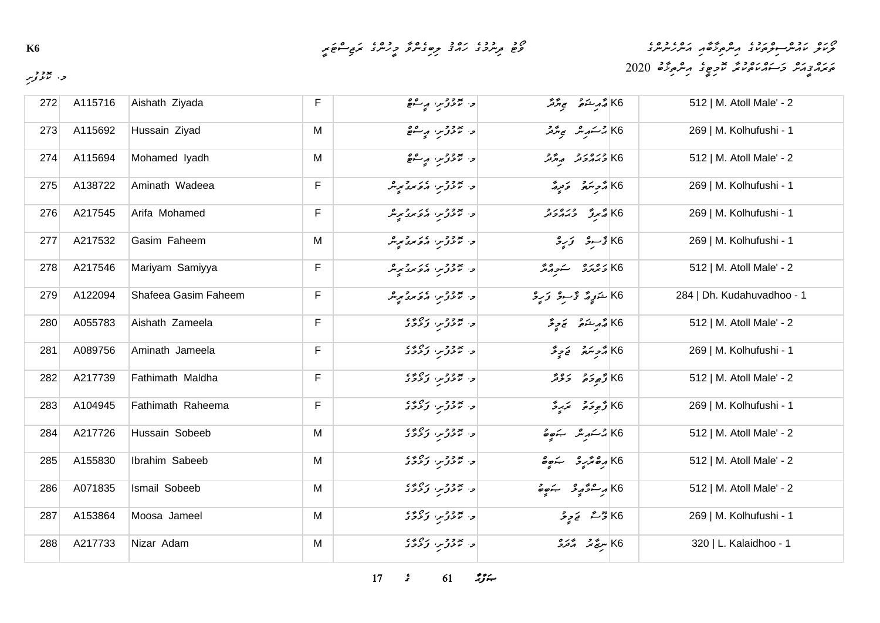*sCw7q7s5w7m< o<n9nOoAw7o< sCq;mAwBoEw7q<m; wBm;vB* م من المرة المرة المرة المرجع المرجع في المركبة 2020<br>مجم*د المريض المربوط المربع المرجع في المراجع المركبة* 

| 272 | A115716 | Aishath Ziyada       | F           | د. ندود را روم             | K6 گەمەھقىق س <sub>ى</sub> رگىگە                                                                  | 512   M. Atoll Male' - 2   |
|-----|---------|----------------------|-------------|----------------------------|---------------------------------------------------------------------------------------------------|----------------------------|
| 273 | A115692 | Hussain Ziyad        | M           | ه برود به رقيع ا           | K6 بڑے پہ میں محمد تقریبات                                                                        | 269   M. Kolhufushi - 1    |
| 274 | A115694 | Mohamed Iyadh        | M           | و عودوس رياع               | K6 دُبَرْدُدَتْر مِتَرْتَرُ                                                                       | 512   M. Atoll Male' - 2   |
| 275 | A138722 | Aminath Wadeea       | F           | والعموض المقامرة مرهر      | K6 مَّحِ سَمَّۃٌ    مَسِمَّۃٌ                                                                     | 269   M. Kolhufushi - 1    |
| 276 | A217545 | Arifa Mohamed        | F           | والعموض المقامرة مرهر      | K6 مەمرۇ <i>مەمم</i> ەم                                                                           | 269   M. Kolhufushi - 1    |
| 277 | A217532 | Gasim Faheem         | M           | و غور دو د کارو مور        | K6 تۇسىر <i>ى تۇر</i> بى                                                                          | 269   M. Kolhufushi - 1    |
| 278 | A217546 | Mariyam Samiyya      | $\mathsf F$ | و غروين مؤثر عربي          | K6 كالانترىزى سكر م <sup>و</sup> ر                                                                | 512   M. Atoll Male' - 2   |
| 279 | A122094 | Shafeea Gasim Faheem | F           | و غروفرس مؤثر ويرهم        | K6 خ <i>وړ ڈ</i> یو زرد                                                                           | 284   Dh. Kudahuvadhoo - 1 |
| 280 | A055783 | Aishath Zameela      | F           | د. مودو <sub>س ک</sub> رده | K6 مَەرشىق ت <sub>ى تو</sub> گر                                                                   | 512   M. Atoll Male' - 2   |
| 281 | A089756 | Aminath Jameela      | F           | و. نووون ژوه و             | K6 مَّحِسَمَۃ یَے جِمَّ                                                                           | 269   M. Kolhufushi - 1    |
| 282 | A217739 | Fathimath Maldha     | F           | ه به دوم کره وه            | K6 رَّج <i>ِ دَمَّة دَوْمَّة</i>                                                                  | 512   M. Atoll Male' - 2   |
| 283 | A104945 | Fathimath Raheema    | F           | و. نوووس ژووی              | K6 وَّجِ حَقَّ تَمَدِيَّ                                                                          | 269   M. Kolhufushi - 1    |
| 284 | A217726 | Hussain Sobeeb       | M           | و. نوووس وگاه با           | K6 يُرسَمب <sup>9</sup> سَنَصِصُ                                                                  | 512   M. Atoll Male' - 2   |
| 285 | A155830 | Ibrahim Sabeeb       | M           | د. بودوس زره و،            | $\frac{2}{3}$ $\frac{2}{3}$ $\frac{2}{3}$ $\frac{2}{3}$ $\frac{2}{3}$ $\frac{2}{3}$ $\frac{2}{3}$ | 512   M. Atoll Male' - 2   |
| 286 | A071835 | Ismail Sobeeb        | M           | د. بودوس زره و،            | $\frac{2}{9}$ مِ سَرَّمِ وَ سَرَمِ 16                                                             | 512   M. Atoll Male' - 2   |
| 287 | A153864 | Moosa Jameel         | M           | ه به دوم کرده و            | K6 تحقيق ت <sub>ح</sub> مي                                                                        | 269   M. Kolhufushi - 1    |
| 288 | A217733 | Nizar Adam           | M           | ه بودوس وپره               | K6 سِيِّعْہُ گَمَ <i>مُ</i> قَرَّدُ                                                               | 320   L. Kalaidhoo - 1     |

 $17$  *s* 61  $23$   $\div$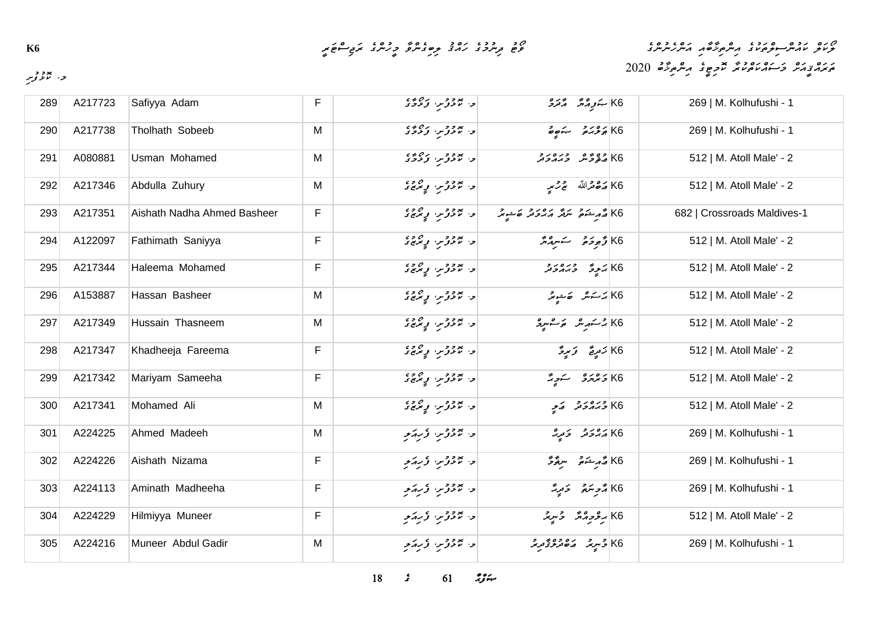*sCw7q7s5w7m< o<n9nOoAw7o< sCq;mAwBoEw7q<m; wBm;vB* م من المسجد المسجد المسجد المسجد المسجد العام 2020<br>مسجد المسجد المسجد المسجد المسجد المسجد المسجد المسجد المسجد ال

| 289 | A217723 | Safiyya Adam                | F           | د. ندوو به دچون                               | K6 بەرەكە ئەترى                                     | 269   M. Kolhufushi - 1     |
|-----|---------|-----------------------------|-------------|-----------------------------------------------|-----------------------------------------------------|-----------------------------|
| 290 | A217738 | Tholhath Sobeeb             | M           | والعمودس وكالحاء                              | $69.225$ $\frac{2}{3}$ $\frac{1}{2}$ K <sub>6</sub> | 269   M. Kolhufushi - 1     |
| 291 | A080881 | Usman Mohamed               | M           | و. نووون ژوه و                                | K6 رَوْحُ شَرَ دَيْرَ دَرَ                          | 512   M. Atoll Male' - 2    |
| 292 | A217346 | Abdulla Zuhury              | M           | د. برووس و ده ده                              | K6 كەھەراللە ج <sup>و</sup> مىر                     | 512   M. Atoll Male' - 2    |
| 293 | A217351 | Aishath Nadha Ahmed Basheer | F           |                                               | K6 مريدة مرتكز مرورد كالشوش من الداروس ومرجود       | 682   Crossroads Maldives-1 |
| 294 | A122097 | Fathimath Saniyya           | $\mathsf F$ | و. موووس و موج                                | K6 زَّەپرىق سەسىدىگە                                | 512   M. Atoll Male' - 2    |
| 295 | A217344 | Haleema Mohamed             | F           | و به دور و ده و ،                             | K6 يَرِوُّ وَيَهْدُوَنْدُ                           | 512   M. Atoll Male' - 2    |
| 296 | A153887 | Hassan Basheer              | M           | و. ۶۶۶ و.<br>د انگلوگور، و مربع و             | K6 كەسكە ھەھبەتر                                    | 512   M. Atoll Male' - 2    |
| 297 | A217349 | Hussain Thasneem            | M           | و. بود و د به ده و ،<br>د انگلوتور، و بود و ، | K6 يُرْسَمْ مِنْ مِنْ سِرْمِيْر                     | 512   M. Atoll Male' - 2    |
| 298 | A217347 | Khadheeja Fareema           | F           | ه برووس و ده ده<br>د اندوس و برد د            | K6 كَتْمِيعٌ - وَمَمِيرًا -                         | 512   M. Atoll Male' - 2    |
| 299 | A217342 | Mariyam Sameeha             | $\mathsf F$ | و برووس و ده و ،                              | K6 كا <i>كار برگردگر</i><br>K6                      | 512   M. Atoll Male' - 2    |
| 300 | A217341 | Mohamed Ali                 | M           | و برووس و ده و ،                              | K6 ديرون تر چ                                       | 512   M. Atoll Male' - 2    |
| 301 | A224225 | Ahmed Madeeh                | M           | والعموقوس كريرتو                              | K6 كەندى كى توپر                                    | 269   M. Kolhufushi - 1     |
| 302 | A224226 | Aishath Nizama              | F           | والعموقر وكريزير                              | K6 مُەشەم سِتَى گ                                   | 269   M. Kolhufushi - 1     |
| 303 | A224113 | Aminath Madheeha            | $\mathsf F$ | والعموقون وكرمزمو                             | K6 مَّ <i>جِسَعْہ حَ</i> مِيدَّ                     | 269   M. Kolhufushi - 1     |
| 304 | A224229 | Hilmiyya Muneer             | $\mathsf F$ | والعموقون وترمظر                              | K6 برو <i>و ډېر</i> وسرپر                           | 512   M. Atoll Male' - 2    |
| 305 | A224216 | Muneer Abdul Gadir          | M           | والعمود والمركز                               | K6 دُسِرِيْر مَصْرُوتَوْتِرِيْر                     | 269   M. Kolhufushi - 1     |

 $18$  *s* 61 *i*<sub>3</sub> *i*<sub>4</sub>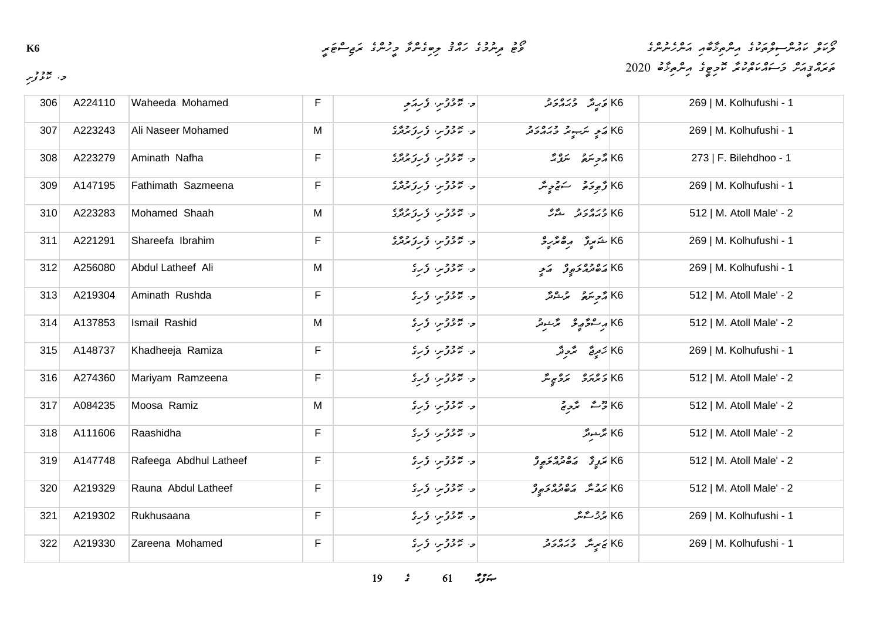*sCw7q7s5w7m< o<n9nOoAw7o< sCq;mAwBoEw7q<m; wBm;vB* م من المرة المرة المرة المرجع المرجع في المركبة 2020<br>مجم*د المريض المربوط المربع المرجع في المراجع المركبة* 

| > > ×<br>ما عر توسر | ٠, |
|---------------------|----|
|---------------------|----|

| 306 | A224110 | Waheeda Mohamed        | F           | د اللودوس وكريمو                 | K6 كەبەن <i>گە ئەنەم</i> گەند           | 269   M. Kolhufushi - 1  |
|-----|---------|------------------------|-------------|----------------------------------|-----------------------------------------|--------------------------|
| 307 | A223243 | Ali Naseer Mohamed     | M           | د· عُمَّدْوْسِ وَسِوَمُعَمَّدُ   | K6 كەبچە شرىبەيمە ئ <i>ەش</i> ەر ق      | 269   M. Kolhufushi - 1  |
| 308 | A223279 | Aminath Nafha          | F           | د. مودوس وروبرده                 | K6 مُحصِبَعْ مَنْذَبَّ                  | 273   F. Bilehdhoo - 1   |
| 309 | A147195 | Fathimath Sazmeena     | $\mathsf F$ | د. مودوس وروبرده                 | K6 <i>ۋېوخۇ سۇچ مۇرىگ</i> ە             | 269   M. Kolhufushi - 1  |
| 310 | A223283 | Mohamed Shaah          | M           | د. مودو <sub>ع</sub> ين ورود دوه | K6 <i>جەيم</i> ۇتر خ <i>ى</i> مى        | 512   M. Atoll Male' - 2 |
| 311 | A221291 | Shareefa Ibrahim       | $\mathsf F$ | د. مودو <sub>ع</sub> وروسر       | K6 ڪمپر <i>ڙ م</i> ڻ گرو                | 269   M. Kolhufushi - 1  |
| 312 | A256080 | Abdul Latheef Ali      | M           | والعموقرس ورئي                   | K6 <i>جَـُ هَ بِرُو بِيَ وَ مَـٰجِ</i>  | 269   M. Kolhufushi - 1  |
| 313 | A219304 | Aminath Rushda         | F           | د. ۱۶۶۲مر، ورئ                   | K6 مَّ حِ سَمَّ مِّ سَمَّة مَّ          | 512   M. Atoll Male' - 2 |
| 314 | A137853 | Ismail Rashid          | M           | د. ۱۶۶۲مر، ورئ                   | K6 م <i>ەشگە</i> يۇ گەنىد <i>ە</i>      | 512   M. Atoll Male' - 2 |
| 315 | A148737 | Khadheeja Ramiza       | F           | ا د . موړو کوري کوري کو          | K6 كَتْرِيعٌ مُحْرِثَرٌ                 | 269   M. Kolhufushi - 1  |
| 316 | A274360 | Mariyam Ramzeena       | $\mathsf F$ | د: موجوج ورئ                     | K6 كەبىر <i>بىر ئى</i> رگە بىر ئىگە     | 512   M. Atoll Male' - 2 |
| 317 | A084235 | Moosa Ramiz            | M           | د بيوفرس كوري                    |                                         | 512   M. Atoll Male' - 2 |
| 318 | A111606 | Raashidha              | F           | د موفرقر کردگی                   | K6 مُحْرَشوتَرُ                         | 512   M. Atoll Male' - 2 |
| 319 | A147748 | Rafeega Abdhul Latheef | F           | د. ۱۶۶۲مر، ورئ                   | K6 <i>تروِ دَ م</i> ەھ <i>ىرمۇمۇ ب</i>  | 512   M. Atoll Male' - 2 |
| 320 | A219329 | Rauna Abdul Latheef    | F           | ن توفروس كوري                    | K6 <i>بَرَمَدٌ مَــُ وَوَرِ وَوِ</i>    | 512   M. Atoll Male' - 2 |
| 321 | A219302 | Rukhusaana             | $\mathsf F$ | والمعموقوما كرمري                | K6 يزر مەر                              | 269   M. Kolhufushi - 1  |
| 322 | A219330 | Zareena Mohamed        | F           | د موفرقر کردگی                   | K6 ئۈيدىگە ئەممىر ئەرەكىتىلىكى تەرەپلىر | 269   M. Kolhufushi - 1  |

*19 s* 61 *i*<sub>S</sub> $\approx$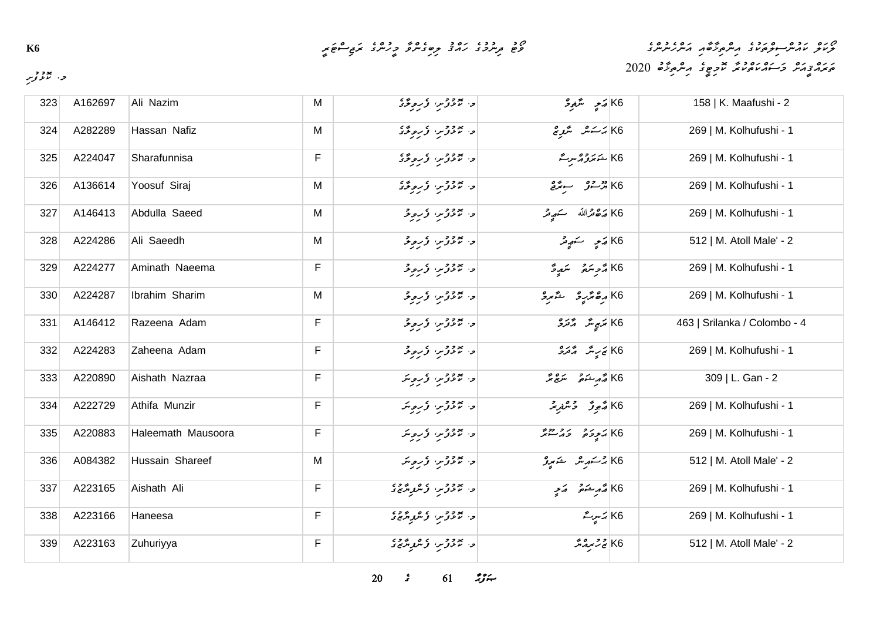*sCw7q7s5w7m< o<n9nOoAw7o< sCq;mAwBoEw7q<m; wBm;vB* م من المرة المرة المرة المرجع المرجع في المركبة 2020<br>مجم*د المريض المربوط المربع المرجع في المراجع المركبة* 

| 323 | A162697 | Ali Nazim          | M           | د بيودوس ژر <sub>وڅو</sub>  | K6 كەمچە س <i>گەنچ</i> ۇ                  | 158   K. Maafushi - 2        |
|-----|---------|--------------------|-------------|-----------------------------|-------------------------------------------|------------------------------|
| 324 | A282289 | Hassan Nafiz       | M           | و بيوووس كوروگري            | K6 ئەسىكىش ش <i>ۇچ</i>                    | 269   M. Kolhufushi - 1      |
| 325 | A224047 | Sharafunnisa       | F           | د بيودوس كې د د د د         | K6 خەتمەتر مەسرىسە                        | 269   M. Kolhufushi - 1      |
| 326 | A136614 | Yoosuf Siraj       | M           | و پيوومر، وروځه             |                                           | 269   M. Kolhufushi - 1      |
| 327 | A146413 | Abdulla Saeed      | M           | و مودور، تۇرۇپچ             | K6 كەھەراللە كىھەتر                       | 269   M. Kolhufushi - 1      |
| 328 | A224286 | Ali Saeedh         | M           | و مودوم، کې ده کې           | K6 كەمچە سى <i>مپەن</i> گە                | 512   M. Atoll Male' - 2     |
| 329 | A224277 | Aminath Naeema     | $\mathsf F$ | د مودور، ت <i>ورو</i> تی    | K6 مَّحِسَمَّةً سَمِيعً                   | 269   M. Kolhufushi - 1      |
| 330 | A224287 | Ibrahim Sharim     | M           | و: على توريد كورولوگو       | K6 رەڭرى <sub>ر</sub> ۇ ش <sup>ې</sup> رۇ | 269   M. Kolhufushi - 1      |
| 331 | A146412 | Razeena Adam       | F           | و معزوم، ڈروڈ               | K6 ىَرَىمٍ شَرَ مَرْتَزَرْ                | 463   Srilanka / Colombo - 4 |
| 332 | A224283 | Zaheena Adam       | $\mathsf F$ | د بيودوس کې ده کې           | K6 ىَمْ پِسَّر مُرْتَدَدُّ                | 269   M. Kolhufushi - 1      |
| 333 | A220890 | Aishath Nazraa     | $\mathsf F$ | والعموقوس وكرويتر           | K6 مَّ مِسْمَعْ مَنْ مَّتَى مَّدَ         | 309   L. Gan - 2             |
| 334 | A222729 | Athifa Munzir      | $\mathsf F$ | والمحفوقوس وكرونتر          | K6 مَّ مِوَّزٌ حَمْدِيْرٌ                 | 269   M. Kolhufushi - 1      |
| 335 | A220883 | Haleemath Mausoora | $\mathsf F$ | والمعتقومين وكرونتر         | K6 يَجِدَهُ - دَيْرَ يَبْتَرُ             | 269   M. Kolhufushi - 1      |
| 336 | A084382 | Hussain Shareef    | M           | ه به علوم و عرو مگر         | K6 يُرسَمبُ هُمَ مِيْتَرَ فِيَ            | 512   M. Atoll Male' - 2     |
| 337 | A223165 | Aishath Ali        | $\mathsf F$ | د نیوومبر، ژنگر مرد د       | K6 م <i>ەمرىشى ھۆ</i>                     | 269   M. Kolhufushi - 1      |
| 338 | A223166 | Haneesa            | $\mathsf F$ | د. موروس ژې <i>نو و</i> ه د | K6 كەمىرىس <b>گ</b>                       | 269   M. Kolhufushi - 1      |
| 339 | A223163 | Zuhuriyya          | $\mathsf F$ | والعموقر وعروميوه           | K6 يحر <i>جرو پرو</i>                     | 512   M. Atoll Male' - 2     |

 $20$  *s* 61 *if*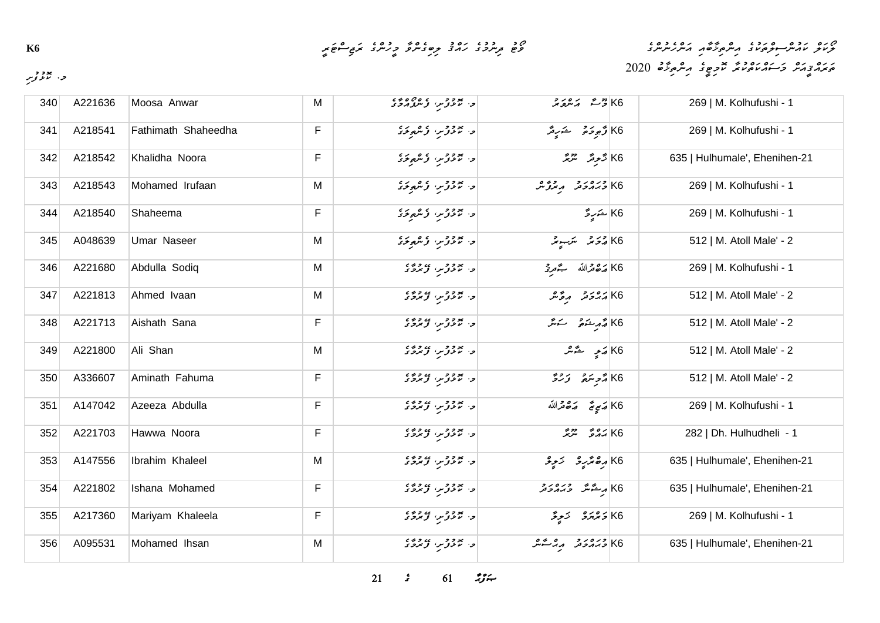*sCw7q7s5w7m< o<n9nOoAw7o< sCq;mAwBoEw7q<m; wBm;vB* م من المرة المرة المرة المرجع المرجع في المركبة 2020<br>مجم*د المريض المربوط المربع المرجع في المراجع المركبة* 

| 340 | A221636 | Moosa Anwar         | M            | و. مودوس وموروده                                     | K6 يَسْرَعُهُ جَمْدَ بِيَنْ بِيَنْ بِيَنْ بِيَنْ بِيَنْ بِيَنْ بِي بِينْ بِينْ بِينْ بِينْ بِينْ بِ | 269   M. Kolhufushi - 1       |
|-----|---------|---------------------|--------------|------------------------------------------------------|-----------------------------------------------------------------------------------------------------|-------------------------------|
| 341 | A218541 | Fathimath Shaheedha | F            | د بيودوس ژنگهورئ                                     | K6 رَّجِوحَة حَسَبِةً لِ                                                                            | 269   M. Kolhufushi - 1       |
| 342 | A218542 | Khalidha Noora      | $\mathsf F$  | د ليودوس وعروبي                                      | K6 دَّحِيَّد شَرْحَد                                                                                | 635   Hulhumale', Ehenihen-21 |
| 343 | A218543 | Mohamed Irufaan     | M            | د بيودوس وتقويز                                      | K6 دېممرونه م <i>ې</i> روگېر                                                                        | 269   M. Kolhufushi - 1       |
| 344 | A218540 | Shaheema            | F            | و. بودوس وعروبي                                      | K6 شرير گ                                                                                           | 269   M. Kolhufushi - 1       |
| 345 | A048639 | <b>Umar Naseer</b>  | M            | د بيودوس وتقويزه                                     | K6 252 س <i>رجو</i> پر                                                                              | 512   M. Atoll Male' - 2      |
| 346 | A221680 | Abdulla Sodiq       | M            | د. مود د و د وه و.<br>د اندول و مرد و                | K6 كەھەراللە گەم <i>رتى</i>                                                                         | 269   M. Kolhufushi - 1       |
| 347 | A221813 | Ahmed Ivaan         | M            | و. مودوم، م <i>ودو</i> ه.<br>د <i>ماندوم، ومرد</i> و | K6 كەبرى قىر مەھەمى                                                                                 | 512   M. Atoll Male' - 2      |
| 348 | A221713 | Aishath Sana        | F            | و. مودوم، م <i>ودو</i> ه.<br>د <i>ماندوم، ومرد</i> و | K6 م <i>ەمبەھى</i> سەم <i>ىگ</i>                                                                    | 512   M. Atoll Male' - 2      |
| 349 | A221800 | Ali Shan            | M            | و. نووو ، نوبروی                                     | K6 کی په شگر شک                                                                                     | 512   M. Atoll Male' - 2      |
| 350 | A336607 | Aminath Fahuma      | F            | د. مود د و د وه و.<br>د اندول و مرد و                | K6 مَّرِسَمَّ رَّرْدً                                                                               | 512   M. Atoll Male' - 2      |
| 351 | A147042 | Azeeza Abdulla      | F            | د. مود د و د وه و.<br>د اندول و مرد و                | K6 كەيمەتتى كەھەقراللە                                                                              | 269   M. Kolhufushi - 1       |
| 352 | A221703 | Hawwa Noora         | $\mathsf F$  | د. بروو به وه و<br>د. لانونو کوبروی                  | K6 يَدْرُقَ سُرْبَرُ                                                                                | 282   Dh. Hulhudheli - 1      |
| 353 | A147556 | Ibrahim Khaleel     | M            | د. بروو<br>د. نانگوتن، گونگرفری                      | K6 بر <i>ے پڑ</i> یے ۔ تر <i>چ</i> و                                                                | 635   Hulhumale', Ehenihen-21 |
| 354 | A221802 | Ishana Mohamed      | $\mathsf F$  | د. بدوو به دوه با<br>د. ناندوس وبرود                 | K6 مېشتىر <i>دىن</i> مەدىر                                                                          | 635   Hulhumale', Ehenihen-21 |
| 355 | A217360 | Mariyam Khaleela    | $\mathsf{F}$ | و. نووو په ووه                                       | K6 ى يۇرۇ - زىي <b>ر</b> گ                                                                          | 269   M. Kolhufushi - 1       |
| 356 | A095531 | Mohamed Ihsan       | M            | و. نووو ، نوبروی                                     | K6 دېم د ده د مرگ شر                                                                                | 635   Hulhumale', Ehenihen-21 |

 $21$  *s* 61  $29$   $\div$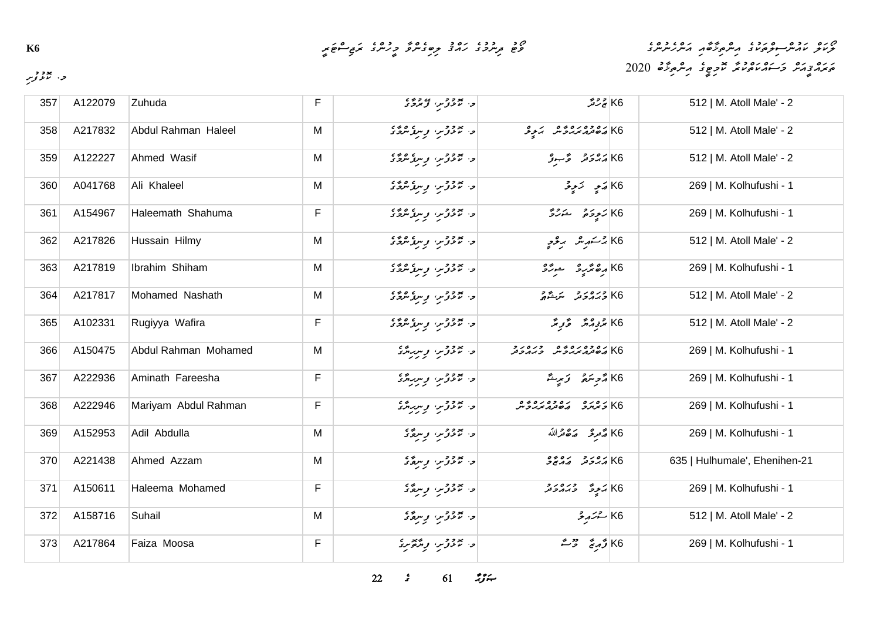*sCw7q7s5w7m< o<n9nOoAw7o< sCq;mAwBoEw7q<m; wBm;vB* م من المرة المرة المرة المرجع المرجع في المركبة 2020<br>مجم*د المريض المربوط المربع المرجع في المراجع المركبة* 

| 357 | A122079 | Zuhuda               | $\mathsf F$ | د. مود د و ووه و        | K6 يح ژنگر                            | 512   M. Atoll Male' - 2      |
|-----|---------|----------------------|-------------|-------------------------|---------------------------------------|-------------------------------|
| 358 | A217832 | Abdul Rahman Haleel  | M           | و غوروس وسر مردو        | K6 בەممەمدۇش تەببۇ                    | 512   M. Atoll Male' - 2      |
| 359 | A122227 | Ahmed Wasif          | M           | د موقوع وسر مردم        | K6 كەبرى قەسىر ئى                     | 512   M. Atoll Male' - 2      |
| 360 | A041768 | Ali Khaleel          | M           | و غروم وبروموم          | K6  كەمچە - ئەمچەتى                   | 269   M. Kolhufushi - 1       |
| 361 | A154967 | Haleemath Shahuma    | F           | والعموقوس وسرق عرقرى    |                                       | 269   M. Kolhufushi - 1       |
| 362 | A217826 | Hussain Hilmy        | M           | و غروم وبروموم          | K6 يُرْسَمبر شهر برقوحٍ               | 512   M. Atoll Male' - 2      |
| 363 | A217819 | Ibrahim Shiham       | M           | و غوروس وسر مردو        | K6 مەھەر ئەرگە ئىستىدى K6             | 269   M. Kolhufushi - 1       |
| 364 | A217817 | Mohamed Nashath      | M           | و غورمن وسؤلمده         | K6 <i>جەمەدىر سىشھ</i>                | 512   M. Atoll Male' - 2      |
| 365 | A102331 | Rugiyya Wafira       | F           | و. موفرقريب وسرق مردم و | K6 بمرّ <sub>قب</sub> رمهمّ قرّر بمّه | 512   M. Atoll Male' - 2      |
| 366 | A150475 | Abdul Rahman Mohamed | M           | و: ۱۶۶۲مر، وپېرېږدگا    | K6 رەدەرە ئەرەردە دىرەرد              | 269   M. Kolhufushi - 1       |
| 367 | A222936 | Aminath Fareesha     | F           | د بيودوس وسربردي        | K6 گەچ سَرَىج - تَرَ سِرْحَتَہ        | 269   M. Kolhufushi - 1       |
| 368 | A222946 | Mariyam Abdul Rahman | F           | أور مودوس وبيريدي       | K6 <i>دەرە مەھەمەمەدە</i> س           | 269   M. Kolhufushi - 1       |
| 369 | A152953 | Adil Abdulla         | M           | د. مودوم، وسرة و        | K6 جٌمِير\$ صَ5ْعَ اللّه              | 269   M. Kolhufushi - 1       |
| 370 | A221438 | Ahmed Azzam          | M           | و مودور، وسرگانگا       | K6 <i>ג׳כנר ג</i> ∙ <i>גי</i>         | 635   Hulhumale', Ehenihen-21 |
| 371 | A150611 | Haleema Mohamed      | F           | و مودور، وسرگانگا       | K6 يَرِوُّ وَيَهْدَوْرُ               | 269   M. Kolhufushi - 1       |
| 372 | A158716 | Suhail               | M           | و بيوووس وسرگانگا       | K6 سترتر پی                           | 512   M. Atoll Male' - 2      |
| 373 | A217864 | Faiza Moosa          | F           | د. ندود بر و پژویری     | K6 رَوِيحَ حَرْثَتَهُ                 | 269   M. Kolhufushi - 1       |

 $22$  *s* 61  $23$   $\div$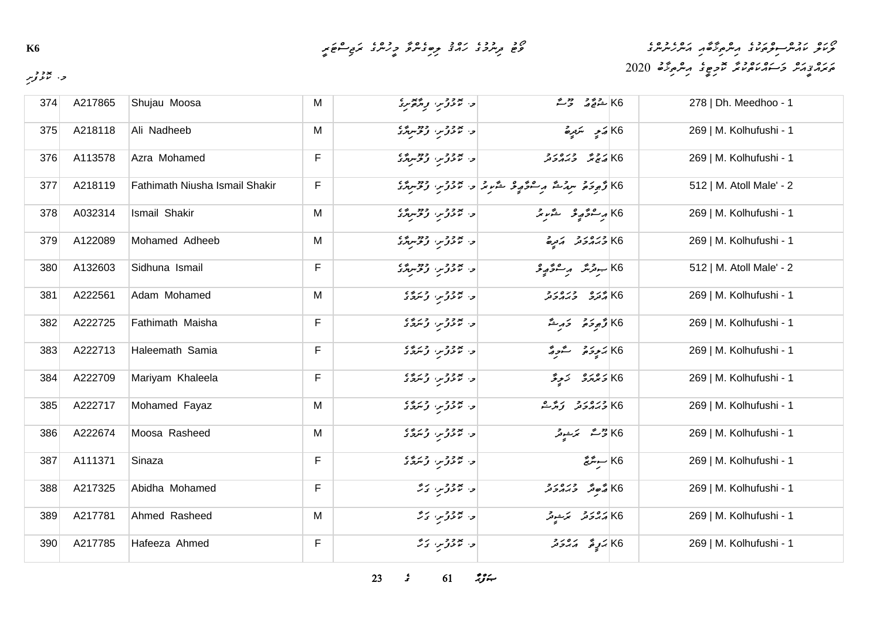*sCw7q7s5w7m< o<n9nOoAw7o< sCq;mAwBoEw7q<m; wBm;vB* م من المرة المرة المرة المرجع المرجع في المركبة 2020<br>مجم*د المريض المربوط المربع المرجع في المراجع المركبة* 

| 374 | A217865 | Shujau Moosa                   | M           | د بدود ر پژویر                | $23 - 22 - 6$                                       | 278   Dh. Meedhoo - 1    |
|-----|---------|--------------------------------|-------------|-------------------------------|-----------------------------------------------------|--------------------------|
| 375 | A218118 | Ali Nadheeb                    | M           | و نووور، وفرسر                | K6  كەمچە     سَرْمٍرْحْ                            | 269   M. Kolhufushi - 1  |
| 376 | A113578 | Azra Mohamed                   | F           | أورا للمؤثر المتوقع والمحصوري | K6 كەي ئەرەر دېر                                    | 269   M. Kolhufushi - 1  |
| 377 | A218119 | Fathimath Niusha Ismail Shakir | F           |                               | K6 ۇي <i>وخۇ سەمىڭ مەشۇمۇ شىرىنى دا يودۇس ۋۇسرى</i> | 512   M. Atoll Male' - 2 |
| 378 | A032314 | <b>Ismail Shakir</b>           | M           | و مودور، وومبرد،              | K6 مەش <i>ۇم</i> ۇ شىرىتى                           | 269   M. Kolhufushi - 1  |
| 379 | A122089 | Mohamed Adheeb                 | M           | أوالمعتقرين وفرسيرة           | K6 دېرو د تر کړه                                    | 269   M. Kolhufushi - 1  |
| 380 | A132603 | Sidhuna Ismail                 | F           | و نووور، وفرسر                | K6 جونڈر مرکو میٹر میٹر                             | 512   M. Atoll Male' - 2 |
| 381 | A222561 | Adam Mohamed                   | M           | و مودور، وتروی                | K6 دُمَرَدَ وَبَرُودَوَ                             | 269   M. Kolhufushi - 1  |
| 382 | A222725 | Fathimath Maisha               | F           | و مودور، وتروي                | K6 رَّجِودَة دَرِيةً                                | 269   M. Kolhufushi - 1  |
| 383 | A222713 | Haleemath Samia                | F           | د. بودوس و <i>مروي</i>        | K6 يَجِوَةً مُحْمَوَةً                              | 269   M. Kolhufushi - 1  |
| 384 | A222709 | Mariyam Khaleela               | F           | د. بودوس وتروي                | K6 كەيمەنى ئەم <sub>ى</sub> تى                      | 269   M. Kolhufushi - 1  |
| 385 | A222717 | Mohamed Fayaz                  | M           | د. بودوس و <i>مروي</i>        | K6 <i>ۋېزو دېڅر تو</i> گرشو                         | 269   M. Kolhufushi - 1  |
| 386 | A222674 | Moosa Rasheed                  | M           | د. بودوس وتروي                | K6 فَرْتُ بَرَ <sub>ْشُو</sub> تِرُ                 | 269   M. Kolhufushi - 1  |
| 387 | A111371 | Sinaza                         | F           | و الاووس والأنوع              | K6 سرمثدگا                                          | 269   M. Kolhufushi - 1  |
| 388 | A217325 | Abidha Mohamed                 | $\mathsf F$ | والعموض كالمح                 | K6 مُه مَد حيد المرحمة المرحمة                      | 269   M. Kolhufushi - 1  |
| 389 | A217781 | Ahmed Rasheed                  | M           | و: عمود من المحافظ            | K6 كەيمى كىم كىرىنى <sub>دى</sub> كىر               | 269   M. Kolhufushi - 1  |
| 390 | A217785 | Hafeeza Ahmed                  | F           | والعموض كالمح                 | K6 كَرُمٍ مَدَّ دَمَّرٌ مَدَّ مِسْتَرَ مِسْر        | 269   M. Kolhufushi - 1  |

 $23$  *s* 61 *if*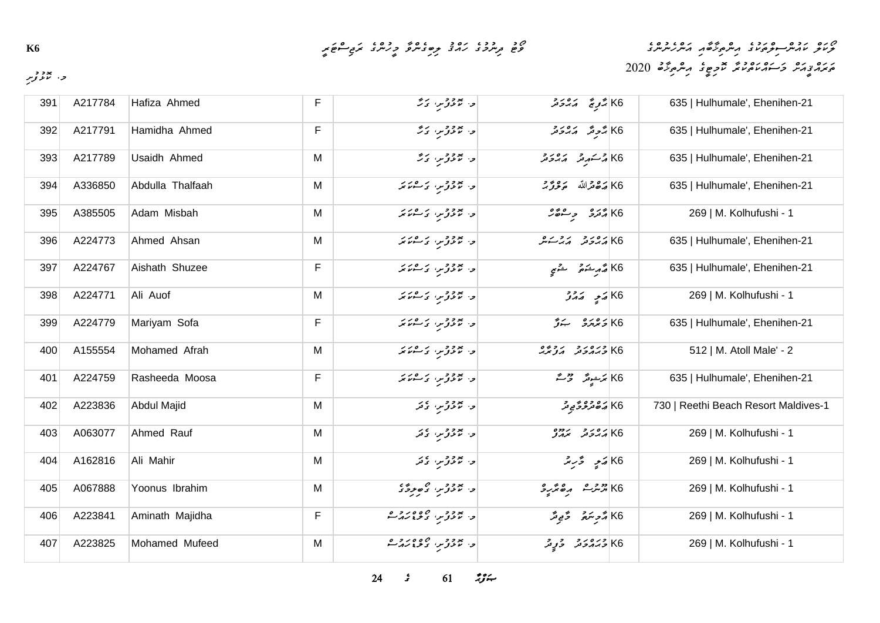*sCw7q7s5w7m< o<n9nOoAw7o< sCq;mAwBoEw7q<m; wBm;vB* م من المرة المرة المرة المرجع المرجع في المركبة 2020<br>مجم*د المريض المربوط المربع المرجع في المراجع المركبة* 

| 391 | A217784 | Hafiza Ahmed     | $\mathsf{F}$ | د . <i>موجود ک</i> ر    | K6 بَرُوِجٌ     مَدْدَوْرٌ                       | 635   Hulhumale', Ehenihen-21        |
|-----|---------|------------------|--------------|-------------------------|--------------------------------------------------|--------------------------------------|
| 392 | A217791 | Hamidha Ahmed    | F            | د . <i>موجود ک</i> ر    | K6 بَرْحِ مَدْ مَدْ دَمْدْ (                     | 635   Hulhumale', Ehenihen-21        |
| 393 | A217789 | Usaidh Ahmed     | M            | والعموقوس كالح          | K6 يُرْسَمبِ مَدْ يَرْمَدُ مِنْ الْمَدَّوَمِيْرِ | 635   Hulhumale', Ehenihen-21        |
| 394 | A336850 | Abdulla Thalfaah | M            | والعموض كالمناعر        | K6 مَەمْراللە مَر <i>وق</i> ە                    | 635   Hulhumale', Ehenihen-21        |
| 395 | A385505 | Adam Misbah      | M            | والعووض كالمنافذ        | K6 جُمَعَ وِ سُ <i>ھُرُ</i>                      | 269   M. Kolhufushi - 1              |
| 396 | A224773 | Ahmed Ahsan      | M            | والعووس كالمنافذ        | K6 كەبرى قىر كەبرىك ئىر                          | 635   Hulhumale', Ehenihen-21        |
| 397 | A224767 | Aishath Shuzee   | F            | ه مودوس كالمستمر        | K6 م <i>ەم شەھ</i> ر مىقىمىچ                     | 635   Hulhumale', Ehenihen-21        |
| 398 | A224771 | Ali Auof         | M            | ه مودور، کارماند        | K6 كەير كەرگە                                    | 269   M. Kolhufushi - 1              |
| 399 | A224779 | Mariyam Sofa     | $\mathsf F$  | والعموض كالمناعر        | K6 كەبەر ئەرىپىتى                                | 635   Hulhumale', Ehenihen-21        |
| 400 | A155554 | Mohamed Afrah    | M            | والعووس كالمنافذ        | K6 دېرونو پرونوه                                 | 512   M. Atoll Male' - 2             |
| 401 | A224759 | Rasheeda Moosa   | F            | والعموقرس كالشملانكر    |                                                  | 635   Hulhumale', Ehenihen-21        |
| 402 | A223836 | Abdul Majid      | M            | والمعمومي الممار        | K6 كەھەترىۋى تەر                                 | 730   Reethi Beach Resort Maldives-1 |
| 403 | A063077 | Ahmed Rauf       | M            | والمعمومي الممار        | K6 كەبروتو ئەدە بەر                              | 269   M. Kolhufushi - 1              |
| 404 | A162816 | Ali Mahir        | M            | والمعجموص لمحقر         | K6 كەير - مەرىتى                                 | 269   M. Kolhufushi - 1              |
| 405 | A067888 | Yoonus Ibrahim   | M            | و مودور، وهووی          | K6 ترتىرىقە بەھەتگەپەد                           | 269   M. Kolhufushi - 1              |
| 406 | A223841 | Aminath Majidha  | F            | و الافروس موه در دارد و | K6 مَّحِ مَتَّعَمُ – حَّصِمَّ                    | 269   M. Kolhufushi - 1              |
| 407 | A223825 | Mohamed Mufeed   | M            | و علووما 2000 و 2       | K6 دُبَرْدُدَتْر دُوِيْر                         | 269   M. Kolhufushi - 1              |

 $24$  *s* 61 *if*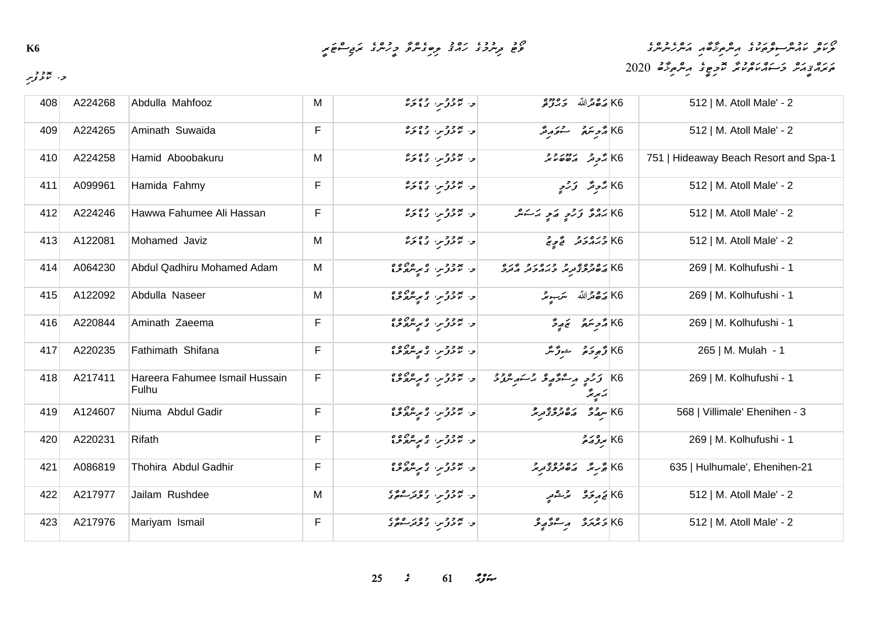*sCw7q7s5w7m< o<n9nOoAw7o< sCq;mAwBoEw7q<m; wBm;vB* م من المرة المرة المرة المرجع المرجع في المركبة 2020<br>مجم*د المريض المربوط المربع المرجع في المراجع المركبة* 

| 408 | A224268 | Abdulla Mahfooz                         | M | و مووم ووړه                                  | K6 كەھەقراللە   جەمزە                                 | 512   M. Atoll Male' - 2              |
|-----|---------|-----------------------------------------|---|----------------------------------------------|-------------------------------------------------------|---------------------------------------|
| 409 | A224265 | Aminath Suwaida                         | F | والعروض وه وه                                | K6 مُرْحِبِّدَةٌ مُسْتَوَرِبَّدُ                      | 512   M. Atoll Male' - 2              |
| 410 | A224258 | Hamid Aboobakuru                        | M | والعروس وه ره                                | $22222$ $225$ $16$                                    | 751   Hideaway Beach Resort and Spa-1 |
| 411 | A099961 | Hamida Fahmy                            | F | والعروب وه ده.                               | K6 جٌوِمَّر   وَرُحٍ                                  | 512   M. Atoll Male' - 2              |
| 412 | A224246 | Hawwa Fahumee Ali Hassan                | F | والعمود والملحوظ                             | K6   يَرْدُوُ - وَرُحٍ - يَرَ - يَرْسَ الله           | 512   M. Atoll Male' - 2              |
| 413 | A122081 | Mohamed Javiz                           | M | والعروس وه ره                                | K6 دُبَرْدْدَنْر قُومٍ حَ                             | 512   M. Atoll Male' - 2              |
| 414 | A064230 | Abdul Qadhiru Mohamed Adam              | M | د. علووس و مره ۱۵۵۵                          | K6 رە دەپ درەر در درە<br>K6 ھەمرىرتىپتر دىرەدىر مەترى | 269   M. Kolhufushi - 1               |
| 415 | A122092 | Abdulla Naseer                          | M | و عووض ومرهوره                               | K6 كەھەراللە     سَرْبْدِيْر                          | 269   M. Kolhufushi - 1               |
| 416 | A220844 | Aminath Zaeema                          | F | و علوو و و مهمونه                            | K6 مَّحِسَمَةً نَجَهِةً                               | 269   M. Kolhufushi - 1               |
| 417 | A220235 | Fathimath Shifana                       | F | د. بدوو ، و برمره وه                         | K6 <i>وَّجِوَةُ</i> سَوَتَ <i>مَّ</i> ر               | 265   M. Mulah - 1                    |
| 418 | A217411 | Hareera Fahumee Ismail Hussain<br>Fulhu | F | در سوور او مره ۱۵۵۵                          | K6 زرم رحوم و مسرحوف<br>برىرىتر                       | 269   M. Kolhufushi - 1               |
| 419 | A124607 | Niuma Abdul Gadir                       | F | و معوومه و وه وه                             | K6 سهر ده مقدم دومبر<br>K6 سهر ده مومود مرمر          | 568   Villimale' Ehenihen - 3         |
| 420 | A220231 | Rifath                                  | F | و الانولي، ومرس وه وه                        | K6 برژوند                                             | 269   M. Kolhufushi - 1               |
| 421 | A086819 | Thohira Abdul Gadhir                    | F | و معوومه و وه وه                             | K6 ج <i>ۇبەنگە مەھەر دۇ</i> بور <i>ج</i>              | 635   Hulhumale', Ehenihen-21         |
| 422 | A217977 | Jailam Rushdee                          | M | ه برووس وه ر ۵۶۰ و.<br>د نانوتوس و نوترسينوي | K6 <i>قەم قىلى م</i> ەشھىر                            | 512   M. Atoll Male' - 2              |
| 423 | A217976 | Mariyam Ismail                          | F | و اندولوس وه د ۱۵۵۵<br>و اندولوس و لوفرستموی | K6ج <i>جمعة مشوَّمةٍ في</i>                           | 512   M. Atoll Male' - 2              |

*o6q?q:u; .>*

 $25$  *s* 61  $25$   $\div$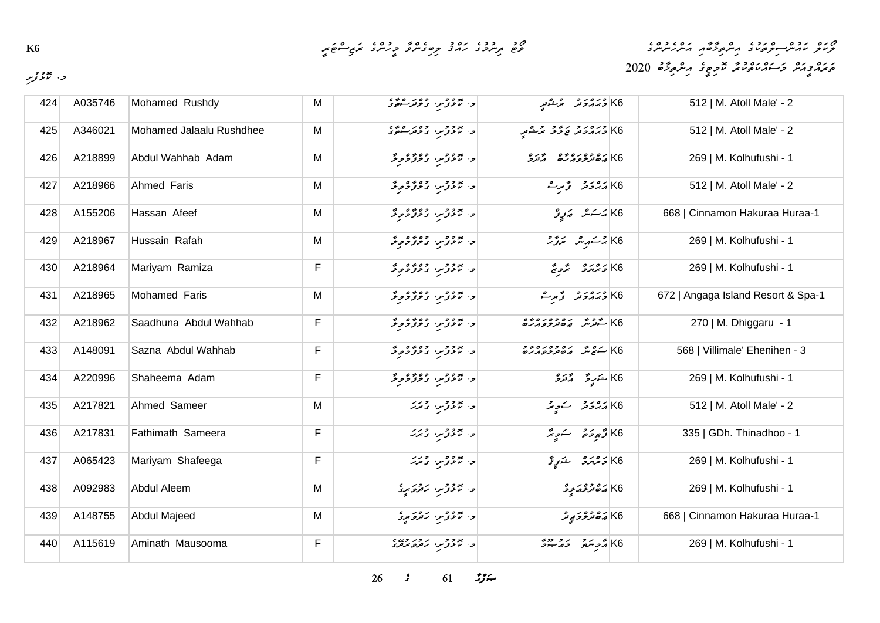*sCw7q7s5w7m< o<n9nOoAw7o< sCq;mAwBoEw7q<m; wBm;vB* م من المسجد المسجد المسجد المسجد المسجد العام 2020<br>مسجد المسجد المسجد المسجد المسجد المسجد المسجد المسجد المسجد ال

| 424 | A035746 | Mohamed Rushdy           | M | د. ندووس وه د ۱۵۵۵<br>د ندگوش کوتر شوک | K6 <i>\$22.25 برّ</i> مئة مر                             | 512   M. Atoll Male' - 2           |
|-----|---------|--------------------------|---|----------------------------------------|----------------------------------------------------------|------------------------------------|
| 425 | A346021 | Mohamed Jalaalu Rushdhee | M | و اندووس وه د ۱۵۵۰ و.                  | K6 <i>وَبَرُوْدَوْ</i> يَوُثَّوَ بَرْشُ <sup>و</sup> َرٍ | 512   M. Atoll Male' - 2           |
| 426 | A218899 | Abdul Wahhab Adam        | M | و غووم، وووه وع                        | K6 رەپرەرەپرە بەرە                                       | 269   M. Kolhufushi - 1            |
| 427 | A218966 | Ahmed Faris              | M | و غروم وووومو                          | K6 كەيرى قى ئىقتى ئىلىن ئىلىن ئىل                        | 512   M. Atoll Male' - 2           |
| 428 | A155206 | Hassan Afeef             | M | و غووم، وووومو                         | K6 ټر <i>ټرو</i> ژ                                       | 668   Cinnamon Hakuraa Huraa-1     |
| 429 | A218967 | Hussain Rafah            | M | و غرومن وووومو                         | K6 يُرسَمبر مُرَكَّبُّ                                   | 269   M. Kolhufushi - 1            |
| 430 | A218964 | Mariyam Ramiza           | F | و غروم وووومو                          | K6 كەبھە <i>دى مەدىج</i>                                 | 269   M. Kolhufushi - 1            |
| 431 | A218965 | Mohamed Faris            | M | و غووم، وووه وع                        | K6 <i>جەيرى بىر قەر</i> ت                                | 672   Angaga Island Resort & Spa-1 |
| 432 | A218962 | Saadhuna Abdul Wahhab    | F | و غورس دودوود                          | K6 گەترى <i>گە خەھەردە بەھ</i>                           | 270   M. Dhiggaru - 1              |
| 433 | A148091 | Sazna Abdul Wahhab       | F | و غورس دودوود                          | K6 شەھ مەھىر <i>دە دەرە</i>                              | 568   Villimale' Ehenihen - 3      |
| 434 | A220996 | Shaheema Adam            | F | و غروم وووومو                          | K6 خەرِدَّ ك <sup>ە</sup> ترى                            | 269   M. Kolhufushi - 1            |
| 435 | A217821 | Ahmed Sameer             | M | ە بىرودىن ئىمەت                        | K6 كەبرى بىر سىمبرىتى (                                  | 512   M. Atoll Male' - 2           |
| 436 | A217831 | Fathimath Sameera        | F | د انگروین دیگر                         | K6 رَّجِوحَة حَسَّجِيَّتْهِ                              | 335   GDh. Thinadhoo - 1           |
| 437 | A065423 | Mariyam Shafeega         | F | د انگرومرا دیگر                        | K6 كەنگەنى ئىسكىمى تەرىپىتى <b>K6</b>                    | 269   M. Kolhufushi - 1            |
| 438 | A092983 | Abdul Aleem              | M | د برووس ژوگره                          | K6 كەھەر <i>ى ئە</i> رىج                                 | 269   M. Kolhufushi - 1            |
| 439 | A148755 | <b>Abdul Majeed</b>      | M | و به عروب روز برد                      | K6 كەھ ترىۋى ي <sub>و</sub> تر                           | 668   Cinnamon Hakuraa Huraa-1     |
| 440 | A115619 | Aminath Mausooma         | F |                                        | K6 مُوسَمَّة حَمْضَبَّعْتُ                               | 269   M. Kolhufushi - 1            |

 $26$  *s*  $61$  *z* $3\frac{3}{5}$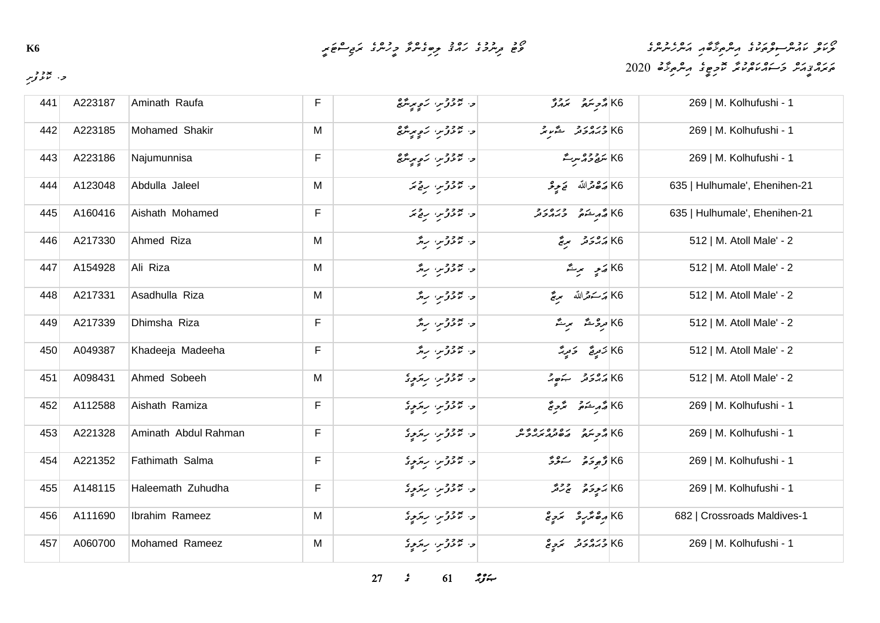*sCw7q7s5w7m< o<n9nOoAw7o< sCq;mAwBoEw7q<m; wBm;vB* م من المرة المرة المرة المرجع المرجع في المركبة 2020<br>مجم*د المريض المربوط المربع المرجع في المراجع المركبة* 

| 441 | A223187 | Aminath Raufa        | F           | د. ئۇقۇقرىي ئەھ <sub>م</sub> يېرىندى              | K6 مَّ حِ سَمَّةٌ مَسَّمَّةٌ مِّ            | 269   M. Kolhufushi - 1       |
|-----|---------|----------------------|-------------|---------------------------------------------------|---------------------------------------------|-------------------------------|
| 442 | A223185 | Mohamed Shakir       | M           | د. مودو <sub>ع</sub> ر، ر <sub>ُح</sub> بر مُرَّج | K6 <i>جەنەدى ھىدى</i> گە                    | 269   M. Kolhufushi - 1       |
| 443 | A223186 | Najumunnisa          | F           | و. نوپوژوس، ر <sub>ک</sub> م پرېنځ                | K6 ئىر <sub>قە قە</sub> مەس <sup>ىگە</sup>  | 269   M. Kolhufushi - 1       |
| 444 | A123048 | Abdulla Jaleel       | M           | والعموفرس رقائر                                   | K6 كەھەراللە   ق موقر                       | 635   Hulhumale', Ehenihen-21 |
| 445 | A160416 | Aishath Mohamed      | F           | والعمودين برقمتر                                  | K6 مەم شەھرى ئەس ئەرەبىرى ئىس               | 635   Hulhumale', Ehenihen-21 |
| 446 | A217330 | Ahmed Riza           | M           | د . موجود بدگر                                    | K6 كەش <b>كەتتى</b> ئىرىتى                  | 512   M. Atoll Male' - 2      |
| 447 | A154928 | Ali Riza             | M           | د میخورد بهگر                                     | K6 کرم پرگ                                  | 512   M. Atoll Male' - 2      |
| 448 | A217331 | Asadhulla Riza       | M           | ە ئىم ئۇتۇس بەرگە                                 | K6 كَمْ شَعْرَاللَّهُ مَعْ يَحْ             | 512   M. Atoll Male' - 2      |
| 449 | A217339 | Dhimsha Riza         | F           | و: عموقوس س <i>رم</i>                             | K6 مرڈنڈ برتڈ                               | 512   M. Atoll Male' - 2      |
| 450 | A049387 | Khadeeja Madeeha     | $\mathsf F$ | د. موجوج به بر                                    | K6 كَتَامِيعٌ - وَمَبِيَّدُ -               | 512   M. Atoll Male' - 2      |
| 451 | A098431 | Ahmed Sobeeh         | M           | والعمودس ريزوع                                    | K6 كەبرى كىرىم ئىككى ئىلكى ئىلكە ئىلكە ئىلك | 512   M. Atoll Male' - 2      |
| 452 | A112588 | Aishath Ramiza       | F           | والعموض بالروي                                    | K6 مەم ئىشقىق ئىگە جىچە ئىچ                 | 269   M. Kolhufushi - 1       |
| 453 | A221328 | Aminath Abdul Rahman | F           | د اندووس بەترى                                    | K6 <i>ה כ יים בסירים בי</i> ס               | 269   M. Kolhufushi - 1       |
| 454 | A221352 | Fathimath Salma      | F           | د مودو <sub>س</sub> ریز دی                        | K6 رَّج <i>وحَة</i> سَعْرَةَ                | 269   M. Kolhufushi - 1       |
| 455 | A148115 | Haleemath Zuhudha    | F           | والعموقون بالركوى                                 | K6 بَر <i>ُوٍدَة</i> بِحَرْثَرُ             | 269   M. Kolhufushi - 1       |
| 456 | A111690 | Ibrahim Rameez       | M           | والعموقون بالركوى                                 | K6 م <i>وھنڈر بو م</i> حرم کی               | 682   Crossroads Maldives-1   |
| 457 | A060700 | Mohamed Rameez       | M           | و. موجوجور، س <b>ه برد</b> و                      | K6 دُبَرْدُدَتْر بَرَدِجْ                   | 269   M. Kolhufushi - 1       |

 $27$  *s* 61  $23$   $\div$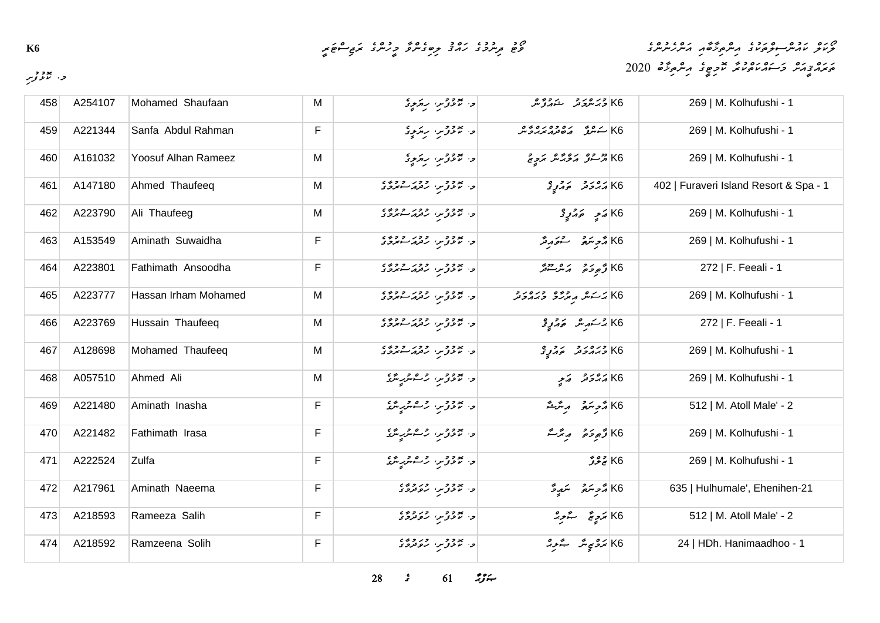*sCw7q7s5w7m< o<n9nOoAw7o< sCq;mAwBoEw7q<m; wBm;vB* م من المرة المرة المرة المرجع المرجع في المركبة 2020<br>مجم*د المريض المربوط المربع المرجع في المراجع المركبة* 

| 458 | A254107 | Mohamed Shaufaan     | M | و مودور، ریزوی                                    | K6 <i>دېمبردند خهرو</i> گر               | 269   M. Kolhufushi - 1                |
|-----|---------|----------------------|---|---------------------------------------------------|------------------------------------------|----------------------------------------|
| 459 | A221344 | Sanfa Abdul Rahman   | F | والعموقوس بالمرمولى                               | K6 ئەشرىق مەھ <i>مەمەدە</i> بىر          | 269   M. Kolhufushi - 1                |
| 460 | A161032 | Yoosuf Alhan Rameez  | M | والعمود والمراسر                                  | K6 تېرىنو مەمەمىگە ئىرىپى                | 269   M. Kolhufushi - 1                |
| 461 | A147180 | Ahmed Thaufeeq       | M | د. نوووس دور ووون<br>د. نوتونو، رفزماستروی        | K6 كەبرى قىر ئوقرىق                      | 402   Furaveri Island Resort & Spa - 1 |
| 462 | A223790 | Ali Thaufeeg         | M | د. سوومبر، دور ووه با<br>د. ماندومبر، رفزماسیتروی | K6 <i>ڇَڄِ جَهُرُوِيُّوَ</i>             | 269   M. Kolhufushi - 1                |
| 463 | A153549 | Aminath Suwaidha     | F | د. نوووس وور ووده.<br>د. نانووس رفزماستروی        | K6 مَّ حِ سَمَّ مَ سَمَّ مِرْ مَّدَ      | 269   M. Kolhufushi - 1                |
| 464 | A223801 | Fathimath Ansoodha   | F | د. نوووس وور ووده.<br>د. نوووس رومسونروی          | K6 <i>ڈج دَمَع مَسْرِ بِیجِ</i>          | 272   F. Feeali - 1                    |
| 465 | A223777 | Hassan Irham Mohamed | M | د. بدووس دور ووده.<br>د. بالأوس گیرم سوپروی       | K6 يُرَسَّسُ مِبْرَرُدُ وَيَهْدَوْنَهُ   | 269   M. Kolhufushi - 1                |
| 466 | A223769 | Hussain Thaufeeq     | M | د. بدووس دور ووده.<br>د. لانگروس گیرم سومروی      | K6 يُرتمبر مَرْ مَرْدِ يْرَ              | 272   F. Feeali - 1                    |
| 467 | A128698 | Mohamed Thaufeeq     | M | د. نوووس وور ووده.<br>د. نوووس رومسونروی          | K6 <i>جُہُدُو تَذَکَّرُ مُجَمَّرٍ تَ</i> | 269   M. Kolhufushi - 1                |
| 468 | A057510 | Ahmed Ali            | M | د. بودوس رقم مرضوع المراجع                        | K6 كەبۇر <i>كەبى</i>                     | 269   M. Kolhufushi - 1                |
| 469 | A221480 | Aminath Inasha       | F | د. توروس رقس مرتد می                              | K6 مَّ حِ سَمَّةٍ مِ سَّرْتُهُ ۚ         | 512   M. Atoll Male' - 2               |
| 470 | A221482 | Fathimath Irasa      | F |                                                   | K6 زَّەپ <i>ەدَە</i> مەمَّرْتْه          | 269   M. Kolhufushi - 1                |
| 471 | A222524 | Zulfa                | F | د. بودوس رقس مرتد میگی<br>مستوفر برا              | K6 يحوًو                                 | 269   M. Kolhufushi - 1                |
| 472 | A217961 | Aminath Naeema       | F | و مودوم، ژوکووی                                   | K6 مَّحِسَمَّةً سَمِيعًا                 | 635   Hulhumale', Ehenihen-21          |
| 473 | A218593 | Rameeza Salih        | F | د. بدوور، رودوره<br>د. نانگورن، روتروری           | K6 بَرَدٍ بِجَ سِتَوِيْر                 | 512   M. Atoll Male' - 2               |
| 474 | A218592 | Ramzeena Solih       | F | و مودور ژولوی<br>د ملوومر، ژوکروی                 | K6 بَرَدْبِهِ مَّهْ سَدَّوِيْر           | 24   HDh. Hanimaadhoo - 1              |

 $28$  *s* 61 *if*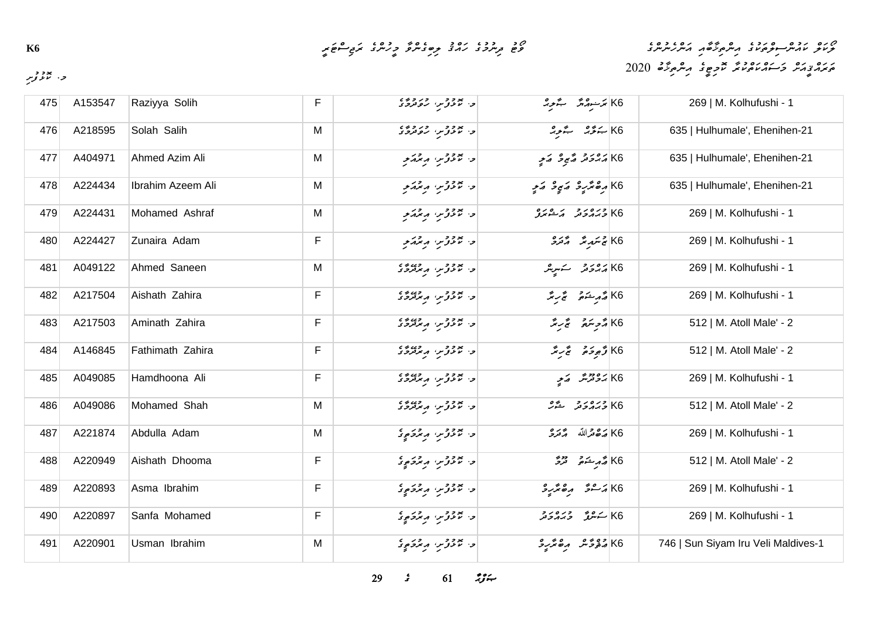*sCw7q7s5w7m< o<n9nOoAw7o< sCq;mAwBoEw7q<m; wBm;vB* م من المرة المرة المرة المرجع المرجع في المركبة 2020<br>مجم*د المريض المربوط المربع المرجع في المراجع المركبة* 

| 475 | A153547 | Raziyya Solih     | $\mathsf F$ | د برووس فردود و                                                         | K6 بزنب <i>ره بر بگ</i> ور             | 269   M. Kolhufushi - 1             |
|-----|---------|-------------------|-------------|-------------------------------------------------------------------------|----------------------------------------|-------------------------------------|
| 476 | A218595 | Solah Salih       | M           | و مودو روده                                                             | K6 بەنزچە سەمبەر                       | 635   Hulhumale', Ehenihen-21       |
| 477 | A404971 | Ahmed Azim Ali    | M           | والمعتقوس منقذع                                                         | K6 בֿבכנ <i>י בֿי</i> אָכ <i>ּ בֿי</i> | 635   Hulhumale', Ehenihen-21       |
| 478 | A224434 | Ibrahim Azeem Ali | M           | والمعتقوس منقذع                                                         | K6 "ھ تَرْرِدْ   دَبِرِدْ   دَمِرِ     | 635   Hulhumale', Ehenihen-21       |
| 479 | A224431 | Mohamed Ashraf    | M           | د عودوس معلكو                                                           | K6 دېرونو كم ش <i>ىرو</i>              | 269   M. Kolhufushi - 1             |
| 480 | A224427 | Zunaira Adam      | $\mathsf F$ | والمعوفرس متعامر                                                        | K6 يُحتمد بمَّه مُحترفه                | 269   M. Kolhufushi - 1             |
| 481 | A049122 | Ahmed Saneen      | M           | و عروفر بر وده و ،<br>و نانگونر بر برتروی                               | K6 كەبرىقە كەمبرى <i>گ</i> ە           | 269   M. Kolhufushi - 1             |
| 482 | A217504 | Aishath Zahira    | F           | و مووو<br>و م <i>توفرس پر پر تروی</i>                                   | K6 مەم ئىشقىق ئىچ س <sub>ى</sub> تىر   | 269   M. Kolhufushi - 1             |
| 483 | A217503 | Aminath Zahira    | $\mathsf F$ | و مووور، م <i>ردون</i><br>د موکور، مرکز <i>و</i> ی                      | K6 مَّ حِسَمَةٌ تَجْ سِمَّ             | 512   M. Atoll Male' - 2            |
| 484 | A146845 | Fathimath Zahira  | F           | د. بودوم، م <i>ه بوده و ،</i><br>د. م <i>انگ</i> وم، م <i>ه بو</i> ترون | K6 رَّج <i>وحَةْ</i> يُحْرِيمُّ        | 512   M. Atoll Male' - 2            |
| 485 | A049085 | Hamdhoona Ali     | F           | و به دوم پروژه د                                                        | K6 يَرْدُ بِيْتَرَ مَتَّ مِيَّةِ بِيَ  | 269   M. Kolhufushi - 1             |
| 486 | A049086 | Mohamed Shah      | M           | و مودوم، پروژوی<br>و ملووم، پرتروی                                      | K6 <i>جەنگەن ھەشى</i> ئىش              | 512   M. Atoll Male' - 2            |
| 487 | A221874 | Abdulla Adam      | M           | د به دوس مرتز و با                                                      | K6 كەھەراللە گەنز <i>ۈ</i>             | 269   M. Kolhufushi - 1             |
| 488 | A220949 | Aishath Dhooma    | $\mathsf F$ | د عروفر مرتز و و                                                        | K6 مُصِنْعَة قَرْدً                    | 512   M. Atoll Male' - 2            |
| 489 | A220893 | Asma Ibrahim      | $\mathsf F$ | و عودوس مرتزمونی                                                        | K6 كەشىر مەھم <i>گى</i> رو             | 269   M. Kolhufushi - 1             |
| 490 | A220897 | Sanfa Mohamed     | F           | د بيووس مرتز و پار                                                      | K6 سەھۇر ئەيرە ئەر                     | 269   M. Kolhufushi - 1             |
| 491 | A220901 | Usman Ibrahim     | M           | د عودوس مرتزموی                                                         | K6 جۇھۇش م <i>ەھترى</i> د              | 746   Sun Siyam Iru Veli Maldives-1 |

 $29$  *s* 61  $29$   $\div$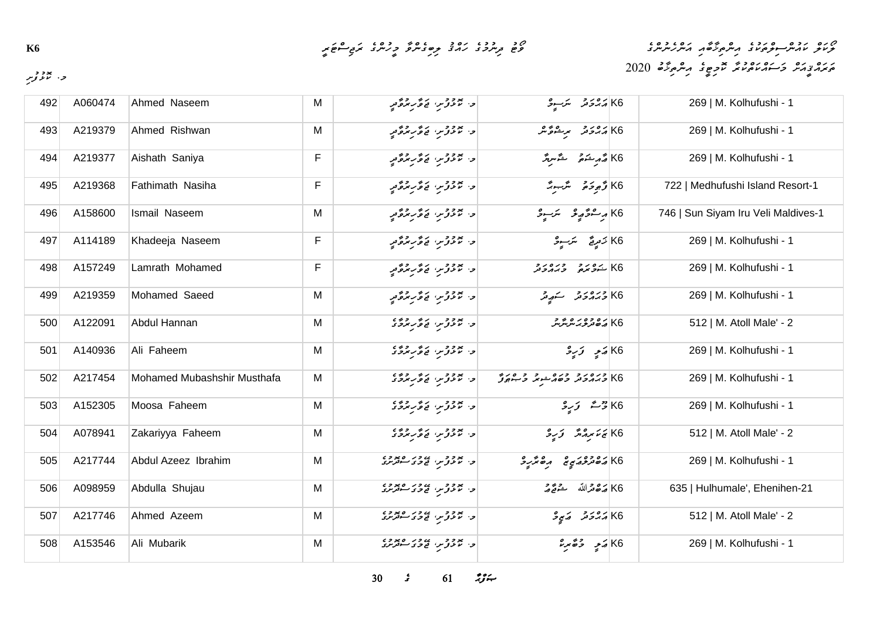*sCw7q7s5w7m< o<n9nOoAw7o< sCq;mAwBoEw7q<m; wBm;vB* م من المسجد المسجد المسجد المسجد المسجد العام 2020<br>مسجد المسجد المسجد المسجد المسجد المسجد المسجد المسجد المسجد ال

| 492 | A060474 | Ahmed Naseem                | M           | د بيموفرس في محر برگورير                                 | K6 كەبرى كىلى ئىرسونى                                  | 269   M. Kolhufushi - 1             |
|-----|---------|-----------------------------|-------------|----------------------------------------------------------|--------------------------------------------------------|-------------------------------------|
| 493 | A219379 | Ahmed Rishwan               | M           | د به برود بروگر بروگر                                    | K6 كەبرى كىم يون ئىشتۇنىلە                             | 269   M. Kolhufushi - 1             |
| 494 | A219377 | Aishath Saniya              | F           | و بيودوس تم و برو و بر                                   | K6 مُرمِسَمَّ شَمْسِتَر                                | 269   M. Kolhufushi - 1             |
| 495 | A219368 | Fathimath Nasiha            | $\mathsf F$ | و بيودوس في محر بره مو                                   | K6 رَّجِ دَمَرَ – سَرَ- سَرَ                           | 722   Medhufushi Island Resort-1    |
| 496 | A158600 | Ismail Naseem               | M           | و برووس يؤربروير                                         | K6 <sub>م</sub> ِ سْرَّ <sub>م</sub> ُ وَ سَرَ سِرْ وَ | 746   Sun Siyam Iru Veli Maldives-1 |
| 497 | A114189 | Khadeeja Naseem             | $\mathsf F$ | و بيودوس في وبيرة مر                                     | K6 كَتَمِيعٌ مُتَرَسِيحٌ مَ                            | 269   M. Kolhufushi - 1             |
| 498 | A157249 | Lamrath Mohamed             | $\mathsf F$ | و لارومن فاقربرهم                                        | K6 يَدُوبُرُو وَبَرُوبُوبُر                            | 269   M. Kolhufushi - 1             |
| 499 | A219359 | Mohamed Saeed               | M           | و موفق قائم بروي                                         | K6  <i>وټرونوقر سکو</i> پٽر                            | 269   M. Kolhufushi - 1             |
| 500 | A122091 | Abdul Hannan                | M           | و به دور ناگر دو،                                        | K6 كەھەر <i>2 بەر بىر بىر بىر</i>                      | 512   M. Atoll Male' - 2            |
| 501 | A140936 | Ali Faheem                  | M           | و مودوس قائد دوه                                         | K6 كەي   تررپ                                          | 269   M. Kolhufushi - 1             |
| 502 | A217454 | Mohamed Mubashshir Musthafa | M           | و به دور دوره دور                                        |                                                        | 269   M. Kolhufushi - 1             |
| 503 | A152305 | Moosa Faheem                | M           | و مودوس في مربود                                         |                                                        | 269   M. Kolhufushi - 1             |
| 504 | A078941 | Zakariyya Faheem            | M           | و مودوس قائد دوه                                         | K6 ى <i>م تىرمىڭ تې</i> رى                             | 512   M. Atoll Male' - 2            |
| 505 | A217744 | Abdul Azeez Ibrahim         | M           | و. مود و در ه مود و ،<br>و . ما نوتو مر انج و ی سوتو مرد | K6 كەھىر <i>ئىرى بىر ھەتگەر 2</i>                      | 269   M. Kolhufushi - 1             |
| 506 | A098959 | Abdulla Shujau              | M           |                                                          | K6 كَرْهْ قْدْاللّه شْمَةْ قْدْ                        | 635   Hulhumale', Ehenihen-21       |
| 507 | A217746 | Ahmed Azeem                 | M           | د اندو و در ۱۶۵۵ ورو د د و د<br>د اندلوکس که وی سوترس    | K6 كەندى قىرىم ئىلىنى ئىل                              | 512   M. Atoll Male' - 2            |
| 508 | A153546 | Ali Mubarik                 | M           | د. مود و در مود و د.<br>د. مانوتو د. مح و ی سوتو در      | K6 كەمچە خەھىرى <i>ن</i>                               | 269   M. Kolhufushi - 1             |

*30 sC 61 nNw?mS*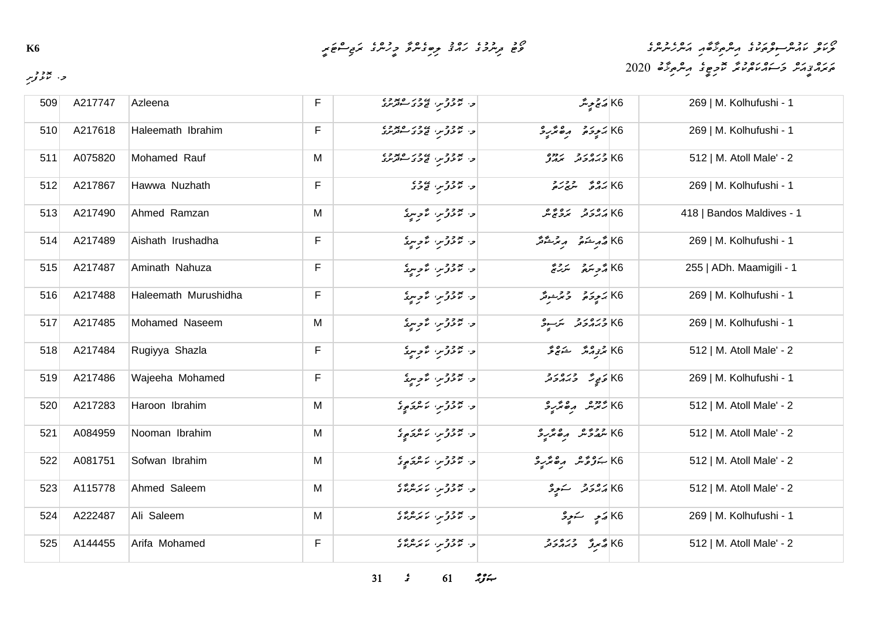*sCw7q7s5w7m< o<n9nOoAw7o< sCq;mAwBoEw7q<m; wBm;vB* م من المسجد المسجد المسجد المسجد المسجد العام 2020<br>مسجد المسجد المسجد المسجد المسجد المسجد المسجد المسجد المسجد ال

| 509 | A217747 | Azleena              | F           | د. ندوو <sub>س</sub> ور میروه<br>د. ن <i>دووس ف</i> ودکستر <i>م</i> رد | K6 رَج مِ بَرَّ                        | 269   M. Kolhufushi - 1   |
|-----|---------|----------------------|-------------|------------------------------------------------------------------------|----------------------------------------|---------------------------|
| 510 | A217618 | Haleemath Ibrahim    | F           | د. بروو در ۲۶۵۵ ورو و در ۲۶۵۵<br>در مانولوس قانوی سهترس                | K6 يَجِدَمُ مِصْرَبِ وَ                | 269   M. Kolhufushi - 1   |
| 511 | A075820 | Mohamed Rauf         | M           | بر و و  ع و ر  و و<br>و  ما نوتو من  مح و ی سوتو مری                   | K6 ديرورو بروده                        | 512   M. Atoll Male' - 2  |
| 512 | A217867 | Hawwa Nuzhath        | $\mathsf F$ | و سووم، مصوم<br>د ملاوم، محاوی                                         | K6 ئەم ئەم ئەم ئە                      | 269   M. Kolhufushi - 1   |
| 513 | A217490 | Ahmed Ramzan         | M           | و. مودوم، مۇمبرى                                                       | K6 <i>كەبۇ ئۇرغ ئەرگى</i> گە           | 418   Bandos Maldives - 1 |
| 514 | A217489 | Aishath Irushadha    | $\mathsf F$ | د. مودوم، م <sup>و</sup> رميد                                          | K6 مَّەرِسَەمْ    رىمرْسَّەتَر         | 269   M. Kolhufushi - 1   |
| 515 | A217487 | Aminath Nahuza       | F           | د. مودوم، اگرېبرگ                                                      | K6 مَّ جِسَعَهُ مَسَرَحَةٌ             | 255   ADh. Maamigili - 1  |
| 516 | A217488 | Haleemath Murushidha | F           | و. مودوم، مأوسط                                                        | K6 كەيرىكە - ئەتمەشەتگە                | 269   M. Kolhufushi - 1   |
| 517 | A217485 | Mohamed Naseem       | M           | و. مودوم، مؤمنية                                                       | K6 <i>\$22.2 مگرسو</i> د               | 269   M. Kolhufushi - 1   |
| 518 | A217484 | Rugiyya Shazla       | F           | د. مودوم، اگر میرنگ                                                    | K6 بمرت <sub>و</sub> م بمرگز مشترکز گر | 512   M. Atoll Male' - 2  |
| 519 | A217486 | Wajeeha Mohamed      | $\mathsf F$ | د. مودوم، اگرېبولا                                                     | K6 كون <i>ي تختم</i> دور               | 269   M. Kolhufushi - 1   |
| 520 | A217283 | Haroon Ibrahim       | M           | و مودوم، مأمرومور                                                      | K6 ئەنزىر م <i>ەھترى</i> د             | 512   M. Atoll Male' - 2  |
| 521 | A084959 | Nooman Ibrahim       | M           | د بيودوس مگردمون                                                       |                                        | 512   M. Atoll Male' - 2  |
| 522 | A081751 | Sofwan Ibrahim       | M           | د برووس مگردي                                                          | K6 يەر قىر مەھەردى                     | 512   M. Atoll Male' - 2  |
| 523 | A115778 | Ahmed Saleem         | M           | و مودور، ممرکبره وه                                                    | K6 كەندى كەربى                         | 512   M. Atoll Male' - 2  |
| 524 | A222487 | Ali Saleem           | M           | و مودور، ممرکبره وه                                                    | K6 کړ <i>و شود</i> و                   | 269   M. Kolhufushi - 1   |
| 525 | A144455 | Arifa Mohamed        | F           | و مودوم، ممرکزه ده                                                     | K6 مَمَعِ وَمَمْ دَوْمَ                | 512   M. Atoll Male' - 2  |

 $31$  *s* 61  $23$   $\div$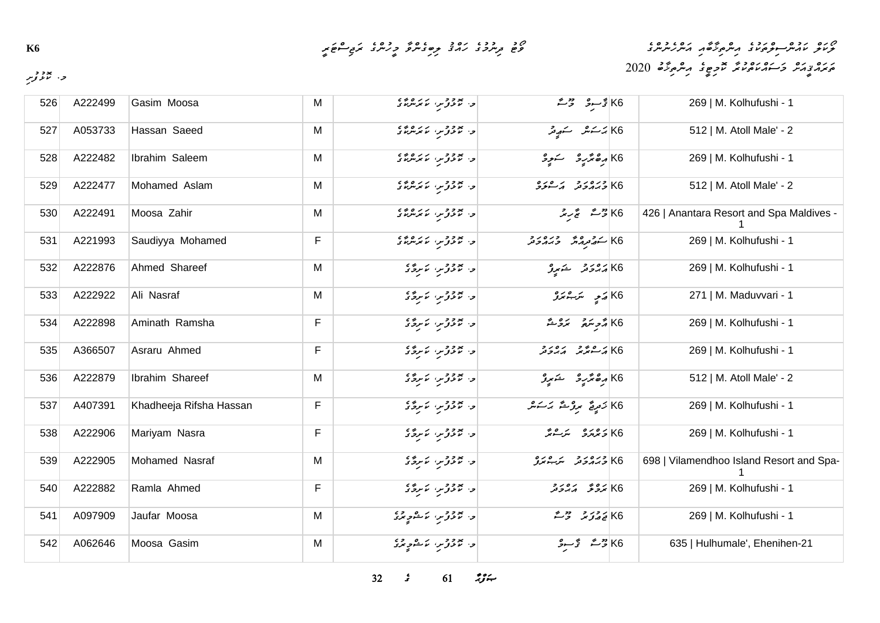*sCw7q7s5w7m< o<n9nOoAw7o< sCq;mAwBoEw7q<m; wBm;vB* م من المرة المرة المرة المرجع المرجع في المركبة 2020<br>مجم*د المريض المربوط المربع المرجع في المراجع المركبة* 

| 526 | A222499 | Gasim Moosa             | M           | د برود برنده در                                    | K6 كۇسىر <i>ى تى</i> مىشە                                                                                     | 269   M. Kolhufushi - 1                  |
|-----|---------|-------------------------|-------------|----------------------------------------------------|---------------------------------------------------------------------------------------------------------------|------------------------------------------|
| 527 | A053733 | Hassan Saeed            | M           | و مودوس متر مرده                                   | K6 ټريند ريتمبرنگر                                                                                            | 512   M. Atoll Male' - 2                 |
| 528 | A222482 | Ibrahim Saleem          | M           | و مودور، مئر مده وه                                | K6 مەھەرى سىمبەدى                                                                                             | 269   M. Kolhufushi - 1                  |
| 529 | A222477 | Mohamed Aslam           | M           | در سود در ۱۵ سره ور ۱۵ در ۱۵ در ا                  | K6 <i>جەممىتە مەشۇر</i>                                                                                       | 512   M. Atoll Male' - 2                 |
| 530 | A222491 | Moosa Zahir             | M           | در سرور در ۱۵ در ۱۵<br>  در سرور سرگرمزداد         | K6 چريز تج س                                                                                                  | 426   Anantara Resort and Spa Maldives - |
| 531 | A221993 | Saudiyya Mohamed        | $\mathsf F$ | در سود در ۱۵ سره ور در ۱۵ سر<br>  در سرگورس سرگورس | K6 شەمەمە ئەسەمە                                                                                              | 269   M. Kolhufushi - 1                  |
| 532 | A222876 | Ahmed Shareef           | M           | د. مودو <sub>م</sub> ، ئابردمی                     | K6 كەبرى كىر ئىستىر ئىستىر ئىستىر ئىستىر ئىستىر ئىستان ئىستان ئىستان ئىستان ئىستان ئىستان ئىستان ئىستان ئىستا | 269   M. Kolhufushi - 1                  |
| 533 | A222922 | Ali Nasraf              | M           | د. مودوم، ئابردمی                                  | K6 كەمچە سىر يىمى <i>ر</i> و                                                                                  | 271   M. Maduvvari - 1                   |
| 534 | A222898 | Aminath Ramsha          | F           | و مودور، مَبروًى                                   | K6 مَّحِسَمَّةَ مَدَّشَّةً                                                                                    | 269   M. Kolhufushi - 1                  |
| 535 | A366507 | Asraru Ahmed            | F           | د. مودوم، ئابردمی                                  | K6 كەسترىمىز كەبمەدىر                                                                                         | 269   M. Kolhufushi - 1                  |
| 536 | A222879 | Ibrahim Shareef         | M           | د. مودوم، ئابردمی                                  | K6 بر <i>ے پڑ<sub>یے گے پرو</sub></i>                                                                         | 512   M. Atoll Male' - 2                 |
| 537 | A407391 | Khadheeja Rifsha Hassan | F           | د. مودو <sub>م</sub> ، ئابردمی                     | K6 كَتْمِيعٌ مِرْدْشَة بَرْسَةً.                                                                              | 269   M. Kolhufushi - 1                  |
| 538 | A222906 | Mariyam Nasra           | $\mathsf F$ | و مودور، مَبروًى                                   | K6 كەبەر ئەرمىگە ئىر                                                                                          | 269   M. Kolhufushi - 1                  |
| 539 | A222905 | Mohamed Nasraf          | M           | و مودور، مَبروًى                                   | K6 دېرورو پرورو                                                                                               | 698   Vilamendhoo Island Resort and Spa- |
| 540 | A222882 | Ramla Ahmed             | F           | د. مودوم، ئابردمی                                  | K6 بَرْوْتُو بِرُمْرَوْتِر                                                                                    | 269   M. Kolhufushi - 1                  |
| 541 | A097909 | Jaufar Moosa            | M           | د بودوس ئاڭگوندى                                   | K6 يَ <sub>مُ</sub> وَرَحْمَدُ وَحْتَ                                                                         | 269   M. Kolhufushi - 1                  |
| 542 | A062646 | Moosa Gasim             | M           | و غروفر نمشوپری                                    | K6 ترمشہ توسیو                                                                                                | 635   Hulhumale', Ehenihen-21            |

**32** *s* **61** *if***<sub>i</sub>**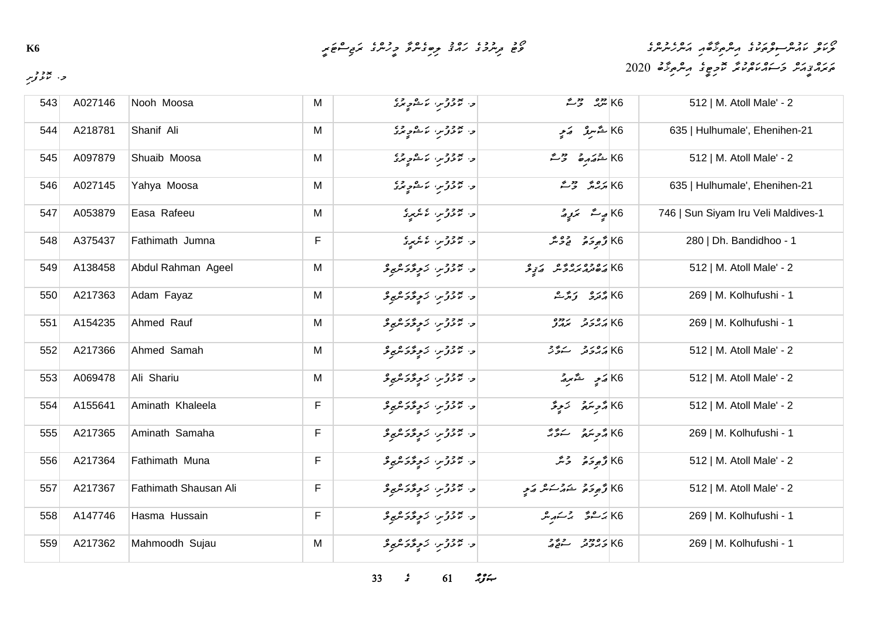*sCw7q7s5w7m< o<n9nOoAw7o< sCq;mAwBoEw7q<m; wBm;vB* م من المرة المرة المرة المرجع المرجع في المركبة 2020<br>مجم*د المريض المربوط المربع المرجع في المراجع المركبة* 

| 543 | A027146 | Nooh Moosa            | M           | د. توروین تاڪر پرد       | $23$ $22$ K6                            | 512   M. Atoll Male' - 2            |
|-----|---------|-----------------------|-------------|--------------------------|-----------------------------------------|-------------------------------------|
| 544 | A218781 | Shanif Ali            | M           | د. مودوس ماڪوپري         | K6 ڪسيڙ <i>مذم</i> رِ                   | 635   Hulhumale', Ehenihen-21       |
| 545 | A097879 | Shuaib Moosa          | M           | د. مودوس مأكسو برد       | $23$ $202$ $\times$ 6                   | 512   M. Atoll Male' - 2            |
| 546 | A027145 | Yahya Moosa           | M           | و الانوژنز، الأشو برد    | K6 يَرْرُبُّرُ وَيْسُمُ                 | 635   Hulhumale', Ehenihen-21       |
| 547 | A053879 | Easa Rafeeu           | M           | و مودور، عامریزی         | K6 <sub>می</sub> ٹ تر <i>ویڈ</i>        | 746   Sun Siyam Iru Veli Maldives-1 |
| 548 | A375437 | Fathimath Jumna       | $\mathsf F$ | د الاعتراض الأنكريزي     | K6 رَّج <i>وحَة</i> خ <sup>9</sup> مَّد | 280   Dh. Bandidhoo - 1             |
| 549 | A138458 | Abdul Rahman Ageel    | M           | ە ئوقۇم، ئېرگە ئەھمى     | K6 <i>مەھەممەۋىر مۇ</i> بۇ              | 512   M. Atoll Male' - 2            |
| 550 | A217363 | Adam Fayaz            | M           | ە ئارۇم، ئېرۇۋىر ئ       | K6 پژنرو ژیژئے                          | 269   M. Kolhufushi - 1             |
| 551 | A154235 | Ahmed Rauf            | M           | ە ئارۇم، ئېرۇۋىر ئ       | K6 كەبروتو ئەدە بەر                     | 269   M. Kolhufushi - 1             |
| 552 | A217366 | Ahmed Samah           | M           | ە ئارۇم، ئېرۇۋىر ئ       | K6 كەبرى بىر سىرىتى بىر                 | 512   M. Atoll Male' - 2            |
| 553 | A069478 | Ali Shariu            | M           | ە ئانگۇس ئېرگە كەلگەنى   | K6 كەمچە مىش <i>ەم</i> گە               | 512   M. Atoll Male' - 2            |
| 554 | A155641 | Aminath Khaleela      | F           | ە ئالارگىر، ئالمۇقەتكەنچ | K6 مَّحِسَمَۃ زَمِيْتَر                 | 512   M. Atoll Male' - 2            |
| 555 | A217365 | Aminath Samaha        | F           | ە ئانگۇس ئېرگە كەلگەنى   | K6 مَّحْدِسَمَّةَ سَنَرْتَهُ            | 269   M. Kolhufushi - 1             |
| 556 | A217364 | Fathimath Muna        | F           | ە ئوقۇم، ئېرگە ئەھمى     | K6 رَّج <i>و حَمَّى حَ</i> سَّ          | 512   M. Atoll Male' - 2            |
| 557 | A217367 | Fathimath Shausan Ali | F           | ە ئوقۇم، ئېرگە ئەھمى     | K6 <i>وَّجِودَة حَذرْ حَسَّر مَ</i> عِ  | 512   M. Atoll Male' - 2            |
| 558 | A147746 | Hasma Hussain         | F           | ە ئۇتۇر، ئېرگەگەللىرى    | K6 ئەشىر ئەسىر شەرىش                    | 269   M. Kolhufushi - 1             |
| 559 | A217362 | Mahmoodh Sujau        | M           | ە ئالارگىر، ئالمۇقەتكەنچ | K6ج دودو سنقار                          | 269   M. Kolhufushi - 1             |

**33** *s* **61** *n***<sub>y</sub> <b>***s*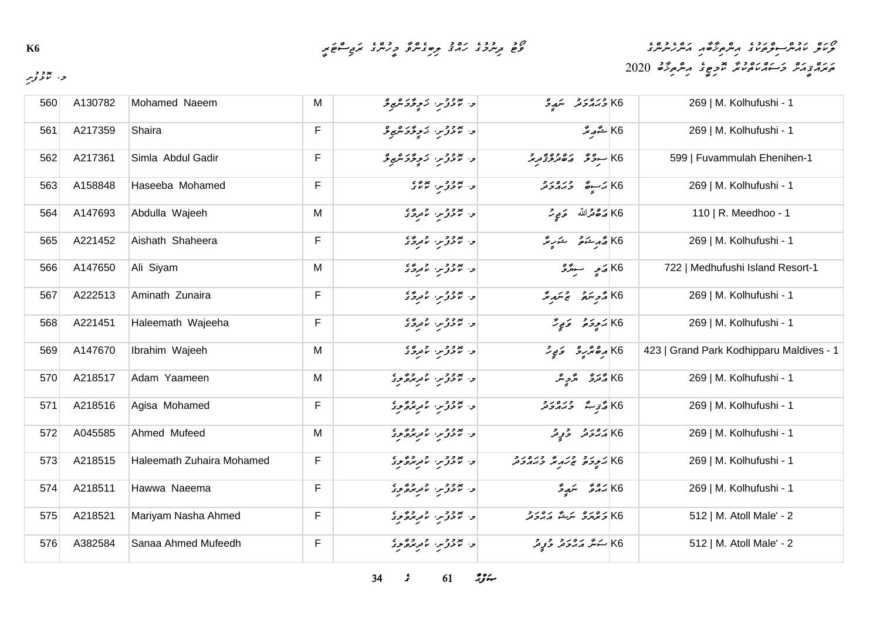*sCw7q7s5w7m< o<n9nOoAw7o< sCq;mAwBoEw7q<m; wBm;vB* م من المرة المرة المرة المرجع المرجع في المركبة 2020<br>مجم*د المريض المربوط المربع المرجع في المراجع المركبة* 

| > > ∞<br>ما عز توسر | و٠ |
|---------------------|----|
|                     |    |

| 560 | A130782 | Mohamed Naeem             | M           | <sub>جا</sub> ئارۇ <sub>س</sub> ئېرىگەنگىرى ئى | K6 دُبَہْدَوَ مَدِوْ                                     | 269   M. Kolhufushi - 1                  |
|-----|---------|---------------------------|-------------|------------------------------------------------|----------------------------------------------------------|------------------------------------------|
| 561 | A217359 | Shaira                    | F           | ە ئىمۇتىر، ئىرقۇق شەق                          | K6 ڪم <i>هي</i> ت                                        | 269   M. Kolhufushi - 1                  |
| 562 | A217361 | Simla Abdul Gadir         | $\mathsf F$ | ە ئوقۇم، ئۇقۇق شەق                             | K6 سوقۇ ھەھەر ئۇتوپرىز                                   | 599   Fuvammulah Ehenihen-1              |
| 563 | A158848 | Haseeba Mohamed           | $\mathsf F$ | والعروض للملاء                                 | K6 كەسىر <i>ە ئەتەرەت</i> ر                              | 269   M. Kolhufushi - 1                  |
| 564 | A147693 | Abdulla Wajeeh            | M           | د. بروو را تامردی                              | K6 مَەھەراللە <sub>ھ</sub> ەمى                           | 110   R. Meedhoo - 1                     |
| 565 | A221452 | Aishath Shaheera          | $\mathsf F$ | د. بروو را مورد و                              | K6 مُرمِسْمَعُ شَرِيمٌ                                   | 269   M. Kolhufushi - 1                  |
| 566 | A147650 | Ali Siyam                 | M           | د. نوروم، ت <sub>م</sub> ورومی                 | K6 كەمچە سىز <i>ەڭ</i>                                   | 722   Medhufushi Island Resort-1         |
| 567 | A222513 | Aminath Zunaira           | $\mathsf F$ | د نودو روروی                                   | K6 مَّحِسَمَّةً تَحْسَمِيَّتَهُ                          | 269   M. Kolhufushi - 1                  |
| 568 | A221451 | Haleemath Wajeeha         | F           | د. ندود به تروی                                | K6 كەردۇ ھەرتى                                           | 269   M. Kolhufushi - 1                  |
| 569 | A147670 | Ibrahim Wajeeh            | M           | د. نوروم، ت <sub>م</sub> ورومی                 | K6 رەڭرى <sub>د</sub> ۇ ك <i>ەبې</i> ر                   | 423   Grand Park Kodhipparu Maldives - 1 |
| 570 | A218517 | Adam Yaameen              | M           | د نوروم، نورگرگردی                             | K6 مُرْمَرْد مُرْحِ مُرْ                                 | 269   M. Kolhufushi - 1                  |
| 571 | A218516 | Agisa Mohamed             | F           | د نوروم، نورگرگردی                             | K6 مۇت <sub>و</sub> بىگە ئ <i>ىمكەم</i> گە               | 269   M. Kolhufushi - 1                  |
| 572 | A045585 | Ahmed Mufeed              | M           | د نوروم، توپروگرد                              | K6 كەندى قارىق                                           | 269   M. Kolhufushi - 1                  |
| 573 | A218515 | Haleemath Zuhaira Mohamed | F           | د بدود را موردو ده                             | K6 يَرْجِعُ ۾ مُحَمَّدِ مُحَمَّدَ قَرَّةٍ وَمَسْرَوْمَرَ | 269   M. Kolhufushi - 1                  |
| 574 | A218511 | Hawwa Naeema              | F           | د لوړوس توپروګرو                               | K6 يَہْدُمَّ سَمِي <sup>و</sup> ً                        | 269   M. Kolhufushi - 1                  |
| 575 | A218521 | Mariyam Nasha Ahmed       | $\mathsf F$ | و غروفر فرودون                                 | K6 كەبۇرۇ ئىرىش كەبروتر                                  | 512   M. Atoll Male' - 2                 |
| 576 | A382584 | Sanaa Ahmed Mufeedh       | F           | د موقرمز، مورخورد                              | K6 س <i>َمَدٌ <sub>مُ</sub>رْدَوْدٌ دُوِيْدُ</i>         | 512   M. Atoll Male' - 2                 |

*34 sC 61 nNw?mS*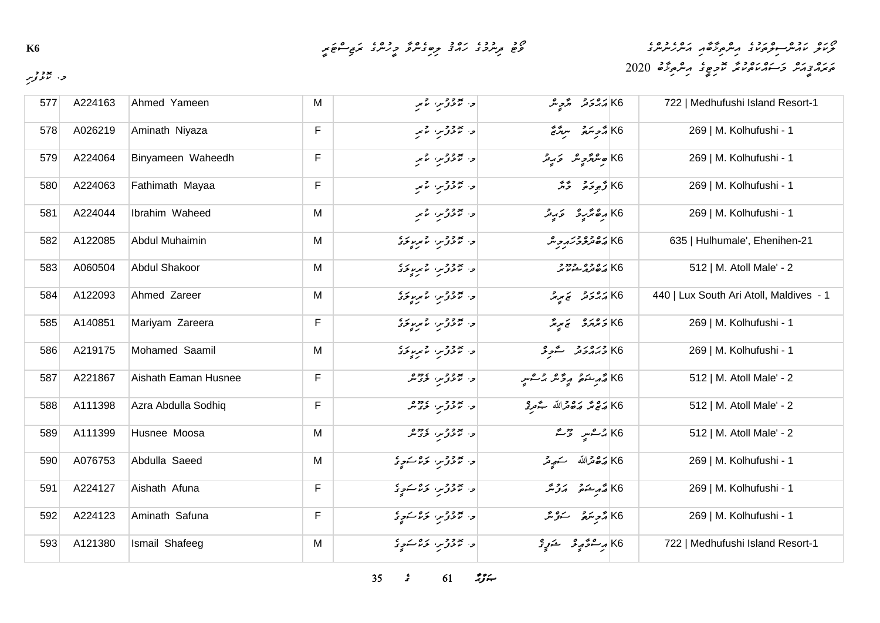*sCw7q7s5w7m< o<n9nOoAw7o< sCq;mAwBoEw7q<m; wBm;vB* م من المرة المرة المرة المرجع المرجع في المركبة 2020<br>مجم*د المريض المربوط المربع المرجع في المراجع المركبة* 

| 577 | A224163 | Ahmed Yameen         | M           | د ميموفر مرد م                      | K6 كەبرى قىر قىرىگىنى ئى                                 | 722   Medhufushi Island Resort-1        |
|-----|---------|----------------------|-------------|-------------------------------------|----------------------------------------------------------|-----------------------------------------|
| 578 | A026219 | Aminath Niyaza       | F           | د میگروش ماید<br>مستوفر ماید        | K6 مُّحِسَمُ مِنْ مِنْ مِنْ                              | 269   M. Kolhufushi - 1                 |
| 579 | A224064 | Binyameen Waheedh    | F           | والمعموقوس لامو                     | K6 صِمْهُدَّجِ مَدْ حَرَبِيْدَ                           | 269   M. Kolhufushi - 1                 |
| 580 | A224063 | Fathimath Mayaa      | $\mathsf F$ | د اندوچې لامړ                       | K6 <i>وَّجِرْحَمْ دُبَرُّ</i>                            | 269   M. Kolhufushi - 1                 |
| 581 | A224044 | Ibrahim Waheed       | M           | د ميموفرس ميمبر                     | K6 مەھە <i>تگىي</i> قىم تەمىر                            | 269   M. Kolhufushi - 1                 |
| 582 | A122085 | Abdul Muhaimin       | M           | و مودوس مي ديد ک                    | K6 <i>مەھىرى 3 تەم ج</i> ىگر                             | 635   Hulhumale', Ehenihen-21           |
| 583 | A060504 | <b>Abdul Shakoor</b> | M           | و مودوس مي ديكر                     | K6 كەھ <i>قەھ ھەم</i> قىر                                | 512   M. Atoll Male' - 2                |
| 584 | A122093 | Ahmed Zareer         | M           | و مودوس مي ديكر                     | K6 كەنزى كى ئىي ئىيە ئى                                  | 440   Lux South Ari Atoll, Maldives - 1 |
| 585 | A140851 | Mariyam Zareera      | F           | و مودوس مي ديكر                     | K6 <i>خەمدى ئىم</i> بەش                                  | 269   M. Kolhufushi - 1                 |
| 586 | A219175 | Mohamed Saamil       | M           | ن مودوس م <sub>م</sub> ربوري        | K6 <i>جەيمۇقى</i> سەرىج                                  | 269   M. Kolhufushi - 1                 |
| 587 | A221867 | Aishath Eaman Husnee | $\mathsf F$ | و. نوووس ودوه<br>و. نانووس نووش     | K6 مَّەر ھَەتقى بِرۇنىڭ برْس <sup>م</sup> ىي             | 512   M. Atoll Male' - 2                |
| 588 | A111398 | Azra Abdulla Sodhiq  | F           | و. ندوون عطوه<br>و: نانگونن توی نگر | K6 <i>ھَ.عْ مَّ</i> ھُ مَّرَاللَّهُ جَوْمِرْ حَجَّة مِنْ | 512   M. Atoll Male' - 2                |
| 589 | A111399 | Husnee Moosa         | M           | و. ندوون عطوه<br>و: نانگونن توی نگر | K6 پر مشہد ویں مح                                        | 512   M. Atoll Male' - 2                |
| 590 | A076753 | Abdulla Saeed        | M           | د بيودوس ځه شوړه                    | K6 كەھەراللە كىھوتىر                                     | 269   M. Kolhufushi - 1                 |
| 591 | A224127 | Aishath Afuna        | F           | د بيودوس ځه شوړي                    | K6 م <i>ەم ھەق مۇش</i>                                   | 269   M. Kolhufushi - 1                 |
| 592 | A224123 | Aminath Safuna       | $\mathsf F$ | والعموقوس كحام يحوي                 | K6 گەج سَوڤ سەر ئىگە                                     | 269   M. Kolhufushi - 1                 |
| 593 | A121380 | Ismail Shafeeg       | M           | د. موجود، ئەنگە ئىسكىچە ئى          | K6 <sub>م</sub> رےد <i>و پی</i> و جو پی                  | 722   Medhufushi Island Resort-1        |

**35** *s* **61** *n***<sub>s</sub>**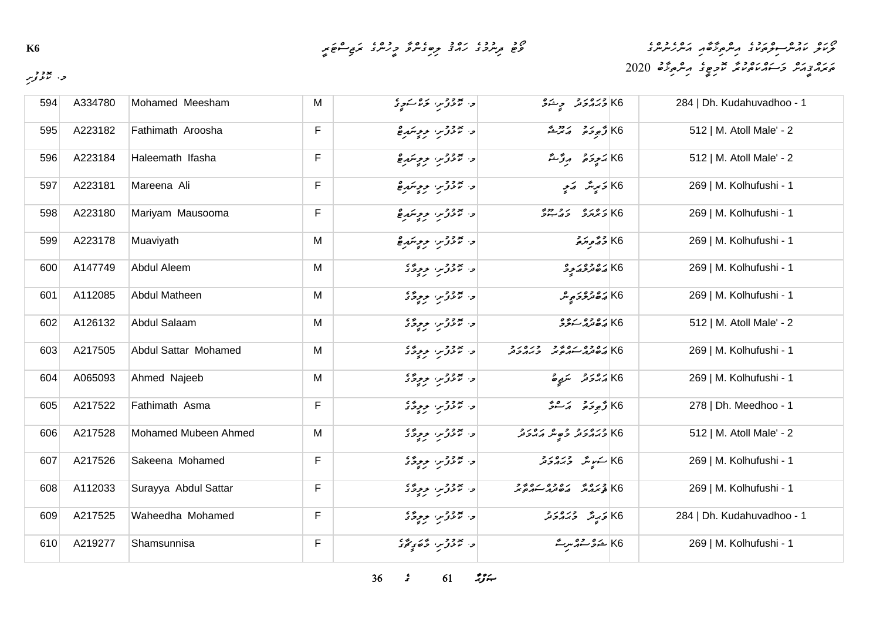*sCw7q7s5w7m< o<n9nOoAw7o< sCq;mAwBoEw7q<m; wBm;vB 2020*<br>*په پوهر وسوډيرونو لومو د موجو د مرمونه* 2020

| 594 | A334780 | Mohamed Meesham      | M           | د. مودو <sub>م</sub> ، ئۇرىئولى | K6 <i>ڈیزو</i> کٹر ۔ یشو                                                                                                                                                                                                                                                                                            | 284   Dh. Kudahuvadhoo - 1 |
|-----|---------|----------------------|-------------|---------------------------------|---------------------------------------------------------------------------------------------------------------------------------------------------------------------------------------------------------------------------------------------------------------------------------------------------------------------|----------------------------|
| 595 | A223182 | Fathimath Aroosha    | F           | والمحوفر ووشره                  | K6 رَّجْوِحَامُ مَا مَرْشَرَ                                                                                                                                                                                                                                                                                        | 512   M. Atoll Male' - 2   |
| 596 | A223184 | Haleemath Ifasha     | $\mathsf F$ | والمعزوس ووشره                  | K6 كەمچەقە موگ <sup>ىم</sup> ەً                                                                                                                                                                                                                                                                                     | 512   M. Atoll Male' - 2   |
| 597 | A223181 | Mareena Ali          | F           | والمحموقوس وويترريح             | K6 دَسٍتَر   رَمِيهِ                                                                                                                                                                                                                                                                                                | 269   M. Kolhufushi - 1    |
| 598 | A223180 | Mariyam Mausooma     | F           | والمحموقوس وويترريح             | K6 كەبەر بەر دەپىر                                                                                                                                                                                                                                                                                                  | 269   M. Kolhufushi - 1    |
| 599 | A223178 | Muaviyath            | M           | والمحوفر ووشره                  | K6 دُمَّہِ پَرْمَحْ                                                                                                                                                                                                                                                                                                 | 269   M. Kolhufushi - 1    |
| 600 | A147749 | Abdul Aleem          | M           | ه به برود و دور                 | K6 كەھەرى <i>گە بو</i> گ                                                                                                                                                                                                                                                                                            | 269   M. Kolhufushi - 1    |
| 601 | A112085 | Abdul Matheen        | M           | د. بروور، <sub>وپو</sub> وی     | K6 كەھەر <i>3 دې</i> رىر                                                                                                                                                                                                                                                                                            | 269   M. Kolhufushi - 1    |
| 602 | A126132 | Abdul Salaam         | M           | ه به برود و دور                 | K6 كەھە <i>ر بۇ سەۋ</i> ر                                                                                                                                                                                                                                                                                           | 512   M. Atoll Male' - 2   |
| 603 | A217505 | Abdul Sattar Mohamed | M           | ه برود و دوی                    | $\frac{1}{2}$ $\frac{1}{2}$ $\frac{1}{2}$ $\frac{1}{2}$ $\frac{1}{2}$ $\frac{1}{2}$ $\frac{1}{2}$ $\frac{1}{2}$ $\frac{1}{2}$ $\frac{1}{2}$ $\frac{1}{2}$ $\frac{1}{2}$ $\frac{1}{2}$ $\frac{1}{2}$ $\frac{1}{2}$ $\frac{1}{2}$ $\frac{1}{2}$ $\frac{1}{2}$ $\frac{1}{2}$ $\frac{1}{2}$ $\frac{1}{2}$ $\frac{1}{2}$ | 269   M. Kolhufushi - 1    |
| 604 | A065093 | Ahmed Najeeb         | M           | ه بیرووس ووژه                   | K6 كەبرى كىرىم ئىس ئىل                                                                                                                                                                                                                                                                                              | 269   M. Kolhufushi - 1    |
| 605 | A217522 | Fathimath Asma       | $\mathsf F$ | ه بیروژن ووژگا                  | K6 رَّج <i>و حَقَّ مَ</i> سُرْحَ                                                                                                                                                                                                                                                                                    | 278   Dh. Meedhoo - 1      |
| 606 | A217528 | Mohamed Mubeen Ahmed | M           | د. نوووس ووژگی                  | K6 ديروبرو و و پروتر                                                                                                                                                                                                                                                                                                | 512   M. Atoll Male' - 2   |
| 607 | A217526 | Sakeena Mohamed      | F           | د. برود <sub>و و و</sub> دی     | K6 سَرِيدٌ حَمَدُ <i>حدود</i> ٌ                                                                                                                                                                                                                                                                                     | 269   M. Kolhufushi - 1    |
| 608 | A112033 | Surayya Abdul Sattar | F           | ه برود و دوی                    | K6 ELA LOSO LOSE                                                                                                                                                                                                                                                                                                    | 269   M. Kolhufushi - 1    |
| 609 | A217525 | Waheedha Mohamed     | $\mathsf F$ | ه بهجود ووده                    | K6 كۆپەتگە ئەممىر ئەھمىيەتلىرى ئىس                                                                                                                                                                                                                                                                                  | 284   Dh. Kudahuvadhoo - 1 |
| 610 | A219277 | Shamsunnisa          | $\mathsf F$ | و اللاوس وګړي ده                | K6 خۇچە مەسرىسىگە                                                                                                                                                                                                                                                                                                   | 269   M. Kolhufushi - 1    |

 $36$  *s*  $61$  *i***<sub>S</sub>** $\frac{2}{5}$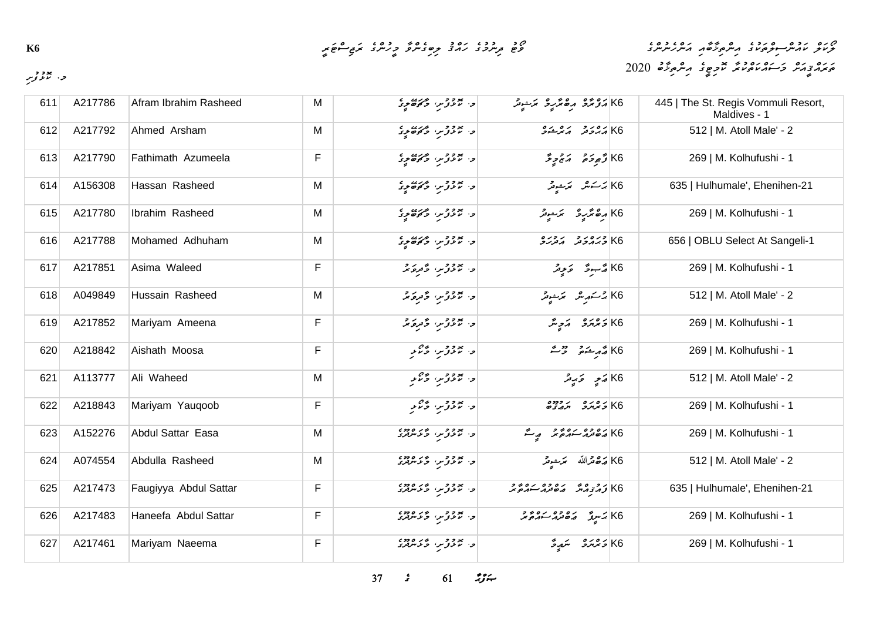*sCw7q7s5w7m< o<n9nOoAw7o< sCq;mAwBoEw7q<m; wBm;vB* م من المرة المرة المرة المرجع المرجع في المركبة 2020<br>مجم*د المريض المربوط المربع المرجع في المراجع المركبة* 

| , , ,<br>ما عر توسر<br>و٠ |
|---------------------------|
|---------------------------|

| 611 | A217786 | Afram Ibrahim Rasheed | м            | د برود برگري دي                                  | K6 رومرو مەھەر ئەس ئىر ئىرىدۇر | 445   The St. Regis Vommuli Resort,<br>Maldives - 1 |
|-----|---------|-----------------------|--------------|--------------------------------------------------|--------------------------------|-----------------------------------------------------|
| 612 | A217792 | Ahmed Arsham          | M            | و مودور، وگم مود                                 | K6 كەبروتى كەيم ئىشكى          | 512   M. Atoll Male' - 2                            |
| 613 | A217790 | Fathimath Azumeela    | F            | و مودور، ومحمد و                                 | K6 رَّجِ دَمَ سَمَّ دِ مََّ    | 269   M. Kolhufushi - 1                             |
| 614 | A156308 | Hassan Rasheed        | M            | و مودوس ومحومت                                   | K6   يَرْسَمْدُ   يَرْسُومْرُ  | 635   Hulhumale', Ehenihen-21                       |
| 615 | A217780 | Ibrahim Rasheed       | M            | و مودوس ومحومت                                   | K6 مەھەرىرى سىمىسى             | 269   M. Kolhufushi - 1                             |
| 616 | A217788 | Mohamed Adhuham       | M            | د برووس و گوه در                                 | K6 دېرونو پروره                | 656   OBLU Select At Sangeli-1                      |
| 617 | A217851 | Asima Waleed          | F            | و بودوم، وګرونو                                  | K6 مٌ سِوتٌ وَمِرِيْرٌ         | 269   M. Kolhufushi - 1                             |
| 618 | A049849 | Hussain Rasheed       | M            | و بيوووس گېږونکه                                 | K6 يُرْسَمْ مِرْ مَرْسُومْرُ   | 512   M. Atoll Male' - 2                            |
| 619 | A217852 | Mariyam Ameena        | $\mathsf{F}$ | و بيوووس گېږونکه                                 | K6 كا <i>كەنگەنگە</i> كەربەتگە | 269   M. Kolhufushi - 1                             |
| 620 | A218842 | Aishath Moosa         | F            | ە بىرودىن دەر                                    | K6 مَّەرْسَىرْ تَرْسَّى        | 269   M. Kolhufushi - 1                             |
| 621 | A113777 | Ali Waheed            | M            | د مودو <sub>ع</sub> ڈیمو                         | K6 كەمچە    قەرىقر             | 512   M. Atoll Male' - 2                            |
| 622 | A218843 | Mariyam Yauqoob       | F            | ە بىيودىن ۋە ب                                   | K6 كەبرىر مەدەپە               | 269   M. Kolhufushi - 1                             |
| 623 | A152276 | Abdul Sattar Easa     | M            | ه بروو به ده دوه<br>د ناندوس ونوسهرد             | K6 مەھىرمەم مەرقىسى بوگ        | 269   M. Kolhufushi - 1                             |
| 624 | A074554 | Abdulla Rasheed       | M            | ه بروو به دره دوه<br>د ناندوس ونگسهرد            | K6 كَەھەراللە كەھبەتر          | 512   M. Atoll Male' - 2                            |
| 625 | A217473 | Faugiyya Abdul Sattar | F            | د. بدوو به محدّث دود.<br> و. تأثّرُوسْ وترسر مرد | 72010701 20201                 | 635   Hulhumale', Ehenihen-21                       |
| 626 | A217483 | Haneefa Abdul Sattar  | $\mathsf{F}$ | د. مودوس گرمان                                   | K6 ئەس ئەھ ئەھ سەھ ئىر         | 269   M. Kolhufushi - 1                             |
| 627 | A217461 | Mariyam Naeema        | F            | و اندوو از ۱۵۶۵<br>و اندووس گرسهری               | K6 كا <i>كارىر بىر كىمب</i> وگ | 269   M. Kolhufushi - 1                             |

*37 sC 61 nNw?mS*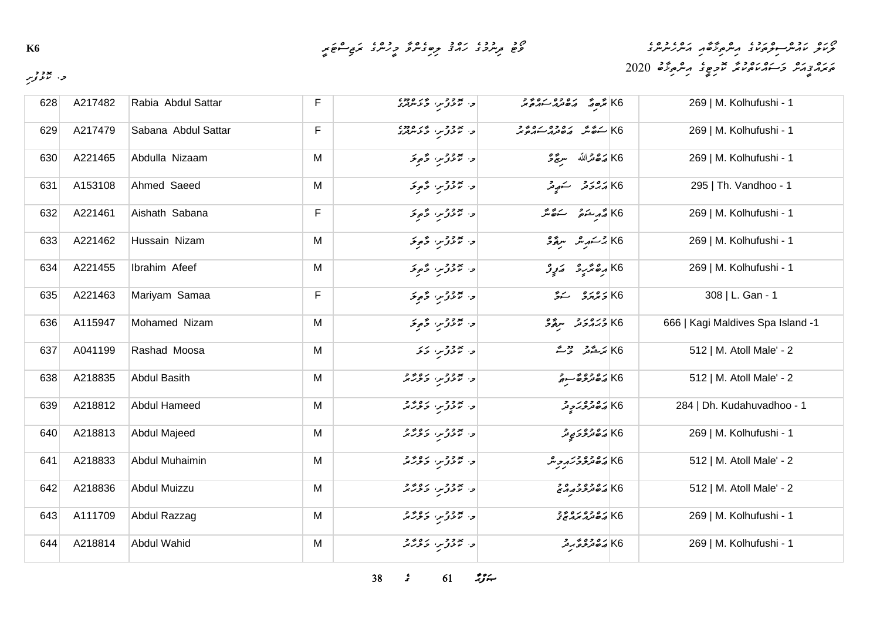*sCw7q7s5w7m< o<n9nOoAw7o< sCq;mAwBoEw7q<m; wBm;vB* م من المرة المرة المرة المرجع المرجع في المركبة 2020<br>مجم*د المريض المربوط المربع المرجع في المراجع المركبة* 

| 628 | A217482 | Rabia Abdul Sattar  | F           | د. بروو و دود.<br>د تانگوین گریزندی | K6 ترەق مەھىرمىسى <i>مبو</i> تر      | 269   M. Kolhufushi - 1           |
|-----|---------|---------------------|-------------|-------------------------------------|--------------------------------------|-----------------------------------|
| 629 | A217479 | Sabana Abdul Sattar | $\mathsf F$ | د. بروو د وره ده.<br>د تاندوس گرسه  | K6 ئۇيۇ مەھىرمەمىرە بور              | 269   M. Kolhufushi - 1           |
| 630 | A221465 | Abdulla Nizaam      | M           | د علووس و <i>گ</i> ری               | K6 مَەقراللە س <i>ىڭ 5</i>           | 269   M. Kolhufushi - 1           |
| 631 | A153108 | Ahmed Saeed         | M           | د بيودوس وحيو                       | K6 كەبۇبۇ سى <i>مبەت</i> ر           | 295   Th. Vandhoo - 1             |
| 632 | A221461 | Aishath Sabana      | F           | والعموقران وتحافي                   | K6 مەمرىسىمۇ سى <i>مۇنىڭ</i>         | 269   M. Kolhufushi - 1           |
| 633 | A221462 | Hussain Nizam       | M           | د نورومن و څوک                      | K6 يُرْسَمبِ مَنْ سِيَّحْرُ          | 269   M. Kolhufushi - 1           |
| 634 | A221455 | Ibrahim Afeef       | M           | د بيودوس وحيو                       | K6 مەھەمگەيى ھەرىكى K6               | 269   M. Kolhufushi - 1           |
| 635 | A221463 | Mariyam Samaa       | F           | ە ئىمزۇس ۋەبۇ                       | K6 كەيمەر ئەرىپىسى ئىس               | 308   L. Gan - 1                  |
| 636 | A115947 | Mohamed Nizam       | M           | د نوروش د گرد                       | K6 دېم <i>ډېر د سرگړ</i> و           | 666   Kagi Maldives Spa Island -1 |
| 637 | A041199 | Rashad Moosa        | M           | ە: ئۇتۇتتى، ئەتى                    | K6 بَرْئَيْتُرْ وَيْتَ               | 512   M. Atoll Male' - 2          |
| 638 | A218835 | <b>Abdul Basith</b> | M           | ه بهوده دوربر                       | K6 ئەھ تىر <i>قى</i> قىسى <i>م</i> ۇ | 512   M. Atoll Male' - 2          |
| 639 | A218812 | <b>Abdul Hameed</b> | M           | ه بهوده دوربر                       | K6 كەھ قرى <i>ۋىز ب</i> ويتر         | 284   Dh. Kudahuvadhoo - 1        |
| 640 | A218813 | Abdul Majeed        | M           | ه برووس کورنگر                      | K6 كەھ ترىۋى تو تر                   | 269   M. Kolhufushi - 1           |
| 641 | A218833 | Abdul Muhaimin      | M           | و مودور، وَوَرْمُرُ                 | K6 كەھىر <i>بىر بەرجى</i> گە         | 512   M. Atoll Male' - 2          |
| 642 | A218836 | <b>Abdul Muizzu</b> | M           | ه برووس کورنگر                      | K6 كەھەر <i>2005 كى</i>              | 512   M. Atoll Male' - 2          |
| 643 | A111709 | Abdul Razzag        | M           | و مودور، وَوَرْمُرُ                 | K6 كەھەممەم <i>كە</i> م              | 269   M. Kolhufushi - 1           |
| 644 | A218814 | <b>Abdul Wahid</b>  | M           | د برود روژبر کار                    | K6 كەھەترىۋە ب <sub>و</sub> تر       | 269   M. Kolhufushi - 1           |

**38** *s* **61** *if***<sub>i</sub>**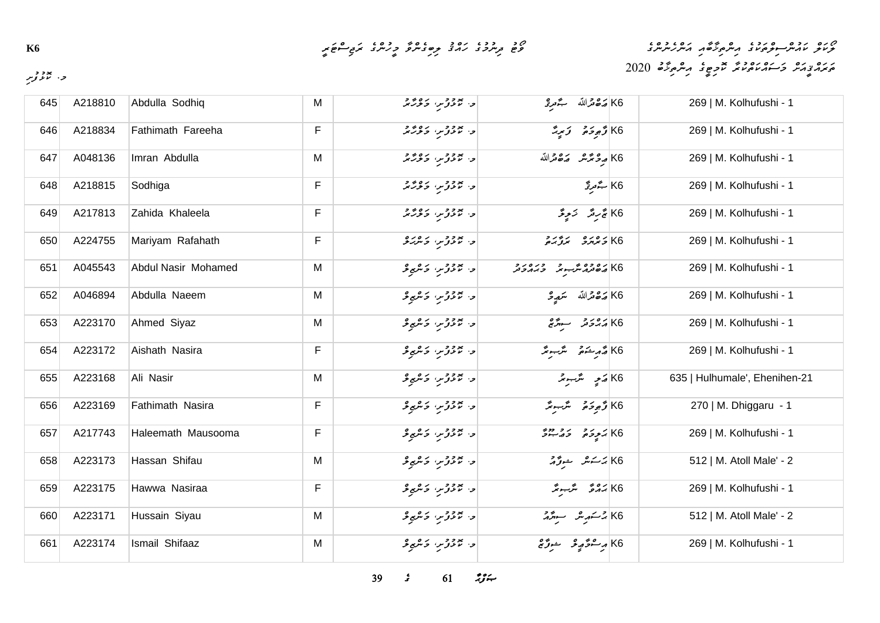*sCw7q7s5w7m< o<n9nOoAw7o< sCq;mAwBoEw7q<m; wBm;vB* م من المرة المرة المرة المرجع المرجع في المركبة 2020<br>مجم*د المريض المربوط المربع المرجع في المراجع المركبة* 

| > > ×<br>ما عر توسر | ٠, |
|---------------------|----|
|---------------------|----|

| 645 | A218810 | Abdulla Sodhiq      | M            | ا د اندود به دودند                                                                                                                                                                                                    | K6 رَصْحَرْاللّه جَ <sub>مَع</sub> ْ            | 269   M. Kolhufushi - 1       |
|-----|---------|---------------------|--------------|-----------------------------------------------------------------------------------------------------------------------------------------------------------------------------------------------------------------------|-------------------------------------------------|-------------------------------|
| 646 | A218834 | Fathimath Fareeha   | F            | و مودور، وَوَرْمُرُ                                                                                                                                                                                                   | K6 <i>وَّجِوحَةْ وَمِيدً</i>                    | 269   M. Kolhufushi - 1       |
| 647 | A048136 | Imran Abdulla       | M            | د. بدوور، <sub>م</sub> حو <i>ر</i> بر                                                                                                                                                                                 | K6 م <i>وڤرش مَ</i> ڤوَرالله                    | 269   M. Kolhufushi - 1       |
| 648 | A218815 | Sodhiga             | $\mathsf F$  | ه برووس کورنگر                                                                                                                                                                                                        | K6 سەمبۇتى                                      | 269   M. Kolhufushi - 1       |
| 649 | A217813 | Zahida Khaleela     | F            | ه برووس کورنگر                                                                                                                                                                                                        | K6 يَجْرِمَّر - رَمٍ تَحْ                       | 269   M. Kolhufushi - 1       |
| 650 | A224755 | Mariyam Rafahath    | $\mathsf{F}$ | أوا الألاثوس وتكريمو                                                                                                                                                                                                  | K6 ئەيرىرى ئىرگە ئىچە                           | 269   M. Kolhufushi - 1       |
| 651 | A045543 | Abdul Nasir Mohamed | M            | ا د . برود بر را تر تر بر تر استان بر استان بر استان بر استان بر استان بر استان بر استان بر استان بر<br>مرات استان بر استان بر استان بر استان بر استان بر استان بر استان بر استان بر استان بر استان بر استان بر استان | K6 رەۋە ئەربىر ئەرەر ئە                         | 269   M. Kolhufushi - 1       |
| 652 | A046894 | Abdulla Naeem       | M            | و. موروبو، ئەش <sub>ج</sub> ۇ                                                                                                                                                                                         | K6 كەچ قراللە س <i>ىمب</i> ۇ                    | 269   M. Kolhufushi - 1       |
| 653 | A223170 | Ahmed Siyaz         | M            | د غروم، دَمْهُوْ                                                                                                                                                                                                      | K6 كەبرى كىرىمىسىسى ئىستىدىنى بىر               | 269   M. Kolhufushi - 1       |
| 654 | A223172 | Aishath Nasira      | F            | د. برووس کريمبر                                                                                                                                                                                                       | K6 مَّ مِسْدَمَّ مَّ سَّرْسِوسَّ                | 269   M. Kolhufushi - 1       |
| 655 | A223168 | Ali Nasir           | M            | ا د . برود بر را تر تر بر تر استان بر استان بر استان بر استان بر استان بر استان بر استان بر استان بر<br>مرات استان بر استان بر استان بر استان بر استان بر استان بر استان بر استان بر استان بر استان بر استان بر استان | K6 كەمچە س <sup>ى</sup> رىبويتر                 | 635   Hulhumale', Ehenihen-21 |
| 656 | A223169 | Fathimath Nasira    | F            | د غروم کريمو                                                                                                                                                                                                          | K6 <i>وَّج</i> وحَةُ گُرْسِيَّتُر               | 270   M. Dhiggaru - 1         |
| 657 | A217743 | Haleemath Mausooma  | $\mathsf F$  | د نوروس کېږي و                                                                                                                                                                                                        | K6 يَوحِدَهُ حَمَّدَ بِيَوْ                     | 269   M. Kolhufushi - 1       |
| 658 | A223173 | Hassan Shifau       | M            | و مودور، وکرم و                                                                                                                                                                                                       | K6 بَرَسَدْ سُوَّرَةٌ.                          | 512   M. Atoll Male' - 2      |
| 659 | A223175 | Hawwa Nasiraa       | F            | و مودور، وکرم و                                                                                                                                                                                                       | K6 <i>بَدْهُ مَّ</i> سَمَّد سَمَّ               | 269   M. Kolhufushi - 1       |
| 660 | A223171 | Hussain Siyau       | M            | د. موروس ځش <sub>ک</sub> و                                                                                                                                                                                            | K6 يُرْسَمَّهِ مُّثَّرِ مُشْهَدٍ                | 512   M. Atoll Male' - 2      |
| 661 | A223174 | Ismail Shifaaz      | M            | د نوروس ځشوی                                                                                                                                                                                                          | K6 <sub>مر</sub> شۇ <sub>م</sub> ۇ خو <i>ۋچ</i> | 269   M. Kolhufushi - 1       |

**39** *s* **61** *if***<sub>i</sub>**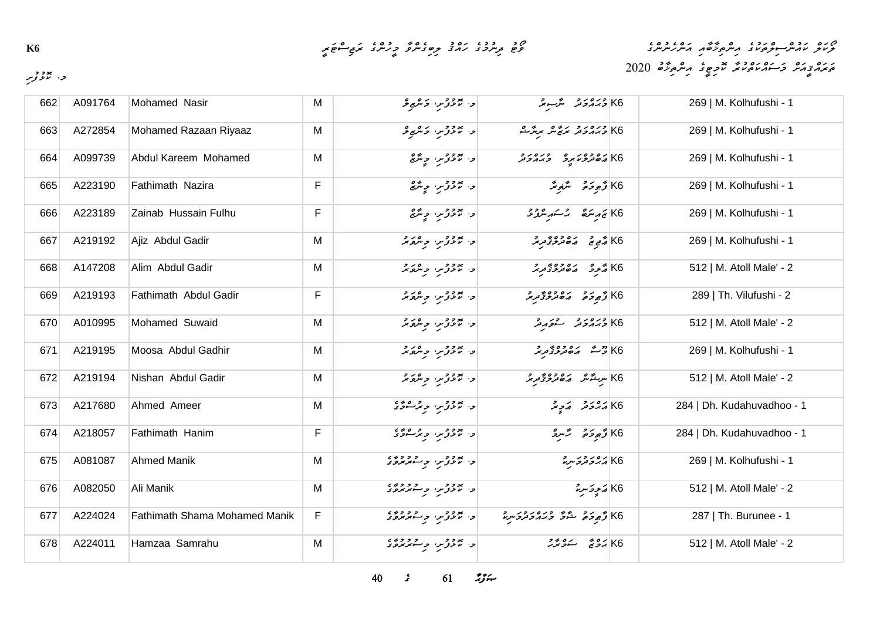*sCw7q7s5w7m< o<n9nOoAw7o< sCq;mAwBoEw7q<m; wBm;vB* م من المرة المرة المرة المرجع المرجع في المركبة 2020<br>مجم*د المريض المربوط المربع المرجع في المراجع المركبة* 

| 662 | A091764 | Mohamed Nasir                        | M           | د غوروس ځشونو                | K6 <i>جەنگەدى مەسىرى</i>                                                                                                  | 269   M. Kolhufushi - 1    |
|-----|---------|--------------------------------------|-------------|------------------------------|---------------------------------------------------------------------------------------------------------------------------|----------------------------|
| 663 | A272854 | Mohamed Razaan Riyaaz                | M           | د غروم، دَشْهِوْ             | K6 <i>دېمم</i> ونه ترڅه پرتر شه                                                                                           | 269   M. Kolhufushi - 1    |
| 664 | A099739 | Abdul Kareem Mohamed                 | M           | د نوووم، دیگرمی              | K6 בەنزونىز ئەرەر دىر                                                                                                     | 269   M. Kolhufushi - 1    |
| 665 | A223190 | Fathimath Nazira                     | $\mathsf F$ | د نوووم، دیگرمی              | K6 رَّج <i>وحَ</i> هُمْ مُتَّفَقِيمٌ                                                                                      | 269   M. Kolhufushi - 1    |
| 666 | A223189 | Zainab Hussain Fulhu                 | F           | د نورومر، دیگرمی             | K6 يَهرِسَهُ بِرْسَهرِ مِرْبِرْ بِنَ                                                                                      | 269   M. Kolhufushi - 1    |
| 667 | A219192 | Ajiz Abdul Gadir                     | M           | و مودوم، وتكريم              | K6 مَّەمٍ مَى مَعْرَفْتَوْمِدْ                                                                                            | 269   M. Kolhufushi - 1    |
| 668 | A147208 | Alim Abdul Gadir                     | M           | د برووم، ویکی بر             | K6 مَّحِرَّ مَصْرَحَةً مِنْ حَمَّدَةً                                                                                     | 512   M. Atoll Male' - 2   |
| 669 | A219193 | Fathimath Abdul Gadir                | $\mathsf F$ | د برووم، ویکی بر             | K6 رَّجِ حَمَّ صَ صَعْرَ حَقَّ مِرْ مَرْ                                                                                  | 289   Th. Vilufushi - 2    |
| 670 | A010995 | Mohamed Suwaid                       | M           | د. نووور، وبرونر             | K6 دېم ده ده سوړند                                                                                                        | 512   M. Atoll Male' - 2   |
| 671 | A219195 | Moosa Abdul Gadhir                   | M           | د. نووور، وبرونر             | K6 تۆسىم ھەھ تىرىخ توپىر                                                                                                  | 269   M. Kolhufushi - 1    |
| 672 | A219194 | Nishan Abdul Gadir                   | M           | د بودد وبرور                 | K6 سرشة شرح مقر مرتج تبريز                                                                                                | 512   M. Atoll Male' - 2   |
| 673 | A217680 | Ahmed Ameer                          | M           | د مودو <sub>س وم</sub> رتدوی | K6 كەبرى قىر كەر بىر                                                                                                      | 284   Dh. Kudahuvadhoo - 1 |
| 674 | A218057 | Fathimath Hanim                      | F           | و اندووس وتر ۱۶۵۰            | K6 رَّجِ دَمَّةَ مُسْتِدَّ                                                                                                | 284   Dh. Kudahuvadhoo - 1 |
| 675 | A081087 | <b>Ahmed Manik</b>                   | M           | و اندووس و متعرفروی          | K6 كەبرى قرىجە سرى <i>ت</i> ا                                                                                             | 269   M. Kolhufushi - 1    |
| 676 | A082050 | Ali Manik                            | M           | د. ندووس و مشهوره د          | K6 كەمەپى5 مىرى <i>م</i>                                                                                                  | 512   M. Atoll Male' - 2   |
| 677 | A224024 | <b>Fathimath Shama Mohamed Manik</b> | F           | د سودوس وتامر مرده د         | K6 ژُھِ ئ <sup>ے</sup> قریب مقصود میں مقبوض میں مقبوض میں مقبوض میں مقبوض میں مقبوض میں مقبوض میں مقبوض میں مقبوض میں مقب | 287   Th. Burunee - 1      |
| 678 | A224011 | Hamzaa Samrahu                       | M           | در عود ورابع در در دره د     | K6 يَرْوَجُ سَوْيُرْرُ                                                                                                    | 512   M. Atoll Male' - 2   |

*40 sC 61 nNw?mS*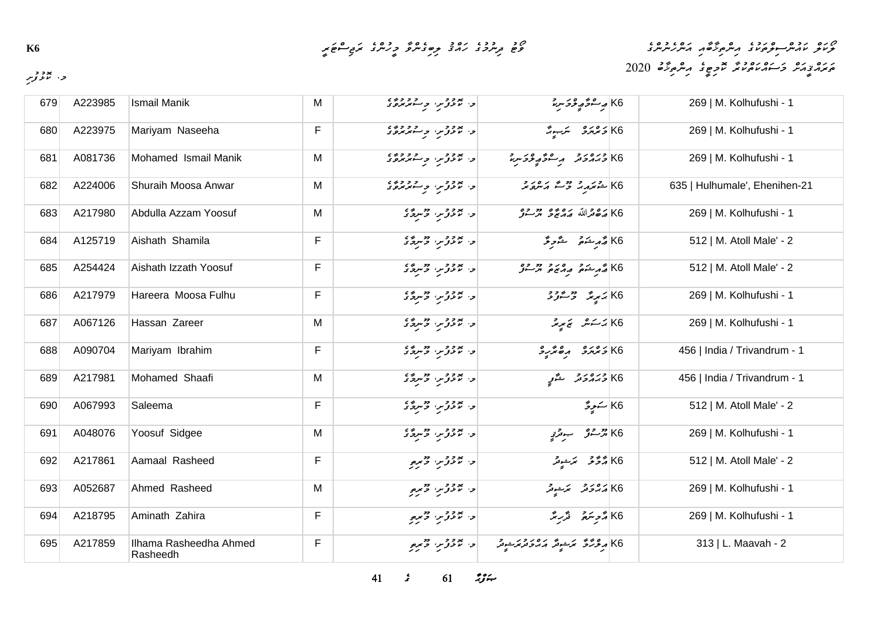*sCw7q7s5w7m< o<n9nOoAw7o< sCq;mAwBoEw7q<m; wBm;vB* م من المرة المرة المرة المرجع المرجع في المركبة 2020<br>مجم*د المريض المربوط المربع المرجع في المراجع المركبة* 

| 679 | A223985 | <b>Ismail Manik</b>                | M            | و میمورمن دیکھیے دورہ<br> و میمورمن دیکھیے | K6 <sub>مو</sub> شۇ ئوقۇ ئىبرى <i>ق</i>               | 269   M. Kolhufushi - 1       |
|-----|---------|------------------------------------|--------------|--------------------------------------------|-------------------------------------------------------|-------------------------------|
| 680 | A223975 | Mariyam Naseeha                    | F            | د. مودوم، وت دوره د                        | K6 كالا يمركز في مكرسوبرًا                            | 269   M. Kolhufushi - 1       |
| 681 | A081736 | Mohamed Ismail Manik               | M            | و اندووس و مشروره د                        | K6 <i>دېمم</i> ونر پرگوگوپولار                        | 269   M. Kolhufushi - 1       |
| 682 | A224006 | Shuraih Moosa Anwar                | M            | و الافروس و متمر لاوه                      | K6 شىمەر2 تۇسىم مەسھەتمە                              | 635   Hulhumale', Ehenihen-21 |
| 683 | A217980 | Abdulla Azzam Yoosuf               | M            | و مودور ومرده                              | K6 كەھەرللە كەم <i>52 مى</i> ر مى                     | 269   M. Kolhufushi - 1       |
| 684 | A125719 | Aishath Shamila                    | $\mathsf{F}$ | و مودور، ومردي                             | K6 مُرمِسَمُ مُشَرِقٌرٌ                               | 512   M. Atoll Male' - 2      |
| 685 | A254424 | Aishath Izzath Yoosuf              | $\mathsf F$  | د. مودور، ومردو                            | K6 مەم شەم مەم <i>بولى بولسى</i> ر                    | 512   M. Atoll Male' - 2      |
| 686 | A217979 | Hareera Moosa Fulhu                | $\mathsf F$  | د. مودور، ومردو                            | K6 يَرْمِيمُ - وَيَسْتَرُوْ                           | 269   M. Kolhufushi - 1       |
| 687 | A067126 | Hassan Zareer                      | M            | د. مودور، ومردو                            | K6   يَرْسَدُ مَجْ سِرْتَمْرِ                         | 269   M. Kolhufushi - 1       |
| 688 | A090704 | Mariyam Ibrahim                    | F            | د. مودور، ومردو                            | K6 كا <i>كا بحر مرة مراج</i> ع كري <sub>ر</sub> ى     | 456   India / Trivandrum - 1  |
| 689 | A217981 | Mohamed Shaafi                     | M            | د نوود و مرگز                              | K6  <i>وبروبرو حدَّوٍ</i>                             | 456   India / Trivandrum - 1  |
| 690 | A067993 | Saleema                            | F            | و برووم، ومردو                             | K6 سَنوِرً                                            | 512   M. Atoll Male' - 2      |
| 691 | A048076 | Yoosuf Sidgee                      | M            | و برووم، ومردًى                            | K6 ترقيق سومري <sub>ي</sub>                           | 269   M. Kolhufushi - 1       |
| 692 | A217861 | Aamaal Rasheed                     | $\mathsf F$  | و. نووومبر، وحميد                          | K6 مَرْدَّقَ - مَرْشِيْتَر                            | 512   M. Atoll Male' - 2      |
| 693 | A052687 | Ahmed Rasheed                      | M            | و. نووومبر، وحميد                          | K6 كەنزى كىلى كىلىنى ئىشلىقى ئىس                      | 269   M. Kolhufushi - 1       |
| 694 | A218795 | Aminath Zahira                     | F            | د. ندووس ومره                              | K6 مَّ حِ سَمَّة فَرَسِتَّهُ                          | 269   M. Kolhufushi - 1       |
| 695 | A217859 | Ilhama Rasheedha Ahmed<br>Rasheedh | F            | والمعروفين المحمومي                        | K6 م <i>وفرق بم</i> نوم م <i>موف</i> ر مرسوم المستومر | 313   L. Maavah - 2           |

*41 s* 61 *i*<sub>S</sub> $\approx$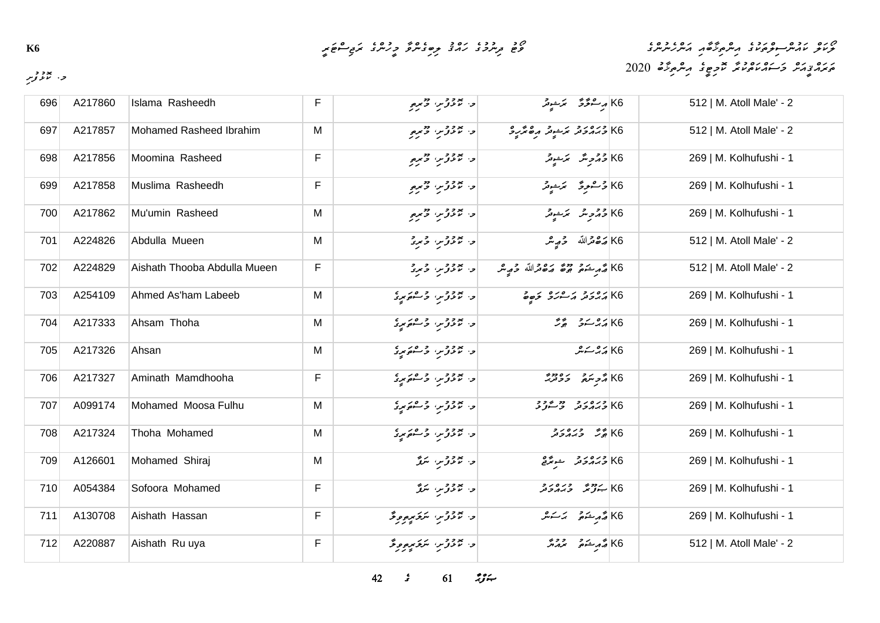*sCw7q7s5w7m< o<n9nOoAw7o< sCq;mAwBoEw7q<m; wBm;vB* م من المرة المرة المرة المرجع المرجع في المركبة 2020<br>مجم*د المريض المربوط المربع المرجع في المراجع المركبة* 

| 696 | A217860 | Islama Rasheedh              | $\mathsf F$ | د اندور و مره<br>  د اندور و مره | K6 م <b>ەشۇق - ئ</b> ەخوش                    | 512   M. Atoll Male' - 2 |
|-----|---------|------------------------------|-------------|----------------------------------|----------------------------------------------|--------------------------|
| 697 | A217857 | Mohamed Rasheed Ibrahim      | M           | د اندووس ومره                    | K6 درور د بر <sub>شو</sub> تر ره برگرد       | 512   M. Atoll Male' - 2 |
| 698 | A217856 | Moomina Rasheed              | F           | د. ندووس ومهد                    | K6 دُمْرِسٌ بَرَشِيْرٌ                       | 269   M. Kolhufushi - 1  |
| 699 | A217858 | Muslima Rasheedh             | $\mathsf F$ | والعموقرين وحمره                 | K6 ۇرمىمود كەن يول                           | 269   M. Kolhufushi - 1  |
| 700 | A217862 | Mu'umin Rasheed              | M           | والعموقرين وحمره                 | K6 دُمُرْدِ مُرْ مُرْسُومُرُ                 | 269   M. Kolhufushi - 1  |
| 701 | A224826 | Abdulla Mueen                | M           | د مودور، ومرد                    | K6 كەھەراللە ئ <i>ەم</i> بىر                 | 512   M. Atoll Male' - 2 |
| 702 | A224829 | Aishath Thooba Abdulla Mueen | F           | و. ۱۶۶۶م، د مرد                  | K6 مەم ئەم جۇڭ مەھىراللە خ <sub>ەرپى</sub> ر | 512   M. Atoll Male' - 2 |
| 703 | A254109 | Ahmed As'ham Labeeb          | M           | د. مودوس وگرور و                 | K6 كەبرى قىر كەسىرى قىرە ق                   | 269   M. Kolhufushi - 1  |
| 704 | A217333 | Ahsam Thoha                  | M           | د. مودوس وگرور و                 | K6 كەشەشىرى ھەتتە                            | 269   M. Kolhufushi - 1  |
| 705 | A217326 | Ahsan                        | M           | د. مودوس ومصر ،                  | K6 پزشک میں                                  | 269   M. Kolhufushi - 1  |
| 706 | A217327 | Aminath Mamdhooha            | F           | د به دور و شور و                 | K6 گەج سَمَعْ ھُے تَحْمَدُ مُحْمَدَ          | 269   M. Kolhufushi - 1  |
| 707 | A099174 | Mohamed Moosa Fulhu          | M           | د. مودوس ومصر ،                  | K6 ژبر در در درود                            | 269   M. Kolhufushi - 1  |
| 708 | A217324 | Thoha Mohamed                | M           | د. مودوس ومصر ،                  | K6 يُجرَّ حَرَمُ حَرَمَ                      | 269   M. Kolhufushi - 1  |
| 709 | A126601 | Mohamed Shiraj               | M           | ە: ئۇتۇتتىن ئىنىگ                | K6 <i>ۇتەۋەقر</i> ھو <i>بۇق</i>              | 269   M. Kolhufushi - 1  |
| 710 | A054384 | Sofoora Mohamed              | $\mathsf F$ | ە: ئۇنمۇتۇس ئىرتىگە              | K6 بىز بىر دىردىر                            | 269   M. Kolhufushi - 1  |
| 711 | A130708 | Aishath Hassan               | F           | د للمؤثر مركز مردوع <sup>و</sup> | K6 <i>مۇم ھۇم بىر شەنگ</i> ر                 | 269   M. Kolhufushi - 1  |
| 712 | A220887 | Aishath Ru uya               | F           | ە ئىمزۇس ئىرتىرە دۇ              | K6 مەم شىرە مەمەر                            | 512   M. Atoll Male' - 2 |

*42 sC 61 nNw?mS*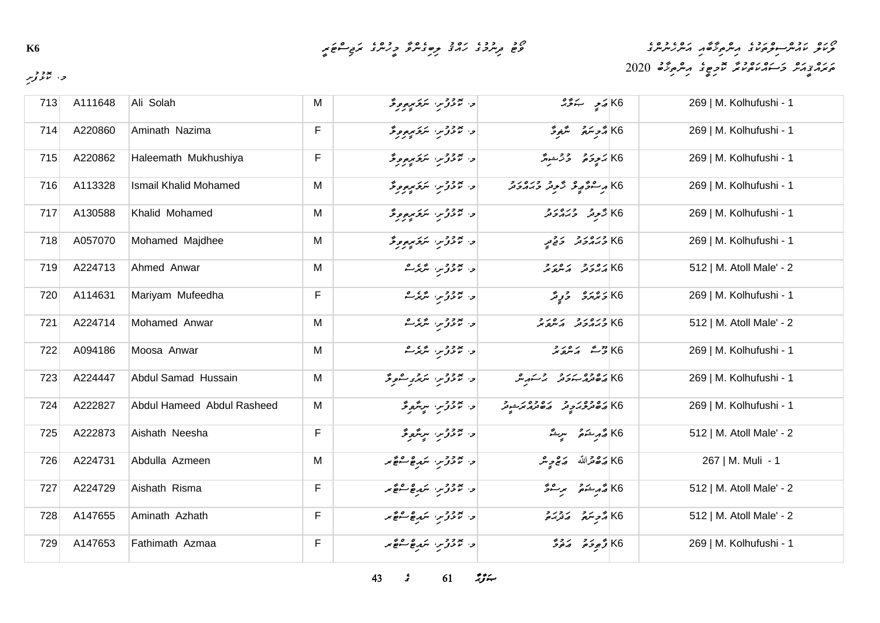*sCw7q7s5w7m< o<n9nOoAw7o< sCq;mAwBoEw7q<m; wBm;vB* م من المرة المرة المرة المرجع المرجع في المركبة 2020<br>مجم*د المريض المربوط المربع المرجع في المراجع المركبة* 

| 713 | A111648 | Ali Solah                    | M           | د لاروس ئىر <i>كىرە بو</i> رگە     | K6 كەير سەۋر                                     | 269   M. Kolhufushi - 1  |
|-----|---------|------------------------------|-------------|------------------------------------|--------------------------------------------------|--------------------------|
| 714 | A220860 | Aminath Nazima               | F           | ە ئانگۇس ئىككېرە بوڭ               | K6 مَّ حِ سَمَّ جَمْعِ حَ                        | 269   M. Kolhufushi - 1  |
| 715 | A220862 | Haleemath Mukhushiya         | $\mathsf F$ | و غۇرى ئىككىرە بۇ                  | K6 ټوپوکو گرگرشونگر                              | 269   M. Kolhufushi - 1  |
| 716 | A113328 | <b>Ismail Khalid Mohamed</b> | M           | و لارومن مكر موجود                 |                                                  | 269   M. Kolhufushi - 1  |
| 717 | A130588 | Khalid Mohamed               | M           | و غۇرى ئىرىم بوڭ                   | K6 تَرْمِتْرَ كَ <sup>2</sup> ْدَدْكَتْرَ        | 269   M. Kolhufushi - 1  |
| 718 | A057070 | Mohamed Majdhee              | M           | ە ئانگۇس ئىككېرە بوڭ               | K6 دُبَرْدْدَتْر كَمَّةٍ مِرِ                    | 269   M. Kolhufushi - 1  |
| 719 | A224713 | Ahmed Anwar                  | M           | د. ندودم، مگرمگ                    | K6 كەبروتىر كەشھەتتى                             | 512   M. Atoll Male' - 2 |
| 720 | A114631 | Mariyam Mufeedha             | $\mathsf F$ | د. بودوس مگریز ه                   | K6 كۆپر <i>ۇ دې</i> رتگ                          | 269   M. Kolhufushi - 1  |
| 721 | A224714 | Mohamed Anwar                | M           | د. بودوس مگرمگ                     | K6 ديروبر پر مرد د                               | 512   M. Atoll Male' - 2 |
| 722 | A094186 | Moosa Anwar                  | M           | د. بودوس مگریز ه                   | K6 يوسط مەش <i>رە ب</i> ە                        | 269   M. Kolhufushi - 1  |
| 723 | A224447 | Abdul Samad Hussain          | M           | و. ئانۇۋىر، ئىر <i>ىزى سەھ</i> ونۇ | K6 كەھەرمەردە ج. ئىكتەپتىر                       | 269   M. Kolhufushi - 1  |
| 724 | A222827 | Abdul Hameed Abdul Rasheed   | M           | و. توروم، سرچونځ                   | K6 <sub>م</sub> <i>ەھەروبەدە مەھەرە بىر</i> خوىز | 269   M. Kolhufushi - 1  |
| 725 | A222873 | Aishath Neesha               | $\mathsf F$ | و بيودوس سيتمومگ                   | K6 م <i>ەرشىتى س</i> ېيىتە                       | 512   M. Atoll Male' - 2 |
| 726 | A224731 | Abdulla Azmeen               | M           | و. ئاندۇس سەھ قىدىقىمە             | K6 مَـُـهُمْرالله مَـهْ وِسْر                    | 267   M. Muli - 1        |
| 727 | A224729 | Aishath Risma                | $\mathsf F$ | والمعروض شهره سكونة                | K6 مۇمەشقى موسىمۇ                                | 512   M. Atoll Male' - 2 |
| 728 | A147655 | Aminath Azhath               | F           | و الاعراز سكر عن معظم              | K6 مَّ حِ سَمَعَ مَقْرَسَةً حَمَّدَ              | 512   M. Atoll Male' - 2 |
| 729 | A147653 | Fathimath Azmaa              | $\mathsf F$ | والممتحق المتمر فالمستقص           | K6 وَّج <i>وحَمْ مَحْ</i> حَّ                    | 269   M. Kolhufushi - 1  |

*43 sC 61 nNw?mS*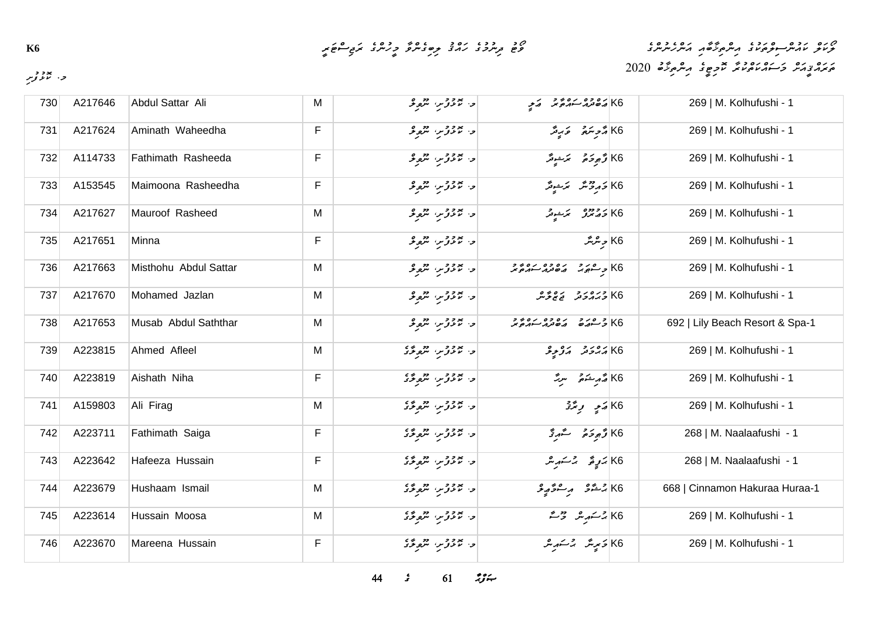*sCw7q7s5w7m< o<n9nOoAw7o< sCq;mAwBoEw7q<m; wBm;vB* م من المرة المرة المرة المرجع المرجع في المركبة 2020<br>مجم*د المريض المربوط المربع المرجع في المراجع المركبة* 

| 730 | A217646 | Abdul Sattar Ali      | M           | د نوروم، تروی                         | K6 בפנג המידי ביק                            | 269   M. Kolhufushi - 1         |
|-----|---------|-----------------------|-------------|---------------------------------------|----------------------------------------------|---------------------------------|
| 731 | A217624 | Aminath Waheedha      | F           | د بيودوس مروفه                        | K6 مَّ <i>جِ سَمَّةً وَ م</i> ِ مَّ          | 269   M. Kolhufushi - 1         |
| 732 | A114733 | Fathimath Rasheeda    | $\mathsf F$ | د نوووس چوکو                          | K6 رَّجِ حَمَّى سَمَسْبِعَّر                 | 269   M. Kolhufushi - 1         |
| 733 | A153545 | Maimoona Rasheedha    | $\mathsf F$ | د. ندود په شموی ک                     | K6 ك <i>َ مِرْدٌ مَّتَّرٍ مَرَ شِي</i> مَّرُ | 269   M. Kolhufushi - 1         |
| 734 | A217627 | Mauroof Rasheed       | M           | د نوروم، نژود                         | K6 <i>كەھەتتى تەسىرى</i> تىر                 | 269   M. Kolhufushi - 1         |
| 735 | A217651 | Minna                 | F           | د مودو <sub>ع</sub> ش <sub>عر</sub> و | K6 <sub>ج</sub> برېگر                        | 269   M. Kolhufushi - 1         |
| 736 | A217663 | Misthohu Abdul Sattar | M           | د مودو <sub>ع</sub> ش <sub>عر</sub> و | K6 د حمد د موده مود د دو                     | 269   M. Kolhufushi - 1         |
| 737 | A217670 | Mohamed Jazlan        | M           | د نوووس چوکو                          | K6 <i>جەيدۇ تىي قى</i> ر                     | 269   M. Kolhufushi - 1         |
| 738 | A217653 | Musab Abdul Saththar  | M           | د نوروم، نژونو                        | K6 د مرد ده ده ده دور                        | 692   Lily Beach Resort & Spa-1 |
| 739 | A223815 | Ahmed Afleel          | M           | د نودون نژوڅو                         | K6 كەبرى قىم كەن ئۇ جويىلى (ئ                | 269   M. Kolhufushi - 1         |
| 740 | A223819 | Aishath Niha          | F           | د نورور، همونژه                       | K6 مُذہب مَشمَّد مِنْتَ                      | 269   M. Kolhufushi - 1         |
| 741 | A159803 | Ali Firag             | M           | د. بودوم، نژ <sub>ه د</sub> ی         | K6 كەير     رىڭدىز                           | 269   M. Kolhufushi - 1         |
| 742 | A223711 | Fathimath Saiga       | F           | د نودور، نژوڅو                        | K6 رَّج <i>وحَةْ</i> سَمَّهِ تَحْ            | 268   M. Naalaafushi - 1        |
| 743 | A223642 | Hafeeza Hussain       | $\mathsf F$ | د نوروس چوځو                          | K6 بَرَرٍ جُ بِرْسَمبِ مِّرْ مِسْرِ          | 268   M. Naalaafushi - 1        |
| 744 | A223679 | Hushaam Ismail        | M           | و مودور، شهرون                        | K6 جُسْدًى مِرْ مُتَوَمِّدٍ \$               | 668   Cinnamon Hakuraa Huraa-1  |
| 745 | A223614 | Hussain Moosa         | M           | د نودور، نژوڅو                        | K6 پرڪبرير وحيد                              | 269   M. Kolhufushi - 1         |
| 746 | A223670 | Mareena Hussain       | F           | د بدود به ش <sub>کو</sub> د ک         | K6 كەمپەتر كەسكەر بىر                        | 269   M. Kolhufushi - 1         |

*44 sC 61 nNw?mS*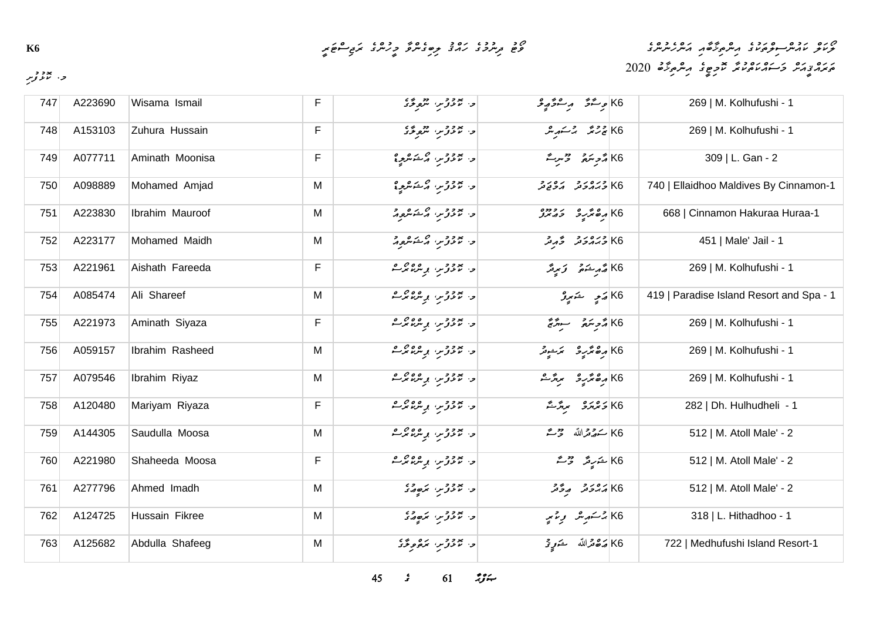*sCw7q7s5w7m< o<n9nOoAw7o< sCq;mAwBoEw7q<m; wBm;vB* م من المرة المرة المرة المرجع المرجع في المركبة 2020<br>مجم*د المريض المربوط المربع المرجع في المراجع المركبة* 

| 747 | A223690 | Wisama Ismail   | F           | د. نورود به مرد و د د               | K6 مِ سُمَرَّ - مِ سُمَّ مِرْ و          | 269   M. Kolhufushi - 1                  |
|-----|---------|-----------------|-------------|-------------------------------------|------------------------------------------|------------------------------------------|
| 748 | A153103 | Zuhura Hussain  | F           | د برود پر چرگی                      | K6 يحر <sup>ج</sup> ر بر <i>ستهد</i> ير  | 269   M. Kolhufushi - 1                  |
| 749 | A077711 | Aminath Moonisa | F           | والمعموقين وكالشكروني               | K6 مَّحِسَمَ حَسِبٌ                      | 309   L. Gan - 2                         |
| 750 | A098889 | Mohamed Amjad   | M           | والمعوفرس وكالحاهرة                 | K6 درور درور                             | 740   Ellaidhoo Maldives By Cinnamon-1   |
| 751 | A223830 | Ibrahim Mauroof | M           | والمعوفرس المشكر المعرور            | K6 مەھەر بەر ئەمەردە                     | 668   Cinnamon Hakuraa Huraa-1           |
| 752 | A223177 | Mohamed Maidh   | M           | والمعوفرس المشكر المعرور            | K6 دُبَرْدُوَنْرَ ۔ وَُمِيْرَ            | 451   Male' Jail - 1                     |
| 753 | A221961 | Aishath Fareeda | F           | د. موروبر، ب <sub>و</sub> مرد مرگ   | K6 مُرمِّسَمَّ وَمَرِمَّرَ               | 269   M. Kolhufushi - 1                  |
| 754 | A085474 | Ali Shareef     | M           | د. موروبر، ب <sub>و</sub> مرید مرگ  | K6 كەير شەيرتى                           | 419   Paradise Island Resort and Spa - 1 |
| 755 | A221973 | Aminath Siyaza  | F           | د. موروبر، ب <sub>و</sub> مرد مرگ   | K6 مَرْحِ سَعَةً مَسْتَمَتَّعَ           | 269   M. Kolhufushi - 1                  |
| 756 | A059157 | Ibrahim Rasheed | M           | د. موروبر، ب <sub>و</sub> مديد مرك  | K6 رەڭرىرى كرىنونر                       | 269   M. Kolhufushi - 1                  |
| 757 | A079546 | Ibrahim Riyaz   | M           | د. تدود به به پر پر پر پر شا        | K6 مەھە <i>تگەي</i> ھەمەتتە              | 269   M. Kolhufushi - 1                  |
| 758 | A120480 | Mariyam Riyaza  | F           | د. موروبر، ب <sub>و</sub> مرید محرک | K6 دَيْرْتَرْ مِتَرْتَّ                  | 282   Dh. Hulhudheli - 1                 |
| 759 | A144305 | Saudulla Moosa  | M           | د. موروبر، ب <sub>و</sub> مرید مرت  | K6 كەرتەراللە ج <sup>ەم</sup>            | 512   M. Atoll Male' - 2                 |
| 760 | A221980 | Shaheeda Moosa  | $\mathsf F$ | د. موروبر، ب <sub>و</sub> مرد مرگ   | K6 خَرِيمٌ حُرْثٌ                        | 512   M. Atoll Male' - 2                 |
| 761 | A277796 | Ahmed Imadh     | M           | و مودوم، مرج وي                     | K6 كەبرى قىر مەركىتى                     | 512   M. Atoll Male' - 2                 |
| 762 | A124725 | Hussain Fikree  | M           | و مودوم، مرج وه                     | K6 پرسمبر وی <sup>و</sup> میہ            | 318   L. Hithadhoo - 1                   |
| 763 | A125682 | Abdulla Shafeeg | M           | د برووم، برگ <sub>ۇ</sub> مۇمۇ      | K6 كەھەراللە ش <i>ەرپ<sup>ى</sup>ت</i> ى | 722   Medhufushi Island Resort-1         |

*45 sC 61 nNw?mS*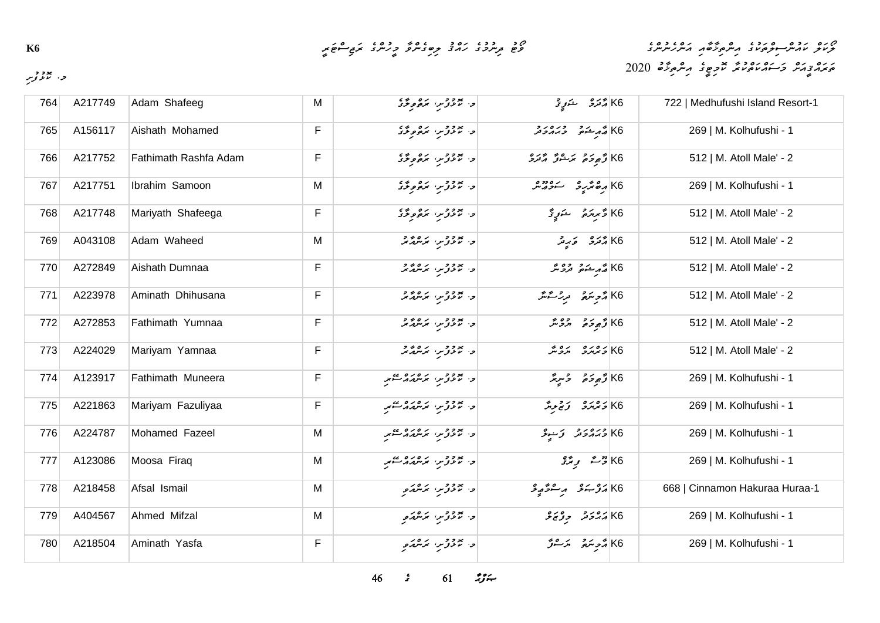*sCw7q7s5w7m< o<n9nOoAw7o< sCq;mAwBoEw7q<m; wBm;vB* م من المرة المرة المرة المرجع المرجع في المركبة 2020<br>مجم*د المريض المربوط المربع المرجع في المراجع المركبة* 

| 764 | A217749 | Adam Shafeeg          | M | د بيودوس بره دوري             | K6 گەترىۋ سى <i>كمۇ</i> تۇ                          | 722   Medhufushi Island Resort-1 |
|-----|---------|-----------------------|---|-------------------------------|-----------------------------------------------------|----------------------------------|
| 765 | A156117 | Aishath Mohamed       | F | د. مودو <sub>م</sub> ، تره وی | K6 مەم شەم ئەم ئەرىمىتىسى K6                        | 269   M. Kolhufushi - 1          |
| 766 | A217752 | Fathimath Rashfa Adam | F | د. نووور، نره وي              | K6 <i>وَّجِوَدَمْ</i> بَرَحْوَزَ مَ <i>دَّد</i> َدَ | 512   M. Atoll Male' - 2         |
| 767 | A217751 | Ibrahim Samoon        | M | د. مودو <sub>م</sub> ، تره وی | K6 مەھمەر ئەمەمەمە                                  | 269   M. Kolhufushi - 1          |
| 768 | A217748 | Mariyath Shafeega     | F | د بروور، بره وي               | K6 گە <i>بىرىترىق شۇرې</i> گە                       | 512   M. Atoll Male' - 2         |
| 769 | A043108 | Adam Waheed           | M | والعمود المرتكبة              | K6 مَرْتَرَدُ - حَ <sub>كَي</sub> شَ                | 512   M. Atoll Male' - 2         |
| 770 | A272849 | Aishath Dumnaa        | F | والعمووس لمحامدهم             | K6 مَّەر شَوَّمْ تَرْدَّسَّرَ                       | 512   M. Atoll Male' - 2         |
| 771 | A223978 | Aminath Dhihusana     | F | والعروس بماهم                 | K6 مَّحْرِسَمَّةَ مِنْ سَمَّسَّ                     | 512   M. Atoll Male' - 2         |
| 772 | A272853 | Fathimath Yumnaa      | F | والعروس بماهم                 | K6 <i>وَّجِوحَة مَرْحَ</i> مَّدُ                    | 512   M. Atoll Male' - 2         |
| 773 | A224029 | Mariyam Yamnaa        | F | و مودو برمهر                  | K6 كەيمەر بەرگە ئىگە                                | 512   M. Atoll Male' - 2         |
| 774 | A123917 | Fathimath Muneera     | F | و الافروس الأوره على          | K6 <i>وَّجِوَدَة</i> وَسِ <i>بَدَّ</i>              | 269   M. Kolhufushi - 1          |
| 775 | A221863 | Mariyam Fazuliyaa     | F | و علووم برەرە مە              | K6 كەيمە <i>كى ئى قى</i> مەر                        | 269   M. Kolhufushi - 1          |
| 776 | A224787 | Mohamed Fazeel        | M | و الانواع المسلم المسلم       | K6 <i>\$نەۋى ق</i> ىنىد                             | 269   M. Kolhufushi - 1          |
| 777 | A123086 | Moosa Firaq           | M | و الانولي، الأوره على         | K6 فِرْسَةً وِيَمَّةً و                             | 269   M. Kolhufushi - 1          |
| 778 | A218458 | Afsal Ismail          | M | والعموقوس لمحامدهم            | K6 كۇبكۇ بەيھۇمبۇ                                   | 668   Cinnamon Hakuraa Huraa-1   |
| 779 | A404567 | Ahmed Mifzal          | M | والعموقوس لمحامدهم            | K6 <i>ב</i> . 25 وونى 2                             | 269   M. Kolhufushi - 1          |
| 780 | A218504 | Aminath Yasfa         | F | و بيودوس ټرمندې               | K6 مُحرِسَمُ مَنْ مِنْ مِنْ الْمَنْ مِنْ            | 269   M. Kolhufushi - 1          |

*46 s* 61 *i*<sub>S</sub> $\approx$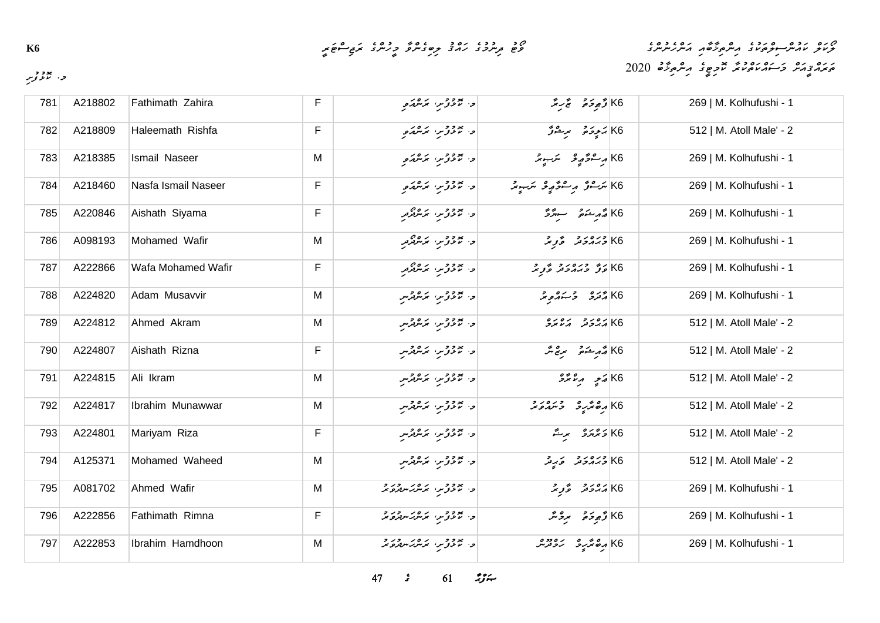*sCw7q7s5w7m< o<n9nOoAw7o< sCq;mAwBoEw7q<m; wBm;vB* م من المسجد المسجد المسجد المسجد المسجد العام 2020<br>مسجد المسجد المسجد المسجد المسجد المسجد المسجد المسجد المسجد ال

| 781 | A218802 | Fathimath Zahira    | $\mathsf F$ | و مودور، تر شده و                                                                                             | K6 رَّجوحَة تَجْرِبَّتْهِ                                                                                      | 269   M. Kolhufushi - 1  |
|-----|---------|---------------------|-------------|---------------------------------------------------------------------------------------------------------------|----------------------------------------------------------------------------------------------------------------|--------------------------|
| 782 | A218809 | Haleemath Rishfa    | F           | و الاعتقاد المستقرة المستقرة المستقرة المستقرة المستقرة المستقرة المستقرة المستقرة المستقرة المستقرة المستقرة | K6 كەردۇق موشۇ K6                                                                                              | 512   M. Atoll Male' - 2 |
| 783 | A218385 | Ismail Naseer       | M           | والمعدوس لمحامده                                                                                              | K6 <sub>م</sub> رشۇر قوتقىسىدىكى                                                                               | 269   M. Kolhufushi - 1  |
| 784 | A218460 | Nasfa Ismail Naseer | F           | و عووم، بر شهره                                                                                               | K6 ىركى مەشۇرى ئىب ئىلىنى كىلىن ئىل                                                                            | 269   M. Kolhufushi - 1  |
| 785 | A220846 | Aishath Siyama      | $\mathsf F$ | د. بودوس برم <i>وه</i> ر                                                                                      | K6 مَّەرْ مَنْعَمَّ سِيَّرَدَّ                                                                                 | 269   M. Kolhufushi - 1  |
| 786 | A098193 | Mohamed Wafir       | M           | در اندوج در اند برندگرمبر                                                                                     | K6 <i>جەيمۇقىڭ ھۇيەت</i>                                                                                       | 269   M. Kolhufushi - 1  |
| 787 | A222866 | Wafa Mohamed Wafir  | F           | د. بيرووس، برندور<br>او الافروس، برندور                                                                       | K6 دَرٌ حَمَدُ جَرَ <sup>و</sup> وَ وَرِ                                                                       | 269   M. Kolhufushi - 1  |
| 788 | A224820 | Adam Musavvir       | M           | در اندود در اند برندگر میل                                                                                    | K6 جۇيى ئەسىمبەر بىر                                                                                           | 269   M. Kolhufushi - 1  |
| 789 | A224812 | Ahmed Akram         | M           | د. نوووم، ئەنگەرس                                                                                             | K6 كەبروتىر كەندىنى كىر                                                                                        | 512   M. Atoll Male' - 2 |
| 790 | A224807 | Aishath Rizna       | F           | د بيودوس ترتگرفترس                                                                                            | K6 م <i>ەم ھەققى موجى م</i> ىر                                                                                 | 512   M. Atoll Male' - 2 |
| 791 | A224815 | Ali Ikram           | M           | د. برووم، ئرمرمرمبر                                                                                           | K6 كەمچە ب <i>وي</i> ۇنى <u>ۋ</u>                                                                              | 512   M. Atoll Male' - 2 |
| 792 | A224817 | Ibrahim Munawwar    | M           | در علوفر در مرتد در م                                                                                         | K6 مەھمەر ئەرەمەتقىرىكى ئىسكەتلىكى ئىسكەتلىكى ئىسكەتلىكى ئىسكەتلىكى ئىسكەتلىكى ئىسكەتلىكى ئىسكەتلىكى ئۇنىي ئىس | 512   M. Atoll Male' - 2 |
| 793 | A224801 | Mariyam Riza        | $\mathsf F$ | د. عروفرين برنگرفرس                                                                                           | K6 كا <i>كەنگەنگە</i> بىرىگە                                                                                   | 512   M. Atoll Male' - 2 |
| 794 | A125371 | Mohamed Waheed      | M           | د. موفرقر برنگریز                                                                                             | K6 <i>جُهُهُوَ مَدْ وَبِ</i> عْرَ                                                                              | 512   M. Atoll Male' - 2 |
| 795 | A081702 | Ahmed Wafir         | M           | و الادوب بر عرب العربي العربية                                                                                | K6 كەندى قىلى قىلىدىن ئىل                                                                                      | 269   M. Kolhufushi - 1  |
| 796 | A222856 | Fathimath Rimna     | $\mathsf F$ | در علمانویس میگردیم در در د                                                                                   | K6 رَّجِوحَة مِرْحَسَّ                                                                                         | 269   M. Kolhufushi - 1  |
| 797 | A222853 | Ibrahim Hamdhoon    | M           | والمعروض المرحز المروار وراد                                                                                  | K6 مەھەرىپە ئەدەر ئىرىد                                                                                        | 269   M. Kolhufushi - 1  |

*47 sC 61 nNw?mS*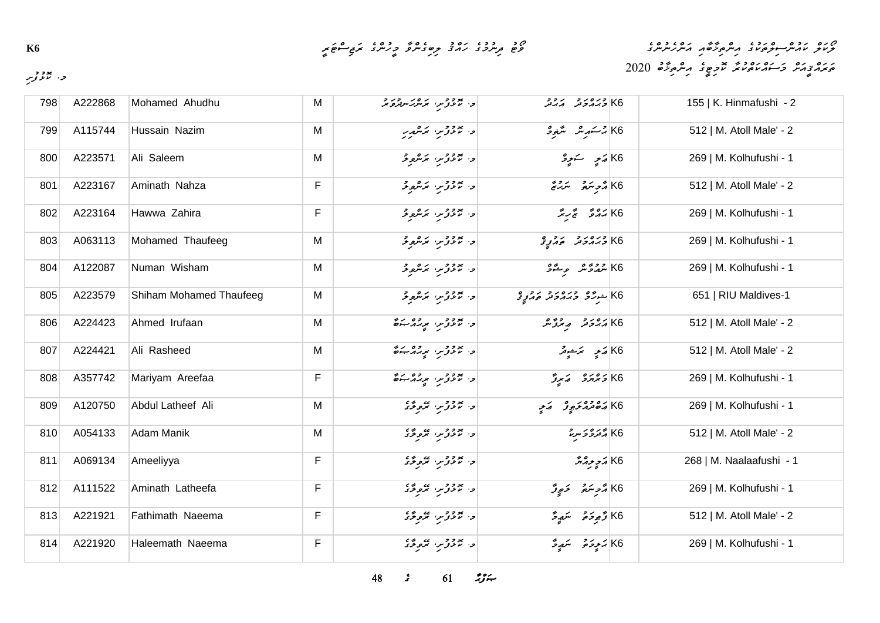*sCw7q7s5w7m< o<n9nOoAw7o< sCq;mAwBoEw7q<m; wBm;vB* م من المرة المرة المرة المرجع المرجع في المركبة 2020<br>مجم*د المريض المربوط المربع المرجع في المراجع المركبة* 

| > > ×<br>و، نتوویر |  |
|--------------------|--|
|--------------------|--|

| 798 | A222868 | Mohamed Ahudhu          | M            | د. عمود تر مر مر مرد در د.<br>  د. عمود تر مر مر مر مرد مرد | K6 <i>جەنگە خەش مەن</i> تر                     | 155   K. Hinmafushi - 2  |
|-----|---------|-------------------------|--------------|-------------------------------------------------------------|------------------------------------------------|--------------------------|
| 799 | A115744 | Hussain Nazim           | M            | و مودوم، برگرم                                              | K6 يُرْسَمب <sup>9</sup> سَمْعِ دَّ            | 512   M. Atoll Male' - 2 |
| 800 | A223571 | Ali Saleem              | M            | و عودوب برگروگر                                             | K6 کی پر سکوی <sup>ی</sup>                     | 269   M. Kolhufushi - 1  |
| 801 | A223167 | Aminath Nahza           | $\mathsf{F}$ | ە ئوقۇس ئۇشھۇ                                               | K6 مَّ جِسَعَة مَسَرَحَةً                      | 512   M. Atoll Male' - 2 |
| 802 | A223164 | Hawwa Zahira            | $\mathsf{F}$ | و مودوم، مرکزه و                                            | K6 ئەيرقە ئىچ بەتتە                            | 269   M. Kolhufushi - 1  |
| 803 | A063113 | Mohamed Thaufeeg        | M            | ە بودۇس ئۇنگەنچ                                             | K6 <i>جُهُ جُهُدُ وَمُحُوِيَّةُ</i>            | 269   M. Kolhufushi - 1  |
| 804 | A122087 | Numan Wisham            | M            | ە بودۇس ئۇنگەنچ                                             | K6 <i>سْمَدْدُ</i> شَرْءِ مِشْرَدُ             | 269   M. Kolhufushi - 1  |
| 805 | A223579 | Shiham Mohamed Thaufeeg | M            | ە ئوقۇس ئەنگرىمۇ                                            | K6 خېر <i>گۇ دېمگەدە مەر</i> ب <sub>و</sub> تۇ | 651   RIU Maldives-1     |
| 806 | A224423 | Ahmed Irufaan           | M            | و معووم، برروستان                                           | K6 كەبرى قىر مەيزۇنتىر                         | 512   M. Atoll Male' - 2 |
| 807 | A224421 | Ali Rasheed             | M            | د. ۱۶۶۲ م. د. د. د. م. د.                                   | K6 كەمچە كىرىش <sub>و</sub> نتر                | 512   M. Atoll Male' - 2 |
| 808 | A357742 | Mariyam Areefaa         | F            | و عووض پرده ده                                              | K6 كەنگە <i>ردە كەيدۇ</i>                      | 269   M. Kolhufushi - 1  |
| 809 | A120750 | Abdul Latheef Ali       | M            | د. بودوم، تژوڅر                                             | K6 كەھە <i>تەم كۆچە ئى</i> چ                   | 269   M. Kolhufushi - 1  |
| 810 | A054133 | Adam Manik              | M            | د. بودوم، تژ <sub>ه</sub> ژَگ                               | K6 مَحْمَدْ حَرْمَةَ مِنْ                      | 512   M. Atoll Male' - 2 |
| 811 | A069134 | Ameeliyya               | $\mathsf{F}$ | ە بىرودىن ئۈرگۈ                                             | K6 أو بوره بر                                  | 268   M. Naalaafushi - 1 |
| 812 | A111522 | Aminath Latheefa        | $\mathsf{F}$ | د. مودوس مگرمونگی                                           | K6 مَّحِرَّسَةَ حَبِّيقَ                       | 269   M. Kolhufushi - 1  |
| 813 | A221921 | Fathimath Naeema        | $\mathsf{F}$ | د· مودوم، تژوڅر                                             | K6 رَّج <i>وحَمْ سَمِي</i> عً                  | 512   M. Atoll Male' - 2 |
| 814 | A221920 | Haleemath Naeema        | F            | د· نودوم، تژ <sub>یو</sub> ژَی                              | K6 بَرْجِرَة مِنَ سَمَدٍ حَ                    | 269   M. Kolhufushi - 1  |

*48 sC 61 nNw?mS*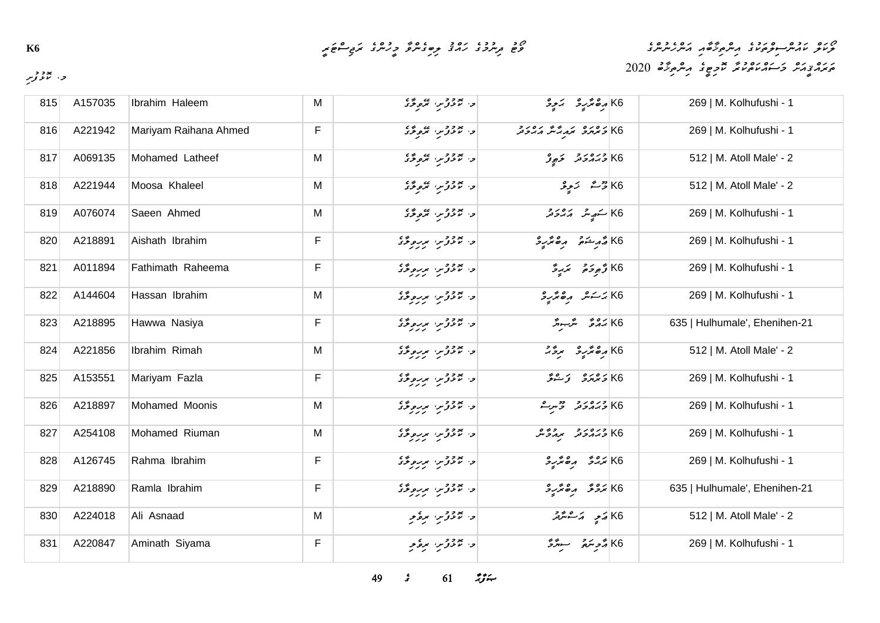*sCw7q7s5w7m< o<n9nOoAw7o< sCq;mAwBoEw7q<m; wBm;vB 2020*<br>*په پوهر وسوډيرونو لومو د موجو د مرمونه* 2020

| 815 | A157035 | Ibrahim Haleem        | M | و غروفر تروی                                  | K6 <sub>مر</sub> ھ <i>مُدْرِ</i> وْ مَ مَرِوْ | 269   M. Kolhufushi - 1       |
|-----|---------|-----------------------|---|-----------------------------------------------|-----------------------------------------------|-------------------------------|
| 816 | A221942 | Mariyam Raihana Ahmed | F | د. ۱۶۶۲ من محرم محرم                          | K6 كەبرىرى ئىرىگە ئەربىرى                     | 269   M. Kolhufushi - 1       |
| 817 | A069135 | Mohamed Latheef       | M | د. ۱۶۶۲ من میگرد و می                         | K6 دېم <i>ډېر خبو</i> ر                       | 512   M. Atoll Male' - 2      |
| 818 | A221944 | Moosa Khaleel         | M | ن مود در پروژی                                | K6 " ترموی ترموی با                           | 512   M. Atoll Male' - 2      |
| 819 | A076074 | Saeen Ahmed           | M | ل پروژ <sub>مر</sub> ، پ <sub>روژ</sub> ی     | K6 س <i>َموِيٹر مَدْحَ</i> تَر                | 269   M. Kolhufushi - 1       |
| 820 | A218891 | Aishath Ibrahim       | F | و· مودومر، برروژه                             | K6 مَّەرْ شَمَّة مِنْ مَّتَّرِيْتْر           | 269   M. Kolhufushi - 1       |
| 821 | A011894 | Fathimath Raheema     | F | ن مودوس مربره محمد ا                          | K6 رَّج <i>وحَةْ بَدَب</i> رِدَّ              | 269   M. Kolhufushi - 1       |
| 822 | A144604 | Hassan Ibrahim        | M | وسيود در مربره و دي.<br> وسيدونو مربر بر ديگر | K6 يَرْسَسْ مِنْ مِرْحِيْرِ فِي               | 269   M. Kolhufushi - 1       |
| 823 | A218895 | Hawwa Nasiya          | F | ن مود د مربر د د د                            | K6 <i>بَدْهُ مُّ</i> سِبِّرٌ                  | 635   Hulhumale', Ehenihen-21 |
| 824 | A221856 | Ibrahim Rimah         | M | ه په پووم، مرسوغه                             | K6 رەئزى <sub>ر</sub> و بر <i>ۇز</i>          | 512   M. Atoll Male' - 2      |
| 825 | A153551 | Mariyam Fazla         | F | ه په پووځونه مرسوغه                           | K6 كەيمە <i>دى تى</i> شىمى                    | 269   M. Kolhufushi - 1       |
| 826 | A218897 | Mohamed Moonis        | M | ن پروژن برروژی                                | K6 <i>جەمەدى قىب</i> ر                        | 269   M. Kolhufushi - 1       |
| 827 | A254108 | Mohamed Riuman        | M | ن مودور، بربروژه<br> و· ماندوس، بربروژه       | K6 32,025 برومجينز                            | 269   M. Kolhufushi - 1       |
| 828 | A126745 | Rahma Ibrahim         | F | ن مود د مربر د د د                            | K6 بَرْبُرْدَ مِنْ مِّرْبِرْدَ                | 269   M. Kolhufushi - 1       |
| 829 | A218890 | Ramla Ibrahim         | F | ن مودوس بربروگری<br>  دا موکولو بربروگری      | K6 ىردۇ م <i>ەترى</i> رو                      | 635   Hulhumale', Ehenihen-21 |
| 830 | A224018 | Ali Asnaad            | M | و. بدووس برة و                                | K6 كەمچە كەشىھەتلىر                           | 512   M. Atoll Male' - 2      |
| 831 | A220847 | Aminath Siyama        | F | د مودوم، برة و                                | K6 مُّحِبَّدَةٌ مُسَرَّدَّ                    | 269   M. Kolhufushi - 1       |

*49 sC 61 nNw?mS*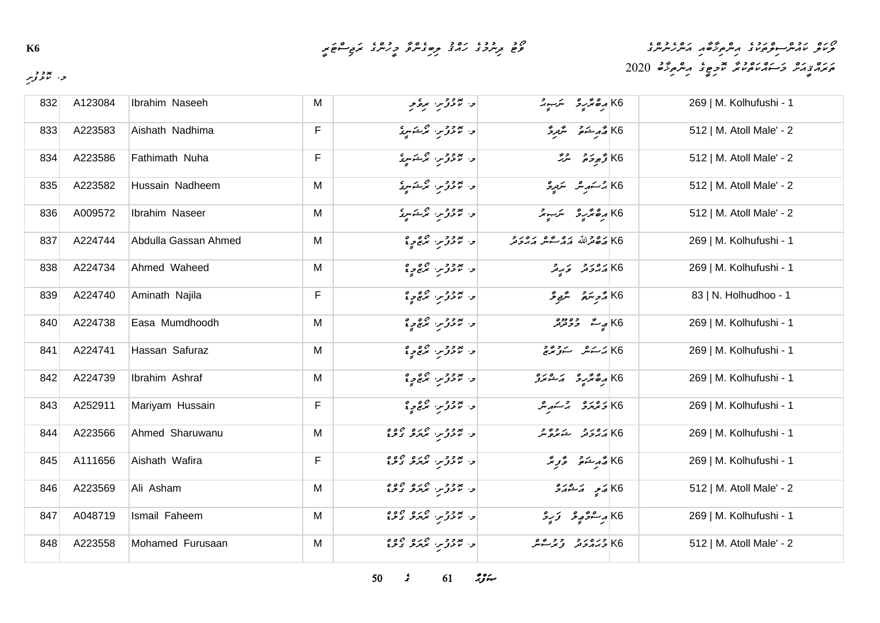*sCw7q7s5w7m< o<n9nOoAw7o< sCq;mAwBoEw7q<m; wBm;vB* م من المرة المرة المرة المرجع المرجع في المركبة 2020<br>مجم*د المريض المربوط المربع المرجع في المراجع المركبة* 

| 832 | A123084 | Ibrahim Naseeh       | M           | و: عموقرمر، برغرمر                                           | K6 مەھەر ئەربىيە ئىككى ئىستىدى ئىككى ئاستان ئىككى ئاستان ئىككى ئاستان ئىككى ئاستان ئىككى ئاستان ئىككى ئاستان ئ<br>مەنبە | 269   M. Kolhufushi - 1  |
|-----|---------|----------------------|-------------|--------------------------------------------------------------|-------------------------------------------------------------------------------------------------------------------------|--------------------------|
| 833 | A223583 | Aishath Nadhima      | F           | د. توروس، ترېشورتو                                           | K6 مَەرىسَىم مىگىرگى                                                                                                    | 512   M. Atoll Male' - 2 |
| 834 | A223586 | Fathimath Nuha       | F           | د. موجود را مر شهر در محمد براسید<br>موسیقی برای مرکز براسید | K6 <i>وَّجِوحَةْ</i> مَرْتَهُ                                                                                           | 512   M. Atoll Male' - 2 |
| 835 | A223582 | Hussain Nadheem      | M           | د. برووس برېشپړۍ<br>د تارون                                  | K6 يُرْسَمْ مِيْرِ مَرْسِرِ \$                                                                                          | 512   M. Atoll Male' - 2 |
| 836 | A009572 | Ibrahim Naseer       | M           | د. برووس برخور                                               | K6 <sub>مر</sub> ھ <i>مُرْرِ</i> وْ مَرَسِوِمْر                                                                         | 512   M. Atoll Male' - 2 |
| 837 | A224744 | Abdulla Gassan Ahmed | M           | د. ندود به مرجود و                                           | K6 كَمْ قْدْاللّه مْ مْرْشْتْرْ مْرْشْرَقْدْ                                                                            | 269   M. Kolhufushi - 1  |
| 838 | A224734 | Ahmed Waheed         | M           | د بدود بر مر <i>وه</i> و ه                                   | K6 كەندى قىرىقر                                                                                                         | 269   M. Kolhufushi - 1  |
| 839 | A224740 | Aminath Najila       | $\mathsf F$ | و عروفر مرج و ه                                              | K6 مَّ حِ سَمَّ مَّ سَمَّعٍ مََّ                                                                                        | 83   N. Holhudhoo - 1    |
| 840 | A224738 | Easa Mumdhoodh       | M           | د. برود در مردم و ه                                          | K6 <sub>جو</sub> رشہ حرور دیور                                                                                          | 269   M. Kolhufushi - 1  |
| 841 | A224741 | Hassan Safuraz       | M           | و. عوز من مرجوع                                              | K6 ئەسەمىش سەر <i>ويىتى</i>                                                                                             | 269   M. Kolhufushi - 1  |
| 842 | A224739 | Ibrahim Ashraf       | M           | د. برود در مردم و ه                                          | K6 مەھەرىرى مەھمىرى                                                                                                     | 269   M. Kolhufushi - 1  |
| 843 | A252911 | Mariyam Hussain      | F           | د. مودور، مرج و ه                                            | K6 كەبرىزى بەسىر بىر                                                                                                    | 269   M. Kolhufushi - 1  |
| 844 | A223566 | Ahmed Sharuwanu      | M           | بر دور مرد ۵۵۵<br>د لاروس بردگر دور                          | K6 كەبروتىر شەمر <i>ۇ</i> شر                                                                                            | 269   M. Kolhufushi - 1  |
| 845 | A111656 | Aishath Wafira       | $\mathsf F$ | د. بدود دره ۵۰۵<br>د. نانگوین بردگر درد                      | K6 مەم شىم قىم ئوتتىر                                                                                                   | 269   M. Kolhufushi - 1  |
| 846 | A223569 | Ali Asham            | M           | والمعروض أمره أماه والمحمدة                                  | K6 كەير كەش <i>ەك</i> ۋ                                                                                                 | 512   M. Atoll Male' - 2 |
| 847 | A048719 | Ismail Faheem        | M           | والمعروض أحره أحاوة                                          | K6 پرےوً <i>پوٹو ت</i> ریٹو                                                                                             | 269   M. Kolhufushi - 1  |
| 848 | A223558 | Mohamed Furusaan     | M           | د. بدوو المجموع وه وه وه د                                   | K6 دېږونه زېرگېټر                                                                                                       | 512   M. Atoll Male' - 2 |

 $50$  *s*  $61$  *i***<sub>s</sub>** $\frac{2}{3}$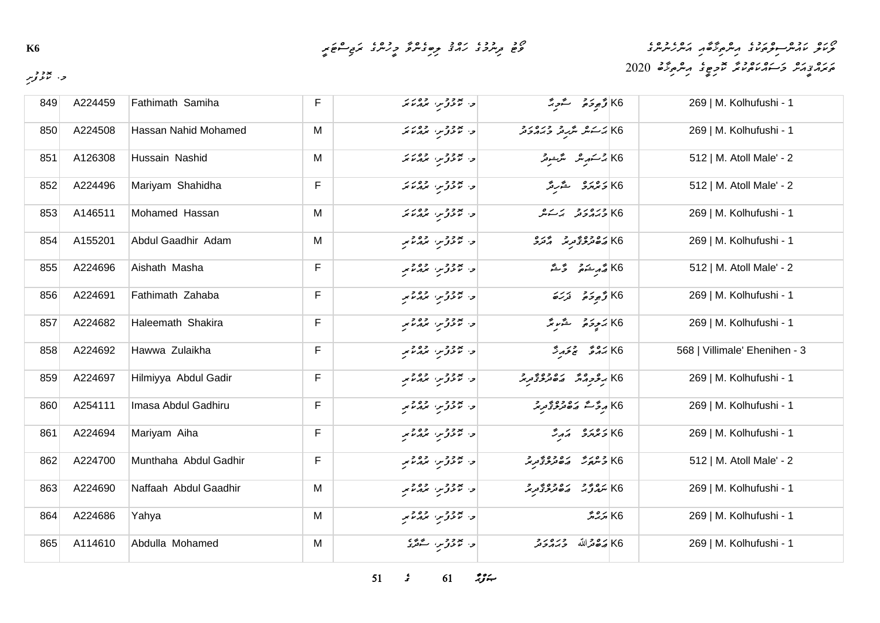*sCw7q7s5w7m< o<n9nOoAw7o< sCq;mAwBoEw7q<m; wBm;vB* م من المرة المرة المرة المرجع المرجع في المركبة 2020<br>مجم*د المريض المربوط المربع المرجع في المراجع المركبة* 

| 849 | A224459 | Fathimath Samiha      | F           | و مودو ده ده در    | K6 رَّجِوحَة مُصَّحِبَّةَ                   | 269   M. Kolhufushi - 1       |
|-----|---------|-----------------------|-------------|--------------------|---------------------------------------------|-------------------------------|
| 850 | A224508 | Hassan Nahid Mohamed  | M           | و مودور ده در      | K6 يَرْسَمْهُ مُرْبِعْرُ وَبَرْمُرْوَمْرَ   | 269   M. Kolhufushi - 1       |
| 851 | A126308 | Hussain Nashid        | M           | و مودور 1992       | K6 پُرکرم مگر میگر میگردید                  | 512   M. Atoll Male' - 2      |
| 852 | A224496 | Mariyam Shahidha      | F           | د. بروو ده ده بر   | K6 كا <i>كار برگردگر</i>                    | 512   M. Atoll Male' - 2      |
| 853 | A146511 | Mohamed Hassan        | M           | و مودور وه در      | K6 <i>ۋېزو دې برېد و</i>                    | 269   M. Kolhufushi - 1       |
| 854 | A155201 | Abdul Gaadhir Adam    | M           | و مودور مرود مر    | K6 كەھەر <i>3 قىرىقى مەدر</i> ى             | 269   M. Kolhufushi - 1       |
| 855 | A224696 | Aishath Masha         | F           | و مودور دوور       | K6 مَّەمِشەھ گ <sup>ى</sup> ش               | 512   M. Atoll Male' - 2      |
| 856 | A224691 | Fathimath Zahaba      | $\mathsf F$ | و مودور وووير      | K6 رَّج <i>وحَمَّة فَرَسَّة</i>             | 269   M. Kolhufushi - 1       |
| 857 | A224682 | Haleemath Shakira     | F           | و مودور مرود مر    | K6 كەمچە ئەھمە ئەسىر ئىگە ئاسىرىكى ئىس      | 269   M. Kolhufushi - 1       |
| 858 | A224692 | Hawwa Zulaikha        | F           | و مودور مرود م     | K6 ئەۋرقە ئ <sub>ە</sub> ئوم <sup>5</sup>   | 568   Villimale' Ehenihen - 3 |
| 859 | A224697 | Hilmiyya Abdul Gadir  | F           | د برووم، بروومبر   | K6 برقر <i>وه مرًا م</i> وصور وروم المريز   | 269   M. Kolhufushi - 1       |
| 860 | A254111 | Imasa Abdul Gadhiru   | F           | و مودور مرود مر    | K6 مەڭرىشە كەھەردۇ تىرىتر                   | 269   M. Kolhufushi - 1       |
| 861 | A224694 | Mariyam Aiha          | F           | د برووم، بروومبر   | K6 كا كا يحدثر محمد برسمبر 10 كلمبر محمد بر | 269   M. Kolhufushi - 1       |
| 862 | A224700 | Munthaha Abdul Gadhir | F           | و مودور وودير      | K6 د مهور محمد موقوع مرمر                   | 512   M. Atoll Male' - 2      |
| 863 | A224690 | Naffaah Abdul Gaadhir | M           | و مودور مرود مر    | K6 ئىردۇچ مەھەر دەم بىر                     | 269   M. Kolhufushi - 1       |
| 864 | A224686 | Yahya                 | M           | و مودو ده ده د     | K6 يزير                                     | 269   M. Kolhufushi - 1       |
| 865 | A114610 | Abdulla Mohamed       | M           | والمعروفس المتعمرى | K6 كەھەراللە <i>دېرەرە</i> ر                | 269   M. Kolhufushi - 1       |

 $51$  *s*  $61$  *z***<sub>3</sub>** $\approx$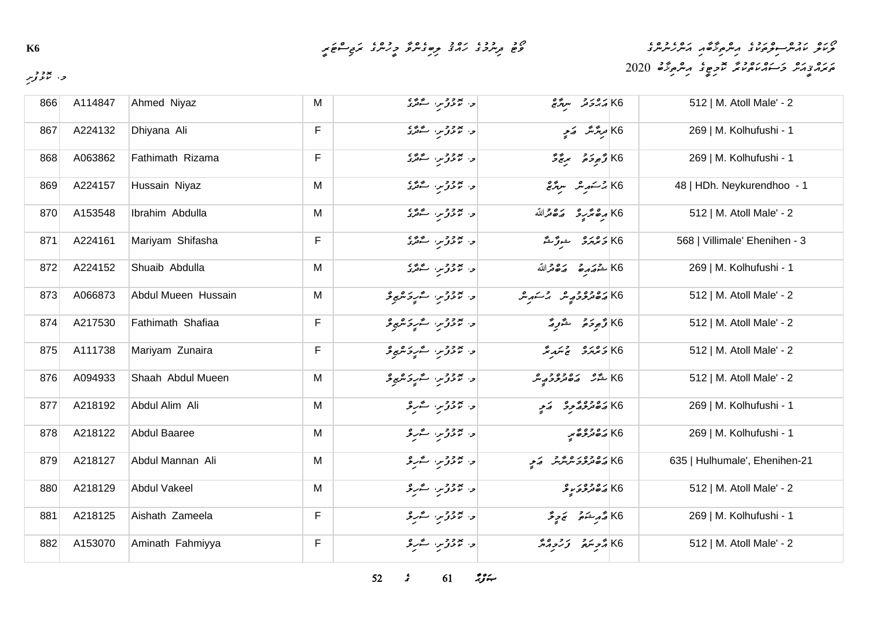*sCw7q7s5w7m< o<n9nOoAw7o< sCq;mAwBoEw7q<m; wBm;vB* م من المرة المرة المرة المرجع المرجع في المركبة 2020<br>مجم*د المريض المربوط المربع المرجع في المراجع المركبة* 

| 866 | A114847 | Ahmed Niyaz         | M           | د. نورومن گروه                          | K6 كەبرى كىرىدىنى بىر كىي               | 512   M. Atoll Male' - 2      |
|-----|---------|---------------------|-------------|-----------------------------------------|-----------------------------------------|-------------------------------|
| 867 | A224132 | Dhiyana Ali         | F           | بر دوم.<br>د نانوتوب ستری               | K6 مِرمَّدَّ کَے پِ                     | 269   M. Kolhufushi - 1       |
| 868 | A063862 | Fathimath Rizama    | E           | و. ۱۶۶۲ میلادی<br>و. ۱۶۶۲ میلادی        | K6 رَّج <i>وحَمَّة بِن</i> تَّحَ        | 269   M. Kolhufushi - 1       |
| 869 | A224157 | Hussain Niyaz       | M           | و اندوون انتظاری<br>و انگلاتونس انتظاری | K6 يُرْسَمَ مِيلاً مِيلاً ج             | 48   HDh. Neykurendhoo - 1    |
| 870 | A153548 | Ibrahim Abdulla     | M           | والمعروض المتعمرى                       | K6 م <i>وھ مگرچ</i> و کھ محمدالله       | 512   M. Atoll Male' - 2      |
| 871 | A224161 | Mariyam Shifasha    | $\mathsf F$ | د. بود و د به دود و د                   | K6 كۆپر <i>ۇ خوڭ</i> ش                  | 568   Villimale' Ehenihen - 3 |
| 872 | A224152 | Shuaib Abdulla      | M           | والمعروض المتعمرى                       | K6 ش <i>ەمەم ھەھەت</i> راللە            | 269   M. Kolhufushi - 1       |
| 873 | A066873 | Abdul Mueen Hussain | M           | د. ئاندۇس سەرى <i>رى شىرى</i>           | K6 كەھىر <i>3 مۇرىگەنىڭ بىر شەرى</i> ر  | 512   M. Atoll Male' - 2      |
| 874 | A217530 | Fathimath Shafiaa   | F           | ە ئىمۇتى سەرەتىرى                       | K6 زَّەپرىق شَّرِرَّ                    | 512   M. Atoll Male' - 2      |
| 875 | A111738 | Mariyam Zunaira     | $\mathsf F$ | ە ئىمۇتى سەرەتىرى                       | K6 كەبىر كە ئەسىر ئىگە                  | 512   M. Atoll Male' - 2      |
| 876 | A094933 | Shaah Abdul Mueen   | M           | ە ئۇتۇترا سەرەتىرى بۇ                   | K6 څ <i>ره خو مورو څو</i> شر            | 512   M. Atoll Male' - 2      |
| 877 | A218192 | Abdul Alim Ali      | M           | د. بودوس گرگ                            | K6 <i>جَ هُ تَرْحُمُّ ج</i> َ حَرَمَ مِ | 269   M. Kolhufushi - 1       |
| 878 | A218122 | Abdul Baaree        | M           | ە سودەپ سەربى                           | K6 رَ صْرُحْرَةً مِرِ                   | 269   M. Kolhufushi - 1       |
| 879 | A218127 | Abdul Mannan Ali    | M           | ه بهوده رگرده                           | K6 كەھەر <i>3 مەشرىتى كە</i> ر          | 635   Hulhumale', Ehenihen-21 |
| 880 | A218129 | <b>Abdul Vakeel</b> | M           | ە ئىقتۇم، سەربۇ                         | K6 كەھەر <i>جى ئەي</i> مى               | 512   M. Atoll Male' - 2      |
| 881 | A218125 | Aishath Zameela     | F           | د. مودوس شرو                            | K6 مەم ھۇم ئىم پەرتىگە                  | 269   M. Kolhufushi - 1       |
| 882 | A153070 | Aminath Fahmiyya    | $\mathsf F$ | ه په پورتن کرد و                        | K6 مَّحِسَمَّةَ وَكَحِمْدَ مَّ          | 512   M. Atoll Male' - 2      |

 $52$  *s*  $61$  *i***<sub>s</sub>** $\frac{2}{3}$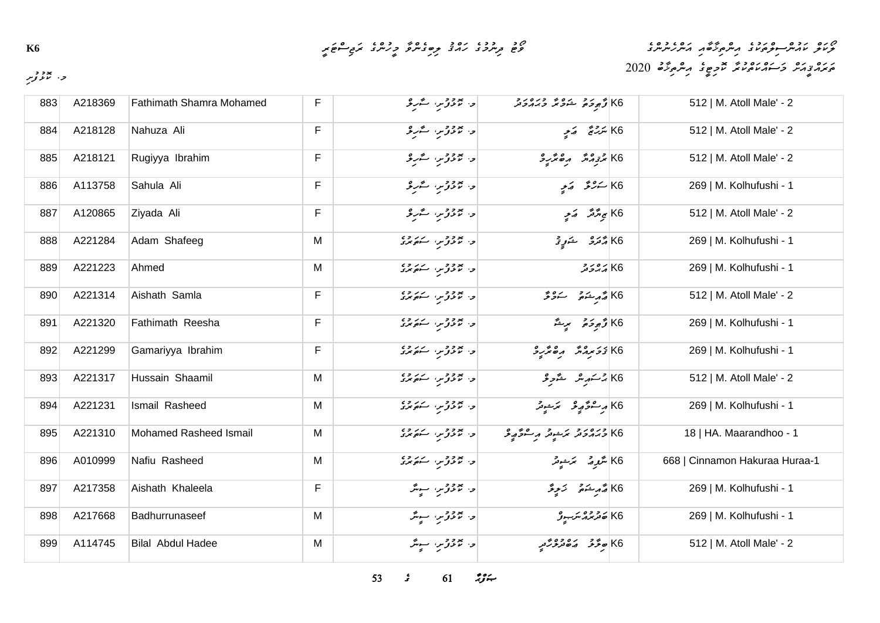*sCw7q7s5w7m< o<n9nOoAw7o< sCq;mAwBoEw7q<m; wBm;vB* م من المرة المرة المرة المرجع المرجع في المركبة 2020<br>مجم*د المريض المربوط المربع المرجع في المراجع المركبة* 

| 883 | A218369 | Fathimath Shamra Mohamed | F | د. نوروس گرو                         | K6 زُّجِرَة شَرْحَة وَبَرْدَدَ                                                                       | 512   M. Atoll Male' - 2       |
|-----|---------|--------------------------|---|--------------------------------------|------------------------------------------------------------------------------------------------------|--------------------------------|
| 884 | A218128 | Nahuza Ali               | F | و. نوپوتور، سگريمي                   | K6 يَرَرْجٌ – مَ <i>ج</i>                                                                            | 512   M. Atoll Male' - 2       |
| 885 | A218121 | Rugiyya Ibrahim          | F | و مووج رم گرو                        | K6 ىزى <sub>ر</sub> ۇ ئ <i>ۇ مەمگرى</i> ئ                                                            | 512   M. Atoll Male' - 2       |
| 886 | A113758 | Sahula Ali               | F | د. بودوس گرو                         | K6 شرژی <sub>م</sub> ی پر                                                                            | 269   M. Kolhufushi - 1        |
| 887 | A120865 | Ziyada Ali               | F | ە ئىمزۇس سەرى                        | K6 ىي ئ <sup>ۇ</sup> نگە كەمچە                                                                       | 512   M. Atoll Male' - 2       |
| 888 | A221284 | Adam Shafeeg             | M | و اندوون اسکوبرون                    | K6 مُرْتَرْد شَر <i>وِيْ</i>                                                                         | 269   M. Kolhufushi - 1        |
| 889 | A221223 | Ahmed                    | M | و بروور، سکوبرو،<br>و ترکوبر، سکوبری | K6 كەبۇر قىر                                                                                         | 269   M. Kolhufushi - 1        |
| 890 | A221314 | Aishath Samla            | F | والمعروض الشهروة                     | K6 م <i>ەمبىشتى سەۋ</i> ۇ                                                                            | 512   M. Atoll Male' - 2       |
| 891 | A221320 | Fathimath Reesha         | F | د. بروو ماروه<br>د تاندوس سکه بروه   | K6 <i>وَّجودَة</i> مِرِّسَة                                                                          | 269   M. Kolhufushi - 1        |
| 892 | A221299 | Gamariyya Ibrahim        | F | والمعروض الشهروة                     | K6 تَدَى بِرِمْتَرَ مِنْ مَّرْبِ دَّ                                                                 | 269   M. Kolhufushi - 1        |
| 893 | A221317 | Hussain Shaamil          | M | ه به دوه سکون                        | K6 يُرْسَمْ مِيْتَ وَ عَلَيْهِ فِي الْمَدَّةِ وَ عَلَيْهِ مِنْ مِي الْمَدَّةِ وَ عَلَيْهِ مِنْ مِي ا | 512   M. Atoll Male' - 2       |
| 894 | A221231 | Ismail Rasheed           | M | والمعروض الشهروة                     | K6 مرڪو <i>ڻي تي پرڪيونر</i>                                                                         | 269   M. Kolhufushi - 1        |
| 895 | A221310 | Mohamed Rasheed Ismail   | M | ا د. اندود د. د د د د د د            | K6 <i>درورو برخونه م</i> رکو <i>گرو</i> گر                                                           | 18   HA. Maarandhoo - 1        |
| 896 | A010999 | Nafiu Rasheed            | M | ه به دوم، سکونده                     | K6 س <i>ُّنْدِهُ - مَ</i> نْسِيْتَر                                                                  | 668   Cinnamon Hakuraa Huraa-1 |
| 897 | A217358 | Aishath Khaleela         | F | ە ئىموقۇس سوپىگە                     | K6 صَّەپسَتَمَّةً _ سَعِيْقَتْ                                                                       | 269   M. Kolhufushi - 1        |
| 898 | A217668 | Badhurrunaseef           | M | د. مودو <sub>س</sub> سویگر           | K6 ئ <i>ۆتەش ئىرىبو</i> ر                                                                            | 269   M. Kolhufushi - 1        |
| 899 | A114745 | <b>Bilal Abdul Hadee</b> | M | ە ئىموقرىر، سەنگە                    | K6 ھِجَّحْہُ مَہْ مِرْحْرَ مِرِ                                                                      | 512   M. Atoll Male' - 2       |

 $53$   $5$   $61$   $25$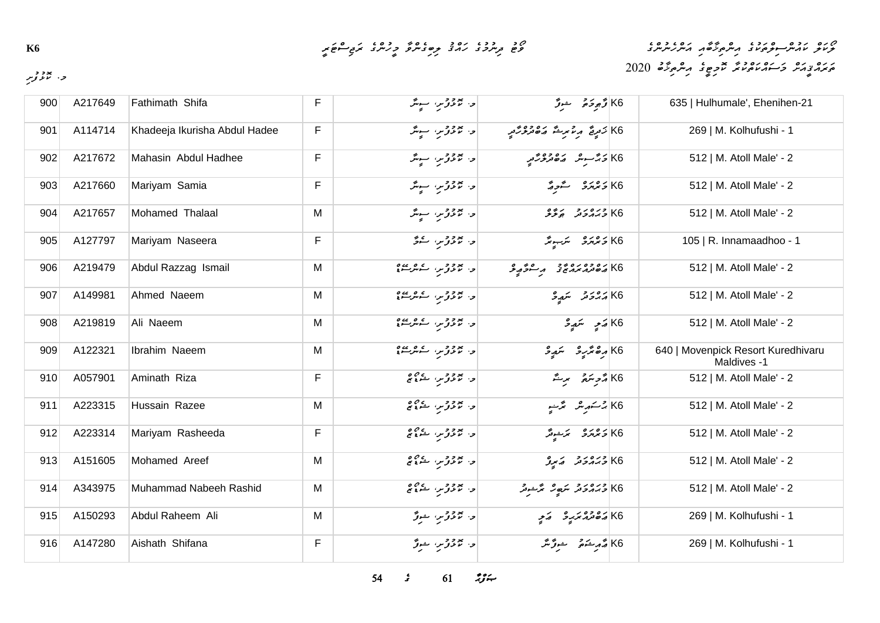*sCw7q7s5w7m< o<n9nOoAw7o< sCq;mAwBoEw7q<m; wBm;vB* م<sub>ك</sub>ره تومر كر عدد مدونة العربية وسر مركزة 2020<br>م<sub>وك</sub>رم<sub>ة م</sub>ركز كر مركز من المركز

| 900 | A217649 | Fathimath Shifa               | F | د. نوروژمو، سوینگر         | K6 رَّجِوحَة مُ مُورَّ                         | 635   Hulhumale', Ehenihen-21                     |
|-----|---------|-------------------------------|---|----------------------------|------------------------------------------------|---------------------------------------------------|
| 901 | A114714 | Khadeeja Ikurisha Abdul Hadee | F | و. ۱۶۶۲مر، سوینگ           | K6 كَتَبِيعٌ مِرْتَمْرِيحٌ مَنْ قَرْفَرْدَيْرِ | 269   M. Kolhufushi - 1                           |
| 902 | A217672 | Mahasin Abdul Hadhee          | F | د. نوروس، سونگر            | K6 كەنگەسىلەر كەھەرگەر <i>تىر</i>              | 512   M. Atoll Male' - 2                          |
| 903 | A217660 | Mariyam Samia                 | F | د. مودو <sub>ع</sub> سوش   | K6 كا <i>كەنگەنگە</i> جۇمگە                    | 512   M. Atoll Male' - 2                          |
| 904 | A217657 | Mohamed Thalaal               | M | ە ئىمۇتۇس سوپىگە           | K6 <i>جەيزە ئەيغۇ</i> تر                       | 512   M. Atoll Male' - 2                          |
| 905 | A127797 | Mariyam Naseera               | F | ە بودۇر، سۇ                | K6 كەبىر كىمى ئىكىنىدىنگە                      | 105   R. Innamaadhoo - 1                          |
| 906 | A219479 | Abdul Razzag Ismail           | M | د. موروس کوهای و           | K6 <sub>مەھ</sub> ورىرە پەيجە مەھەر ئومۇ       | 512   M. Atoll Male' - 2                          |
| 907 | A149981 | Ahmed Naeem                   | M | د. موروس کے مصرف عام       | K6 كەنزى ئىرگى ئىلگە ئى                        | 512   M. Atoll Male' - 2                          |
| 908 | A219819 | Ali Naeem                     | M | و الافران المالي و عام 194 | K6 كەي سەرگ                                    | 512   M. Atoll Male' - 2                          |
| 909 | A122321 | Ibrahim Naeem                 | M | د. بدوور، سامبرسوم با      | K6 <sub>م</sub> ەترىپى سەرى                    | 640   Movenpick Resort Kuredhivaru<br>Maldives -1 |
| 910 | A057901 | Aminath Riza                  | F | و. مووجود ڪري              | K6 مُرْسِعُهُ مِنْ مُ                          | 512   M. Atoll Male' - 2                          |
| 911 | A223315 | Hussain Razee                 | M | و. نوووس ڪري ه             | K6 پرڪ <i>مبرنگر</i> گھرسيو                    | 512   M. Atoll Male' - 2                          |
| 912 | A223314 | Mariyam Rasheeda              | F | ە بىرودىن ھەم              | K6 كەيمە <i>مۇ ئىم ئىرىنى</i> دىگر             | 512   M. Atoll Male' - 2                          |
| 913 | A151605 | Mohamed Areef                 | M | ە بىرودىن ھەم              | K6 دېرونو کمکمونو                              | 512   M. Atoll Male' - 2                          |
| 914 | A343975 | Muhammad Nabeeh Rashid        | M | و. نوووس ڪري               | K6 دېمرونه ش په شور                            | 512   M. Atoll Male' - 2                          |
| 915 | A150293 | Abdul Raheem Ali              | M | ا د اندوگرين استوگر        | K6 كەھە <i>تەمكىرى كەي</i>                     | 269   M. Kolhufushi - 1                           |
| 916 | A147280 | Aishath Shifana               | F | والممتحوص لتنوش            | K6 مَدْمَدْمَتْمْ مْسْتَرْسَّرْ                | 269   M. Kolhufushi - 1                           |

 $54$  **s**  $61$  *i***<sub>s</sub>** $\frac{2}{3}$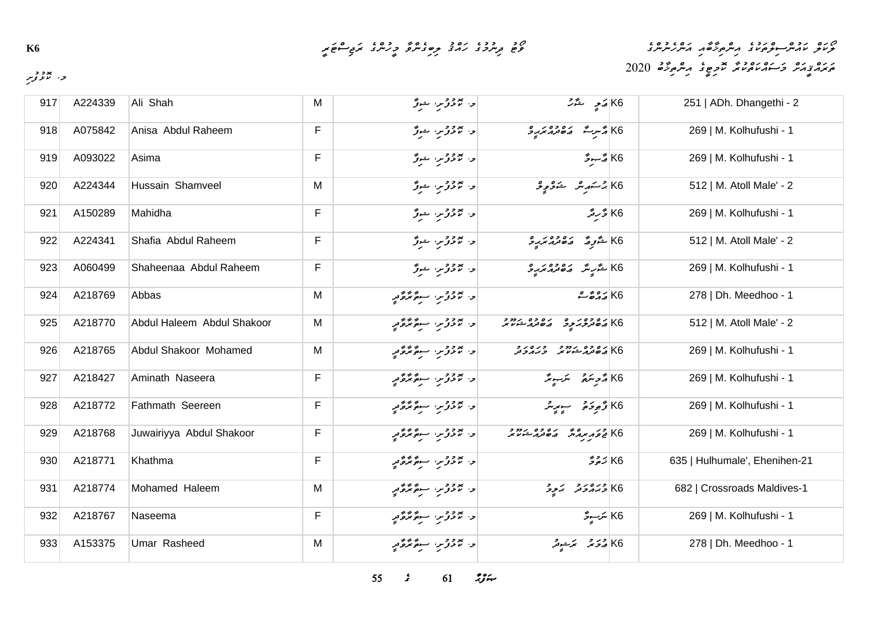*sCw7q7s5w7m< o<n9nOoAw7o< sCq;mAwBoEw7q<m; wBm;vB* م من المرة المرة المرة المرجع المرجع في المركبة 2020<br>مجم*د المريض المربوط المربع المرجع في المراجع المركبة* 

| 917 | A224339 | Ali Shah                   | M           | و: ۱۶۶ کور، سورمح                                                                                                                                                                                                               | K6 كەير مىش <sup>ىر</sup>             | 251   ADh. Dhangethi - 2      |
|-----|---------|----------------------------|-------------|---------------------------------------------------------------------------------------------------------------------------------------------------------------------------------------------------------------------------------|---------------------------------------|-------------------------------|
| 918 | A075842 | Anisa Abdul Raheem         | F           | و: عمود من سورٌ                                                                                                                                                                                                                 | K6 جُسِبٌ حَقَّ مِيْدِ جَمْدِ فِي 15  | 269   M. Kolhufushi - 1       |
| 919 | A093022 | Asima                      | F           | والممتحوص جودمج                                                                                                                                                                                                                 | K6 مُسبورً                            | 269   M. Kolhufushi - 1       |
| 920 | A224344 | Hussain Shamveel           | M           | و: ۱۶۶۲مر، جورٌ                                                                                                                                                                                                                 | K6 يُرتدبر شَوْءٍ وُ                  | 512   M. Atoll Male' - 2      |
| 921 | A150289 | Mahidha                    | $\mathsf F$ | ە سۈرتىر، خوڭ                                                                                                                                                                                                                   | K6 وَرِمَّز                           | 269   M. Kolhufushi - 1       |
| 922 | A224341 | Shafia Abdul Raheem        | $\mathsf F$ | ا د اندول بارگان با بارگان بارگان بارگان بارگان بارگان بارگان بارگان بارگان بارگان بارگان بارگان بارگان بارگان<br>مرکز بارگان بارگان بارگان بارگان بارگان بارگان بارگان بارگان بارگان بارگان بارگان بارگان بارگان بارگان بارگان | K6 ش <i>ۇرۇ مەھەمەمەر ۋ</i>           | 512   M. Atoll Male' - 2      |
| 923 | A060499 | Shaheenaa Abdul Raheem     | $\mathsf F$ | والعموقين القوقل                                                                                                                                                                                                                | K6 شريىگە كەھە <i>تەكتەب</i> ۇ        | 269   M. Kolhufushi - 1       |
| 924 | A218769 | Abbas                      | M           | د. برووس سو <i>مۇت</i> رە بېر                                                                                                                                                                                                   | $2222$ K <sub>6</sub>                 | 278   Dh. Meedhoo - 1         |
| 925 | A218770 | Abdul Haleem Abdul Shakoor | M           | د ، ۱۰ نومو سوم برگور                                                                                                                                                                                                           | K6 <i>قەھەرى بەر مەدە بەدە دە دە</i>  | 512   M. Atoll Male' - 2      |
| 926 | A218765 | Abdul Shakoor Mohamed      | M           | و. ئۇغۇرىي سو <i>مۇتترەڭ ب</i> ېر                                                                                                                                                                                               | K6 كەھەم ئەدەرە بەرەر دەرد            | 269   M. Kolhufushi - 1       |
| 927 | A218427 | Aminath Naseera            | $\mathsf F$ | و. ئۇغۇرىي سو <i>مۇتترەڭ ب</i> ېر                                                                                                                                                                                               | K6 مَّ حِ سَمَّة مَسَّسِيعَهُ         | 269   M. Kolhufushi - 1       |
| 928 | A218772 | Fathmath Seereen           | $\mathsf F$ | د. موجود، سو <i>ئ</i> ومۇم <sub>ۇ</sub>                                                                                                                                                                                         | K6 <i>وَّجوحَ</i> هُ سِمِيتَر         | 269   M. Kolhufushi - 1       |
| 929 | A218768 | Juwairiyya Abdul Shakoor   | $\mathsf F$ | د. موجود، سو <i>ئ</i> وموگرم                                                                                                                                                                                                    | <sup>כן</sup> המהה הפרס נקרד          | 269   M. Kolhufushi - 1       |
| 930 | A218771 | Khathma                    | $\mathsf F$ | و لارومن سوڭرىگەند                                                                                                                                                                                                              | $5.5$ K <sub>6</sub>                  | 635   Hulhumale', Ehenihen-21 |
| 931 | A218774 | Mohamed Haleem             | M           | د بيودوس سو <i>م م</i> رگوري <sub>د</sub>                                                                                                                                                                                       | K6 دُبَرْدُدَتْر بَرْدِدْ             | 682   Crossroads Maldives-1   |
| 932 | A218767 | Naseema                    | F           | و توفروس سو <i>م م</i> گرمزمر                                                                                                                                                                                                   | K6 بترسيوستر                          | 269   M. Kolhufushi - 1       |
| 933 | A153375 | Umar Rasheed               | M           | و توفروس سو <i>م م</i> گرمزمر                                                                                                                                                                                                   | K6 <i>مەكەنلە</i> مەش <sub>ق</sub> ىر | 278   Dh. Meedhoo - 1         |

 $55$   $5$   $61$   $25$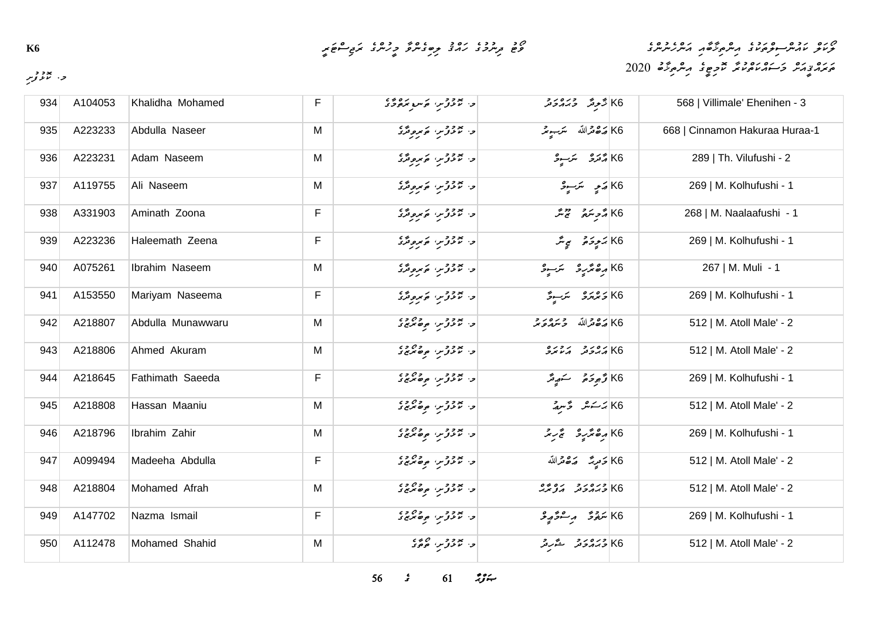*sCw7q7s5w7m< o<n9nOoAw7o< sCq;mAwBoEw7q<m; wBm;vB* م من المرة المرة المرة المرجع المرجع في المركبة 2020<br>مجم*د المريض المربوط المربع المرجع في المراجع المركبة* 

| 934 | A104053 | Khalidha Mohamed  | $\mathsf{F}$ | و· غرقرقرين المحمد المعروج والم            | K6 تَرْمِعَرُ    وَبَرَهْ وَقَرْ                                    | 568   Villimale' Ehenihen - 3  |
|-----|---------|-------------------|--------------|--------------------------------------------|---------------------------------------------------------------------|--------------------------------|
| 935 | A223233 | Abdulla Naseer    | M            | و بيودوس ځموه شو                           | K6 مَەھمَراللە سَرَسِيْتَمْ                                         | 668   Cinnamon Hakuraa Huraa-1 |
| 936 | A223231 | Adam Naseem       | M            | و مودور، ځمومونگری                         | K6 مُمْعَرَى سَرَسِي                                                | 289   Th. Vilufushi - 2        |
| 937 | A119755 | Ali Naseem        | M            | و محووم، وتمره قره                         | K6 كەي سىر يۇ                                                       | 269   M. Kolhufushi - 1        |
| 938 | A331903 | Aminath Zoona     | F            | د به دود په په پوه کرد                     | K6 مُرْحِبَّيْهِ مَنْ مَمَّ                                         | 268   M. Naalaafushi - 1       |
| 939 | A223236 | Haleemath Zeena   | $\mathsf F$  | و به برود به نوروند                        | K6 بَر <i>ْمٍدَة</i> پِسَّر                                         | 269   M. Kolhufushi - 1        |
| 940 | A075261 | Ibrahim Naseem    | M            | د بيودوس ځېږونکړي                          | K6 رەڭرى <sub>ر</sub> ۇ س <i>رىب</i> و                              | 267   M. Muli - 1              |
| 941 | A153550 | Mariyam Naseema   | F            | و بيودوس ځموه شو                           | K6 كەنگەنى سىرىدى K6                                                | 269   M. Kolhufushi - 1        |
| 942 | A218807 | Abdulla Munawwaru | M            | د. بروو ده وه ده د                         | $5.2012$ $\frac{3}{2}$ $\frac{3}{2}$ $\frac{3}{2}$ $\frac{3}{2}$ K6 | 512   M. Atoll Male' - 2       |
| 943 | A218806 | Ahmed Akuram      | M            | د. بروو<br>د. نانگوس، موه برج د            | K6 كەبرو كەردە                                                      | 512   M. Atoll Male' - 2       |
| 944 | A218645 | Fathimath Saeeda  | $\mathsf F$  | و مود و<br>و کالاگرس موضعی د               | K6 زَّەپرىقر سَىھِيقر                                               | 269   M. Kolhufushi - 1        |
| 945 | A218808 | Hassan Maaniu     | M            | د. برود ده وه وه.<br>د. مانگوین موه مربع د | K6 ئەسىقىر ئ <sup>ې</sup> سقە                                       | 512   M. Atoll Male' - 2       |
| 946 | A218796 | Ibrahim Zahir     | M            | و مود و ده وه و د و<br>د مانونو موه مود و  | K6 مەھەرىپە تەرىر                                                   | 269   M. Kolhufushi - 1        |
| 947 | A099494 | Madeeha Abdulla   | $\mathsf F$  | د. بروو ده وه ده د                         | K6 دَمِيدٌ <b>صَ</b> صَدَاللّه                                      | 512   M. Atoll Male' - 2       |
| 948 | A218804 | Mohamed Afrah     | M            | ه برود در ده ده د                          | K6 درور دورو                                                        | 512   M. Atoll Male' - 2       |
| 949 | A147702 | Nazma Ismail      | $\mathsf F$  | د. بدووس محصر ده ده<br>د تانووس محصر ده    | K6 ىنتى قەر مەمەم بىر                                               | 269   M. Kolhufushi - 1        |
| 950 | A112478 | Mohamed Shahid    | M            | ه به بروژنو، ۱۶۶۵<br> و: مانگولوم، ۱۶۶۶    | K6 <i>ۇنەۋەتى خەرى</i> تى                                           | 512   M. Atoll Male' - 2       |

 $56$   $5$   $61$   $55$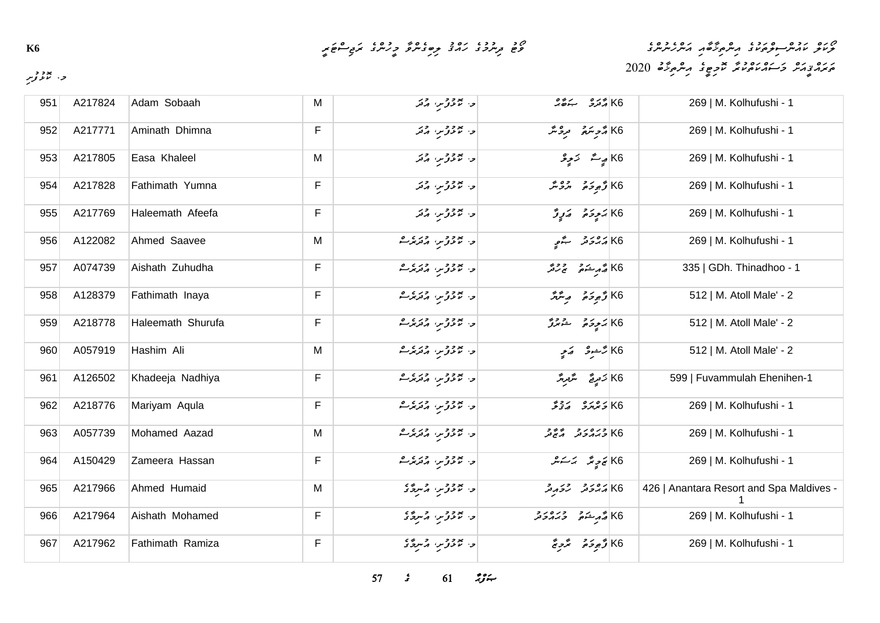*sCw7q7s5w7m< o<n9nOoAw7o< sCq;mAwBoEw7q<m; wBm;vB* م من المرة المرة المرة المرجع المرجع في المركبة 2020<br>مجم*د المريض المربوط المربع المرجع في المراجع المركبة* 

| 951 | A217824 | Adam Sobaah       | M | د . موجوج مرد .<br>مستوفر مرد .         | K6 جُمْعَر جَمَعَة بِهِ               | 269   M. Kolhufushi - 1                  |
|-----|---------|-------------------|---|-----------------------------------------|---------------------------------------|------------------------------------------|
| 952 | A217771 | Aminath Dhimna    | F | د میخوی میکرد.<br>مستوفر میکرد          | K6 مَّحِسَمَةً مِرْحَسَّ              | 269   M. Kolhufushi - 1                  |
| 953 | A217805 | Easa Khaleel      | M | و: عمود فرس المرفد                      | K6 <sub>جو</sub> یڈ ڈیوی <sub>ٹ</sub> | 269   M. Kolhufushi - 1                  |
| 954 | A217828 | Fathimath Yumna   | F | د موجود متر<br>مستوفر مقر               | K6 رَّج <i>و حق مرح</i> مدٌ           | 269   M. Kolhufushi - 1                  |
| 955 | A217769 | Haleemath Afeefa  | F | د. موفرقر مرفقه                         | K6 بَر <i>ْدٍدَة مَرْدٍ</i> رَّ       | 269   M. Kolhufushi - 1                  |
| 956 | A122082 | Ahmed Saavee      | M | و مودور، مەمەر                          | K6 كەندى قىدىمبەر ئىستەم              | 269   M. Kolhufushi - 1                  |
| 957 | A074739 | Aishath Zuhudha   | F | و مودور، مەمەر                          | K6 م <i>ەمبىشى تەرەتگە</i>            | 335   GDh. Thinadhoo - 1                 |
| 958 | A128379 | Fathimath Inaya   | F | و بروور، وری ه                          | K6 زَّەپرىق مەسَّىدَ                  | 512   M. Atoll Male' - 2                 |
| 959 | A218778 | Haleemath Shurufa | F | د. نووور، دېږي ه                        | K6 بروترة مشترقر                      | 512   M. Atoll Male' - 2                 |
| 960 | A057919 | Hashim Ali        | M | د. بودوس وری ه                          | K6 گەھىرى كەمچە                       | 512   M. Atoll Male' - 2                 |
| 961 | A126502 | Khadeeja Nadhiya  | F | و مودور، وری ه                          | K6 كَتْرِيعٌ مُتَّتَرِي <i>دُ</i> ّ   | 599   Fuvammulah Ehenihen-1              |
| 962 | A218776 | Mariyam Aqula     | F | و مودور، وری ه                          | K6 كا <i>كەنگەنگە</i> كەنگەنگە        | 269   M. Kolhufushi - 1                  |
| 963 | A057739 | Mohamed Aazad     | M | د. برووس وري ه<br>د تانونوس ماندندگ     | K6 <i>جەيدۇنى مەتت</i> ىر             | 269   M. Kolhufushi - 1                  |
| 964 | A150429 | Zameera Hassan    | F | د. بودور، در بار<br>د. تانگوین مانگریزی | K6 ئ <sub>ے جو</sub> بڑ کرکے شر       | 269   M. Kolhufushi - 1                  |
| 965 | A217966 | Ahmed Humaid      | M | و مودور، چېروگو                         | K6 كەبروتى ئەقەم قىر                  | 426   Anantara Resort and Spa Maldives - |
| 966 | A217964 | Aishath Mohamed   | F | د برووم، مسرد و                         | K6 مەم شەم ئەم ئەرەبىر ئىس            | 269   M. Kolhufushi - 1                  |
| 967 | A217962 | Fathimath Ramiza  | F | د. نورود به مرکزی                       | K6 زَّجِرْدَةُ مُدَّرِبَّ             | 269   M. Kolhufushi - 1                  |

 $57$  *s*  $61$  *i***<sub>s</sub>** $\frac{2}{5}$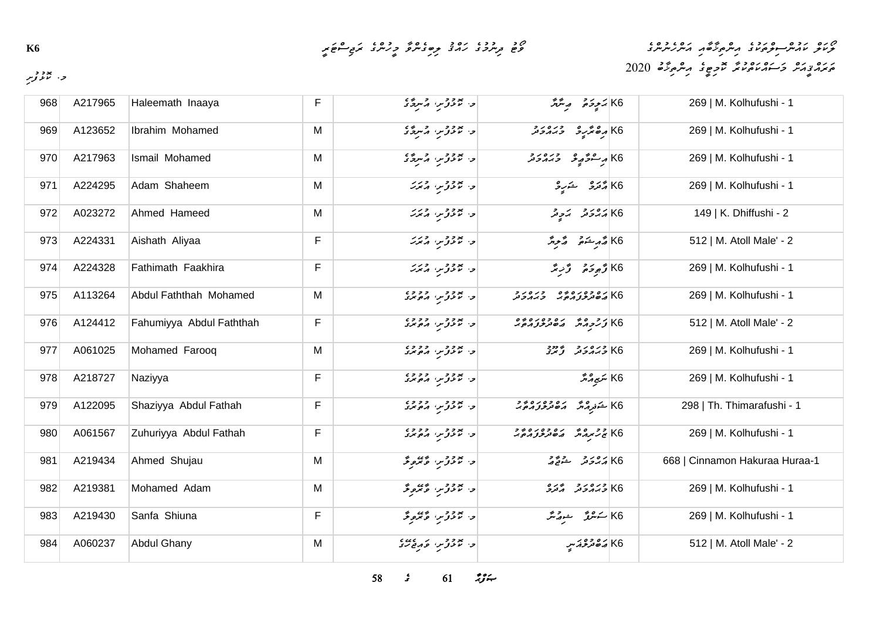*sCw7q7s5w7m< o<n9nOoAw7o< sCq;mAwBoEw7q<m; wBm;vB* م من المرة المرة المرة المرجع المرجع في المركبة 2020<br>مجم*د المريض المربوط المربع المرجع في المراجع المركبة* 

| 968 | A217965 | Haleemath Inaaya         | $\mathsf{F}$ | ه برودس مسرد و                    | K6 بَرْجِرَة مِنْ مِنْ بِمَرْ                  | 269   M. Kolhufushi - 1        |
|-----|---------|--------------------------|--------------|-----------------------------------|------------------------------------------------|--------------------------------|
| 969 | A123652 | Ibrahim Mohamed          | M            | د. بدووير، م <i>ج</i> سرد و       | K6 مەھمەر 250.000 كىل                          | 269   M. Kolhufushi - 1        |
| 970 | A217963 | Ismail Mohamed           | M            | و. ندووير، مايتزوي                | K6 مەش <i>ۇم بۇ جەم</i> ردىر                   | 269   M. Kolhufushi - 1        |
| 971 | A224295 | Adam Shaheem             | M            | د اللودم، المركز                  | K6 مُحَمَّدٌ حَسَرِدْ                          | 269   M. Kolhufushi - 1        |
| 972 | A023272 | Ahmed Hameed             | M            | د. مودو <sub>ع</sub> مغرب         | K6 كەندى كەر بىر ئىل                           | 149   K. Dhiffushi - 2         |
| 973 | A224331 | Aishath Aliyaa           | $\mathsf F$  | د. مودو <sub>ع</sub> مغرب         | K6 مَّەر شَمَّة مَّ مِرْمَّ                    | 512   M. Atoll Male' - 2       |
| 974 | A224328 | Fathimath Faakhira       | F            | د انگروش م <i>مرک</i>             | K6 <i>وَّجِ حَقَّ</i> وَرَبَّتَر               | 269   M. Kolhufushi - 1        |
| 975 | A113264 | Abdul Faththah Mohamed   | M            | د. بدوو<br>د. بالأنوب، مهم برد    | K6 رەپرەپرە بەرەپرى<br>K6 شەمرىزىرەپر بەيرىرىر | 269   M. Kolhufushi - 1        |
| 976 | A124412 | Fahumiyya Abdul Faththah | F            | د. بدوو د وووه<br>د. ناندوس مومرد | K6 زره ده په موده ده ده و                      | 512   M. Atoll Male' - 2       |
| 977 | A061025 | Mohamed Farooq           | M            | د. سووو<br>د. لانونوس، مهم سرد    | K6 دېرونه ژبېږ                                 | 269   M. Kolhufushi - 1        |
| 978 | A218727 | Naziyya                  | $\mathsf F$  | د. سووو<br>د. لانونوس، مهم سرد    | K6 سَرى مَ <i>مَّة</i>                         | 269   M. Kolhufushi - 1        |
| 979 | A122095 | Shaziyya Abdul Fathah    | F            | د. ندوو د وووه<br>د نانگونن مهمون | K6 خۇر <i>ۇش مەھىردومۇ</i> ر                   | 298   Th. Thimarafushi - 1     |
| 980 | A061567 | Zuhuriyya Abdul Fathah   | $\mathsf F$  | و. نووو د وووه                    | K6 يزيره شهر مودره بود                         | 269   M. Kolhufushi - 1        |
| 981 | A219434 | Ahmed Shujau             | M            | ە بىرودىن ئەتترىرىگە              | K6 كەبرى ئىر ئىقدىق ئە                         | 668   Cinnamon Hakuraa Huraa-1 |
| 982 | A219381 | Mohamed Adam             | M            | ە بىرودىن ئەتتەرگە                | K6 <i>جەيگە جۇ مەترى</i>                       | 269   M. Kolhufushi - 1        |
| 983 | A219430 | Sanfa Shiuna             | $\mathsf F$  | و مودور، ئۇترەتى                  | K6 سَمَعَتَرَ ہے۔ قِمَتَ                       | 269   M. Kolhufushi - 1        |
| 984 | A060237 | <b>Abdul Ghany</b>       | M            | و مودور، خهر عده                  | K6 كەھە <i>ترى3 س</i> ر                        | 512   M. Atoll Male' - 2       |

 $58$  *s*  $61$  *if***<sub>i</sub>**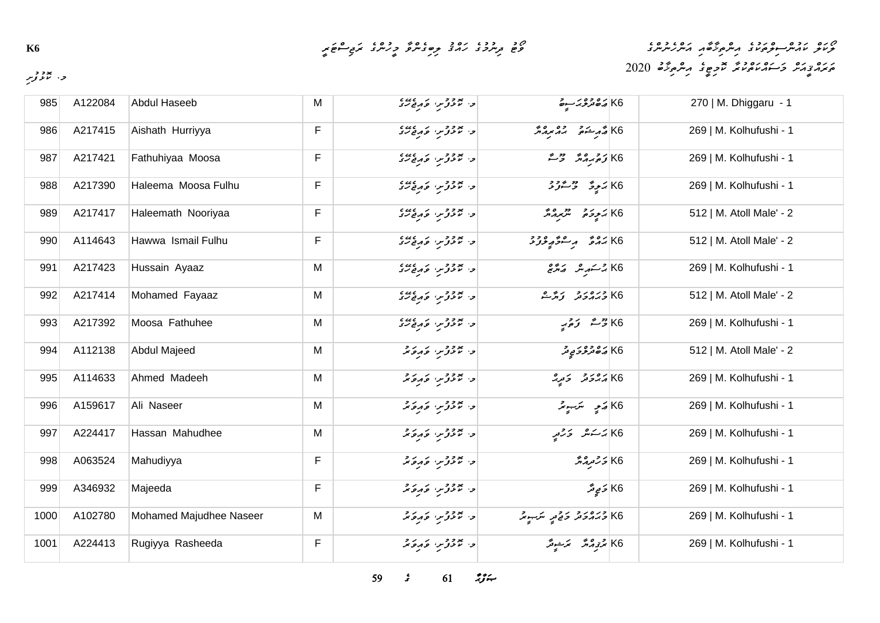*sCw7q7s5w7m< o<n9nOoAw7o< sCq;mAwBoEw7q<m; wBm;vB* م من المرة المرة المرة المرجع المرجع في المركبة 2020<br>مجم*د المريض المربوط المربع المرجع في المراجع المركبة* 

| 985  | A122084 | Abdul Haseeb            | M | و مودور، خهر عده                                                                                                                                                                                                                 | K6 كەھەترى <i>جەنبەھ</i>                                                                                       | 270   M. Dhiggaru - 1    |
|------|---------|-------------------------|---|----------------------------------------------------------------------------------------------------------------------------------------------------------------------------------------------------------------------------------|----------------------------------------------------------------------------------------------------------------|--------------------------|
| 986  | A217415 | Aishath Hurriyya        | F | و به دوم عهده در در در در استان در استان در استان در استان در استان در استان در استان در استان در استان در است<br>استان در استان در استان در استان در استان در استان در استان در استان در استان در استان در استان در استان در اس | K6 مەم شەم بىر <i>مەم</i> بىر                                                                                  | 269   M. Kolhufushi - 1  |
| 987  | A217421 | Fathuhiyaa Moosa        | F | ه برود به دوره دره با                                                                                                                                                                                                            | K6 زەپەر ۋە تەر                                                                                                | 269   M. Kolhufushi - 1  |
| 988  | A217390 | Haleema Moosa Fulhu     | F | و بیووور، خهره روه<br>و نانگوش، خهره رو                                                                                                                                                                                          | K6 يَرْمِرَّ وَمُسْتَرَكَّرَ                                                                                   | 269   M. Kolhufushi - 1  |
| 989  | A217417 | Haleemath Nooriyaa      | F | و مووور، خهره ده                                                                                                                                                                                                                 | K6 بَرْجِرَة مِنْ مِرْدَةً مِنْ                                                                                | 512   M. Atoll Male' - 2 |
| 990  | A114643 | Hawwa Ismail Fulhu      | F | و موووم، خهره ده                                                                                                                                                                                                                 | K6 ئەرگە ئەرسەد <i>ۇر بى</i> رىتى                                                                              | 512   M. Atoll Male' - 2 |
| 991  | A217423 | Hussain Ayaaz           | M | و مود و دره دره در                                                                                                                                                                                                               | K6 ير <i>شهر مثل ه</i> رينم                                                                                    | 269   M. Kolhufushi - 1  |
| 992  | A217414 | Mohamed Fayaaz          | M | و موووم، خهره ده                                                                                                                                                                                                                 | K6 <i>ۋېزودتى ۆ</i> ترىشە                                                                                      | 512   M. Atoll Male' - 2 |
| 993  | A217392 | Moosa Fathuhee          | M | و برووم، خهره ده.<br>و ملووم، خهره رو                                                                                                                                                                                            | K6 پيءُ توڪيب <sub>ي</sub>                                                                                     | 269   M. Kolhufushi - 1  |
| 994  | A112138 | Abdul Majeed            | M | والعموض كالمكافر                                                                                                                                                                                                                 | K6 كەھ ترىۋى ي <sub>و</sub> تر                                                                                 | 512   M. Atoll Male' - 2 |
| 995  | A114633 | Ahmed Madeeh            | M | و به دوم که کارگانگر                                                                                                                                                                                                             | K6 كەنزى قىر ئىقىدى كەنتى بىر ئىقتىدىكە ئىقتا ئىقتا ئىقتا ئىقتا ئىقتا ئىقتا ئىقتا ئىقتا ئىقتا ئىقتا ئىقتا ئىقت | 269   M. Kolhufushi - 1  |
| 996  | A159617 | Ali Naseer              | M | و به دوم که کارگان                                                                                                                                                                                                               | K6 كەمچە سىرسومى                                                                                               | 269   M. Kolhufushi - 1  |
| 997  | A224417 | Hassan Mahudhee         | M | والعموض كالمكافر                                                                                                                                                                                                                 | K6   ټر کري کار توري                                                                                           | 269   M. Kolhufushi - 1  |
| 998  | A063524 | Mahudiyya               | F | و به دوم که کارگان                                                                                                                                                                                                               | K6 كرتر <i>مر</i> د تر                                                                                         | 269   M. Kolhufushi - 1  |
| 999  | A346932 | Majeeda                 | F | و به دوم که کارگانگر                                                                                                                                                                                                             | K6 دَمومَّر                                                                                                    | 269   M. Kolhufushi - 1  |
| 1000 | A102780 | Mohamed Majudhee Naseer | M | ه برود رکه نم                                                                                                                                                                                                                    | K6 وُبَرُوْدُوْ وَوْمٍ سَرَسٍ بِرُ                                                                             | 269   M. Kolhufushi - 1  |
| 1001 | A224413 | Rugiyya Rasheeda        | F | والعموض كالمكافر                                                                                                                                                                                                                 | K6 بمرتوفه محر بحر محر محر محركة المر                                                                          | 269   M. Kolhufushi - 1  |

 $59$  *s*  $61$  *i***<sub>s</sub>** $\frac{2}{5}$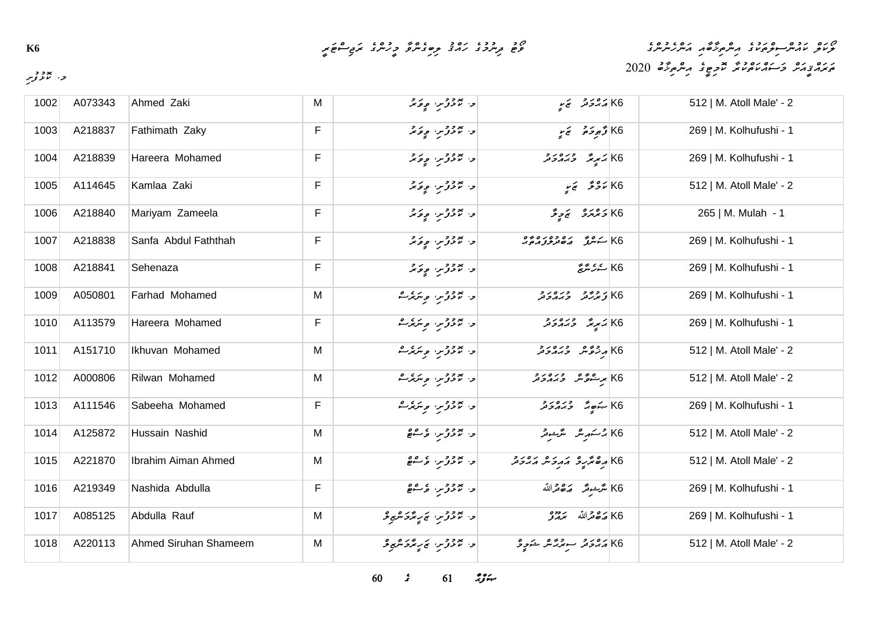*sCw7q7s5w7m< o<n9nOoAw7o< sCq;mAwBoEw7q<m; wBm;vB* م من المرة المرة المرة المرجع المرجع في المركبة 2020<br>مجم*د المريض المربوط المربع المرجع في المراجع المركبة* 

| 1002 | A073343 | Ahmed Zaki            | M            | د للمودوس <sub>ج</sub> وړند                 | K6 كەبرى <i>قىلى</i> ئى              | 512   M. Atoll Male' - 2 |
|------|---------|-----------------------|--------------|---------------------------------------------|--------------------------------------|--------------------------|
| 1003 | A218837 | Fathimath Zaky        | F            | د عود من و ځمه                              | K6 <i>وَّجوحَ</i> هُمَ تَجَرِّ       | 269   M. Kolhufushi - 1  |
| 1004 | A218839 | Hareera Mohamed       | $\mathsf F$  | و عودوس و و د                               | K6 كەيرىگە ئ <i>ۇكەڭ كى</i> ر        | 269   M. Kolhufushi - 1  |
| 1005 | A114645 | Kamlaa Zaki           | $\mathsf F$  | و مودوس ووتد                                | K6 ئەۋقە ئ <sub>ى</sub> ي            | 512   M. Atoll Male' - 2 |
| 1006 | A218840 | Mariyam Zameela       | $\mathsf{F}$ | و مودوس و و تر                              | K6 كەنگەنگە ئىم يەنگە                | 265   M. Mulah - 1       |
| 1007 | A218838 | Sanfa Abdul Faththah  | $\mathsf{F}$ | و عودوس و و تر                              | K6 ئەشرىق مەھ <i>مرى ۋە دە</i> م بىر | 269   M. Kolhufushi - 1  |
| 1008 | A218841 | Sehenaza              | $\mathsf F$  | و مودوس وړکړ                                | K6 كەنزىترىتج                        | 269   M. Kolhufushi - 1  |
| 1009 | A050801 | Farhad Mohamed        | M            | د. نوروس، ویترنگ                            | K6 كۆيرگىر بەردەرد                   | 269   M. Kolhufushi - 1  |
| 1010 | A113579 | Hareera Mohamed       | F            | د. مودو <sub>ع</sub> ر، <sub>ج</sub> نگرمند | K6 كەيرىگە ئ <i>ۇكەم</i> گەنى كە     | 269   M. Kolhufushi - 1  |
| 1011 | A151710 | Ikhuvan Mohamed       | M            | د. مودور، <sub>فر</sub> مترنگ               | K6 م <i>ِنْتَوَّسْ وَبَدُوَنْدَ</i>  | 512   M. Atoll Male' - 2 |
| 1012 | A000806 | Rilwan Mohamed        | M            | د. نوروس، ویترنگ                            | K6 ىرىشۇش <i>دېم</i> ەرد             | 512   M. Atoll Male' - 2 |
| 1013 | A111546 | Sabeeha Mohamed       | $\mathsf F$  | د. مودو <sub>ع</sub> ، ویترنگ               | K6 بنوپژ دی. در                      | 269   M. Kolhufushi - 1  |
| 1014 | A125872 | Hussain Nashid        | M            | د. برود در عام و م                          | K6 ٹرک <i>م پر مگر شوم</i> گر        | 512   M. Atoll Male' - 2 |
| 1015 | A221870 | Ibrahim Aiman Ahmed   | M            | و. مودوم، ومشيع                             | K6 مەھمەر 2 مەمەك مەدوم              | 512   M. Atoll Male' - 2 |
| 1016 | A219349 | Nashida Abdulla       | $\mathsf F$  | والعروس كرمامي                              | K6 مُرْدِوْمٌ     رَصْحَرْ اللّه     | 269   M. Kolhufushi - 1  |
| 1017 | A085125 | Abdulla Rauf          | M            | د غۇرقىر، ئاپەتكەنگىي بى                    | K6 كەھەراللە ئىر <i>دە</i> م         | 269   M. Kolhufushi - 1  |
| 1018 | A220113 | Ahmed Siruhan Shameem | M            | و ، ئۇنۇش ئېرىگە ئىگەنج                     | K6 كەبرى قىر سوبرگە ئىر خكوچە        | 512   M. Atoll Male' - 2 |

 $60$  *s*  $61$  *i***<sub>s</sub>** $\frac{2}{3}$